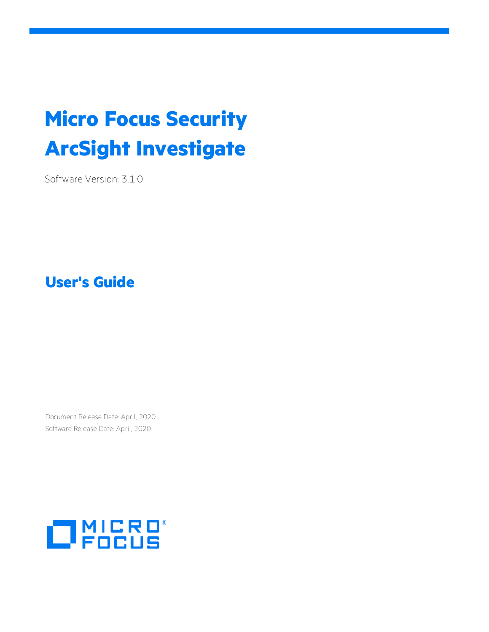# **Micro Focus Security ArcSight Investigate**

Software Version: 3.1.0

**User's Guide**

Document Release Date: April, 2020 Software Release Date: April, 2020

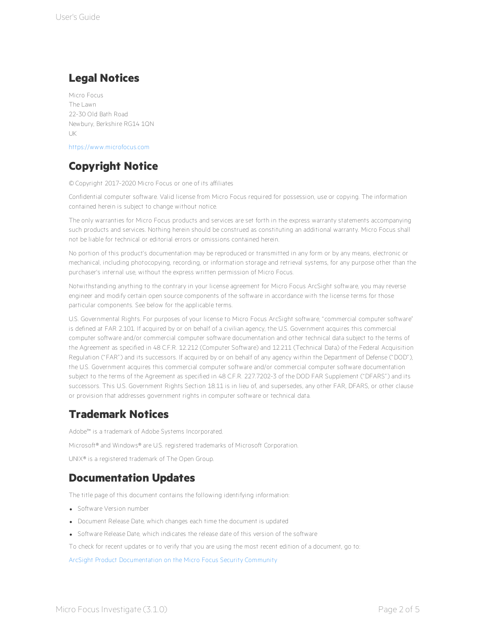### **Legal Notices**

Micro Focus The Lawn 22-30 Old Bath Road Newbury, Berkshire RG14 1QN UK

[https://www.microfocus.com](https://www.microfocus.com/)

## **Copyright Notice**

© Copyright 2017-2020 Micro Focus or one of its affiliates

Confidential computer software. Valid license from Micro Focus required for possession, use or copying. The information contained herein is subject to change without notice.

The only warranties for Micro Focus products and services are set forth in the express warranty statements accompanying such products and services. Nothing herein should be construed as constituting an additional warranty. Micro Focus shall not be liable for technical or editorial errors or omissions contained herein.

No portion of this product's documentation may be reproduced or transmitted in any form or by any means, electronic or mechanical, including photocopying, recording, or information storage and retrieval systems, for any purpose other than the purchaser's internal use, without the express written permission of Micro Focus.

Notwithstanding anything to the contrary in your license agreement for Micro Focus ArcSight software, you may reverse engineer and modify certain open source components of the software in accordance with the license terms for those particular components. See below for the applicable terms.

U.S. Governmental Rights. For purposes of your license to Micro Focus ArcSight software, " commercial computer software" is defined at FAR 2.101. If acquired by or on behalf of a civilian agency, the U.S. Government acquires this commercial computer software and/or commercial computer software documentation and other technical data subject to the terms of the Agreement as specified in 48 C.F.R. 12.212 (Computer Software) and 12.211 (Technical Data) of the Federal Acquisition Regulation ("FAR") and its successors. If acquired by or on behalf of any agency within the Department of Defense ("DOD"), the U.S. Government acquires this commercial computer software and/or commercial computer software documentation subject to the terms of the Agreement as specified in 48 C.F.R. 227.7202-3 of the DOD FAR Supplement ("DFARS") and its successors. This U.S. Government Rights Section 18.11 is in lieu of, and supersedes, any other FAR, DFARS, or other clause or provision that addresses government rights in computer software or technical data.

### **Trademark Notices**

Adobe™ is a trademark of Adobe Systems Incorporated. Microsoft® and Windows® are U.S. registered trademarks of Microsoft Corporation. UNIX® is a registered trademark of The Open Group.

### **Documentation Updates**

The title page of this document contains the following identifying information:

- Software Version number
- Document Release Date, which changes each time the document is updated
- Software Release Date, which indicates the release date of this version of the software

To check for recent updates or to verify that you are using the most recent edition of a document, go to:

ArcSight Product [Documentation](https://community.microfocus.com/t5/ArcSight-Product-Documentation/ct-p/productdocs) on the Micro Focus Security Community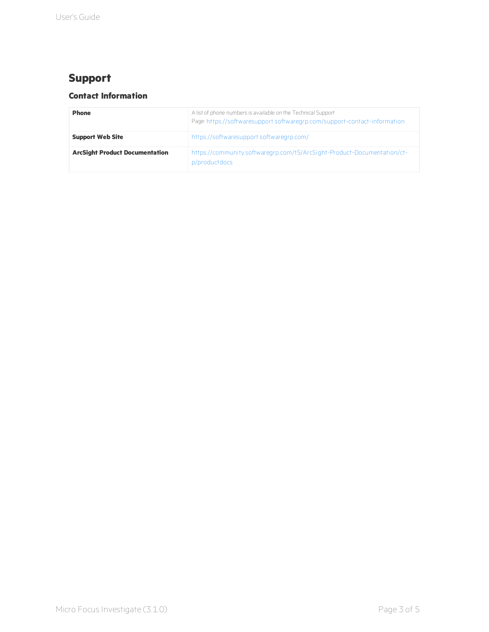## **Support**

### **Contact Information**

| <b>Phone</b>                          | A list of phone numbers is available on the Technical Support<br>Page: https://softwaresupport.softwaregrp.com/support-contact-information |
|---------------------------------------|--------------------------------------------------------------------------------------------------------------------------------------------|
| <b>Support Web Site</b>               | https://softwaresupport.softwaregrp.com/                                                                                                   |
| <b>ArcSight Product Documentation</b> | https://community.softwaregrp.com/t5/ArcSight-Product-Documentation/ct-<br>p/productdocs                                                   |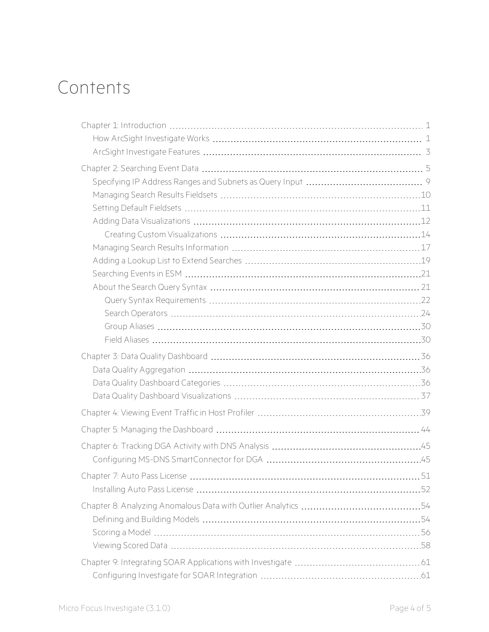# Contents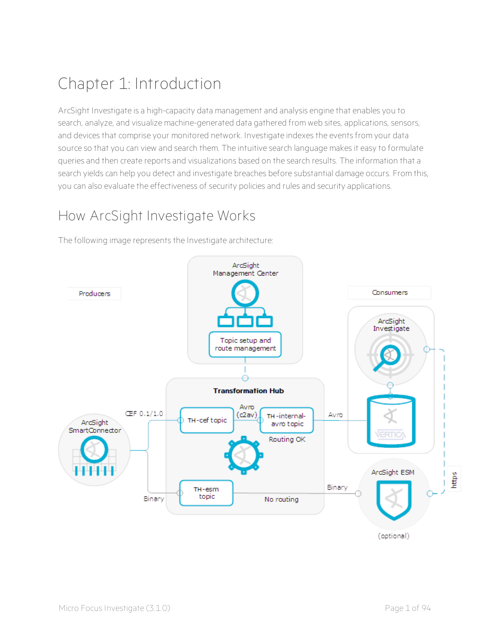# <span id="page-5-0"></span>Chapter 1: Introduction

ArcSight Investigate is a high-capacity data management and analysis engine that enables you to search, analyze, and visualize machine-generated data gathered from web sites, applications, sensors, and devices that comprise your monitored network. Investigate indexes the events from your data source so that you can view and search them. The intuitive search language makes it easy to formulate queries and then create reports and visualizations based on the search results. The information that a search yields can help you detect and investigate breaches before substantial damage occurs. From this, you can also evaluate the effectiveness of security policies and rules and security applications.

# <span id="page-5-1"></span>How ArcSight Investigate Works

The following image represents the Investigate architecture:

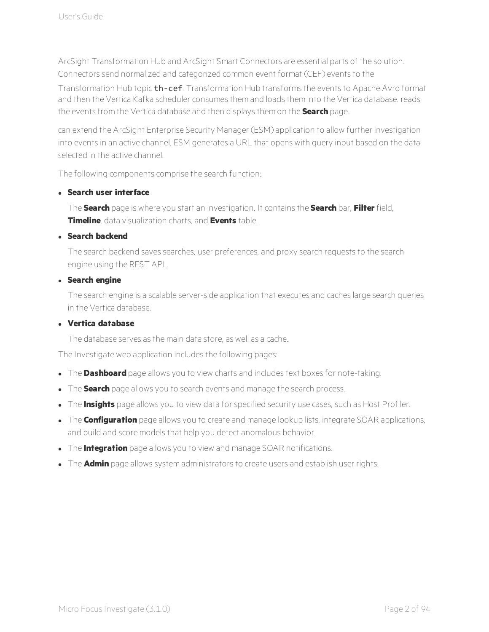ArcSight Transformation Hub and ArcSight Smart Connectors are essential parts of the solution. Connectors send normalized and categorized common event format (CEF) events to the

Transformation Hub topic th-cef. Transformation Hub transforms the events to Apache Avro format and then the Vertica Kafka scheduler consumes them and loads them into the Vertica database. reads the events from the Vertica database and then displays them on the **Search** page.

can extend the ArcSight Enterprise Security Manager (ESM) application to allow further investigation into events in an active channel. ESM generates a URL that opens with query input based on the data selected in the active channel.

The following components comprise the search function:

#### <sup>l</sup> **Search user interface**

The **Search** page is where you start an investigation. It contains the **Search** bar, **Filter** field, **Timeline**, data visualization charts, and **Events** table.

#### <sup>l</sup> **Search backend**

The search backend saves searches, user preferences, and proxy search requests to the search engine using the REST API.

#### <sup>l</sup> **Search engine**

The search engine is a scalable server-side application that executes and caches large search queries in the Vertica database.

### <sup>l</sup> **Vertica database**

The database serves as the main data store, as well as a cache.

The Investigate web application includes the following pages:

- **.** The **Dashboard** page allows you to view charts and includes text boxes for note-taking.
- **.** The **Search** page allows you to search events and manage the search process.
- **.** The **Insights** page allows you to view data for specified security use cases, such as Host Profiler.
- **.** The **Configuration** page allows you to create and manage lookup lists, integrate SOAR applications, and build and score models that help you detect anomalous behavior.
- **.** The **Integration** page allows you to view and manage SOAR notifications.
- **.** The **Admin** page allows system administrators to create users and establish user rights.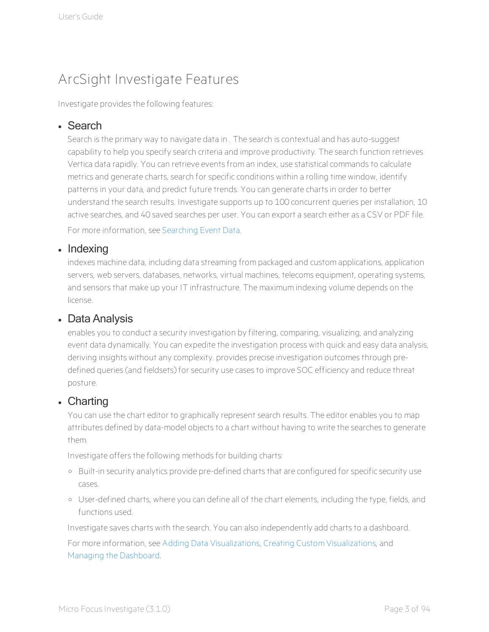# <span id="page-7-0"></span>ArcSight Investigate Features

Investigate provides the following features:

### • Search

Search is the primary way to navigate data in . The search is contextual and has auto-suggest capability to help you specify search criteria and improve productivity. The search function retrieves Vertica data rapidly. You can retrieve events from an index, use statistical commands to calculate metrics and generate charts, search for specific conditions within a rolling time window, identify patterns in your data, and predict future trends. You can generate charts in order to better understand the search results. Investigate supports up to 100 concurrent queries per installation, 10 active searches, and 40 saved searches per user. You can export a search either as a CSV or PDF file.

For more information, see [Searching](#page-9-0) Event Data.

### • Indexing

indexes machine data, including data streaming from packaged and custom applications, application servers, web servers, databases, networks, virtual machines, telecoms equipment, operating systems, and sensors that make up your IT infrastructure. The maximum indexing volume depends on the license.

### • Data Analysis

enables you to conduct a security investigation by filtering, comparing, visualizing, and analyzing event data dynamically. You can expedite the investigation process with quick and easy data analysis, deriving insights without any complexity. provides precise investigation outcomes through predefined queries (and fieldsets) for security use cases to improve SOC efficiency and reduce threat posture.

### • Charting

You can use the chart editor to graphically represent search results. The editor enables you to map attributes defined by data-model objects to a chart without having to write the searches to generate them.

Investigate offers the following methods for building charts:

- <sup>o</sup> Built-in security analytics provide pre-defined charts that are configured for specific security use cases.
- <sup>o</sup> User-defined charts, where you can define all of the chart elements, including the type, fields, and functions used.

Investigate saves charts with the search. You can also independently add charts to a dashboard.

For more information, see Adding Data [Visualizations,](#page-16-0) Creating Custom [Visualizations](#page-18-0), and Managing the [Dashboard](#page-48-0).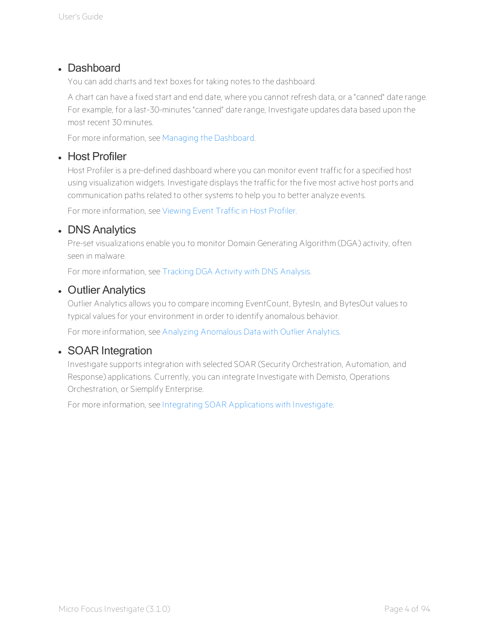### • Dashboard

You can add charts and text boxes for taking notes to the dashboard.

A chart can have a fixed start and end date, where you cannot refresh data, or a "canned" date range. For example, for a last-30-minutes "canned" date range, Investigate updates data based upon the most recent 30 minutes.

For more information, see Managing the [Dashboard.](#page-48-0)

### • Host Profiler

Host Profiler is a pre-defined dashboard where you can monitor event traffic for a specified host using visualization widgets. Investigate displays the traffic for the five most active host ports and communication paths related to other systems to help you to better analyze events.

For more information, see [Viewing](#page-43-0) Event Traffic in Host Profiler.

### • DNS Analytics

Pre-set visualizations enable you to monitor Domain Generating Algorithm (DGA) activity, often seen in malware.

For more information, see [Tracking](#page-49-0) DGA Activity with DNS Analysis.

### • Outlier Analytics

Outlier Analytics allows you to compare incoming EventCount, BytesIn, and BytesOut values to typical values for your environment in order to identify anomalous behavior.

For more information, see Analyzing [Anomalous](#page-58-0) Data with Outlier Analytics.

### • SOAR Integration

Investigate supports integration with selected SOAR (Security Orchestration, Automation, and Response) applications. Currently, you can integrate Investigate with Demisto, Operations Orchestration, or Siemplify Enterprise.

For more information, see Integrating SOAR [Applications](#page-65-0) with Investigate.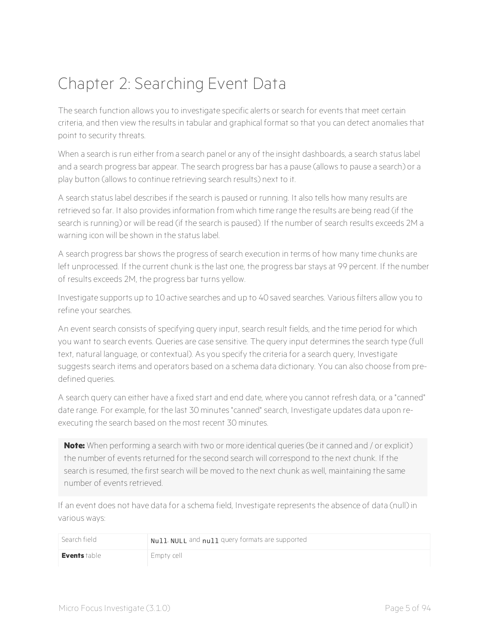# <span id="page-9-0"></span>Chapter 2: Searching Event Data

The search function allows you to investigate specific alerts or search for events that meet certain criteria, and then view the results in tabular and graphical format so that you can detect anomalies that point to security threats.

When a search is run either from a search panel or any of the insight dashboards, a search status label and a search progress bar appear. The search progress bar has a pause (allows to pause a search) or a play button (allows to continue retrieving search results) next to it.

A search status label describes if the search is paused or running. It also tells how many results are retrieved so far. It also provides information from which time range the results are being read (if the search is running) or will be read (if the search is paused). If the number of search results exceeds 2M a warning icon will be shown in the status label.

A search progress bar shows the progress of search execution in terms of how many time chunks are left unprocessed. If the current chunk is the last one, the progress bar stays at 99 percent. If the number of results exceeds 2M, the progress bar turns yellow.

Investigate supports up to 10 active searches and up to 40 saved searches. Various filters allow you to refine your searches.

An event search consists of specifying query input, search result fields, and the time period for which you want to search events. Queries are case sensitive. The query input determines the search type (full text, natural language, or contextual). As you specify the criteria for a search query, Investigate suggests search items and operators based on a schema data dictionary. You can also choose from predefined queries.

A search query can either have a fixed start and end date, where you cannot refresh data, or a "canned" date range. For example, for the last 30 minutes "canned" search, Investigate updates data upon reexecuting the search based on the most recent 30 minutes.

**Note:** When performing a search with two or more identical queries (be it canned and / or explicit) the number of events returned for the second search will correspond to the next chunk. If the search is resumed, the first search will be moved to the next chunk as well, maintaining the same number of events retrieved.

If an event does not have data for a schema field, Investigate represents the absence of data (null) in various ways:

| Search field | Null, NULL and null query formats are supported |
|--------------|-------------------------------------------------|
| Events table | Empty cell                                      |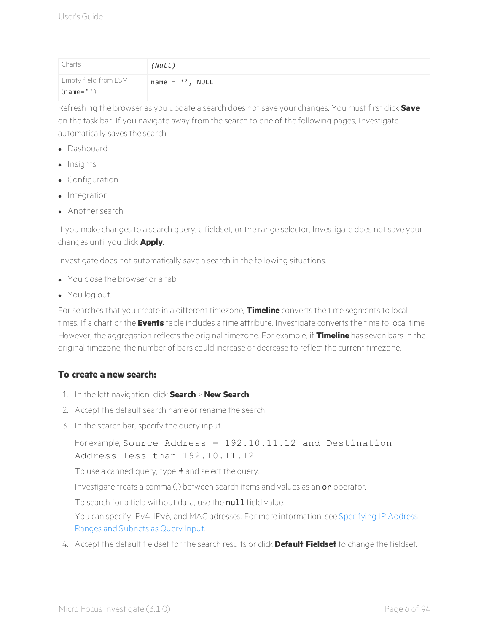| Charts                              | (Null)                |
|-------------------------------------|-----------------------|
| Empty field from ESM<br>$(name='')$ | name = $\cdot$ , NULL |

Refreshing the browser as you update a search does not save your changes. You must first click **Save** on the task bar. If you navigate away from the search to one of the following pages, Investigate automatically saves the search:

- Dashboard
- Insights
- **.** Configuration
- Integration
- Another search

If you make changes to a search query, a fieldset, or the range selector, Investigate does not save your changes until you click **Apply**.

Investigate does not automatically save a search in the following situations:

- You close the browser or a tab.
- You log out.

For searches that you create in a different timezone, **Timeline** converts the time segments to local times. If a chart or the **Events** table includes a time attribute, Investigate converts the time to local time. However, the aggregation reflects the original timezone. For example, if **Timeline** has seven bars in the original timezone, the number of bars could increase or decrease to reflect the current timezone.

### **To create a new search:**

- 1. In the left navigation, click **Search** > **New Search**.
- 2. Accept the default search name or rename the search.
- 3. In the search bar, specify the query input.

```
For example, Source Address = 192.10.11.12 and Destination
Address less than 192.10.11.12.
```
To use a canned query, type # and select the query.

Investigate treats a comma (,) between search items and values as an or operator.

To search for a field without data, use the null field value.

You can specify IPv4, IPv6, and MAC adresses. For more information, see [Specifying](#page-13-0) IP Address Ranges and [Subnets](#page-13-0) as Query Input.

4. Accept the default fieldset for the search results or click **Default Fieldset** to change the fieldset.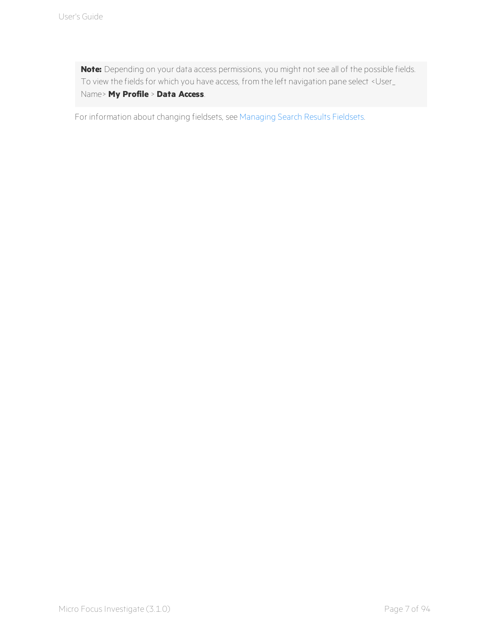**Note:** Depending on your data access permissions, you might not see all of the possible fields. To view the fields for which you have access, from the left navigation pane select <User\_ Name> **My Profile** > **Data Access**.

For information about changing fieldsets, see [Managing](#page-14-0) Search Results Fieldsets.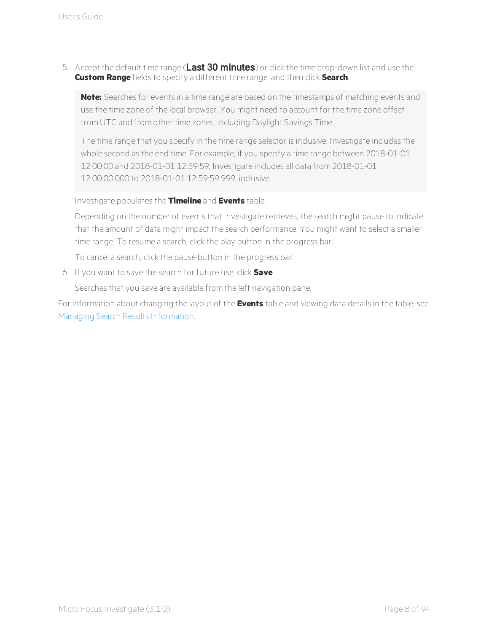5. Accept the default time range (Last 30 minutes) or click the time drop-down list and use the **Custom Range** fields to specify a different time range, and then click **Search**.

**Note:** Searches for events in a time range are based on the timestamps of matching events and use the time zone of the local browser. You might need to account for the time zone offset from UTC and from other time zones, including Daylight Savings Time.

The time range that you specify in the time range selector is inclusive. Investigate includes the whole second as the end time. For example, if you specify a time range between 2018-01-01 12:00:00 and 2018-01-01 12:59:59, Investigate includes all data from 2018-01-01 12:00:00.000 to 2018-01-01 12:59:59.999, inclusive.

Investigate populates the **Timeline** and **Events** table.

Depending on the number of events that Investigate retrieves, the search might pause to indicate that the amount of data might impact the search performance. You might want to select a smaller time range. To resume a search, click the play button in the progress bar.

To cancel a search, click the pause button in the progress bar.

6. If you want to save the search for future use, click **Save**.

Searches that you save are available from the left navigation pane.

For information about changing the layout of the **Events** table and viewing data details in the table, see Managing Search Results [Information](#page-21-0).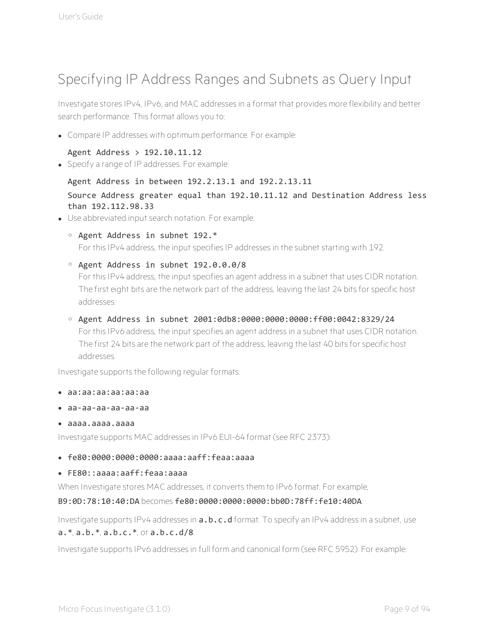# <span id="page-13-0"></span>Specifying IP Address Ranges and Subnets as Query Input

Investigate stores IPv4, IPv6, and MAC addresses in a format that provides more flexibility and better search performance. This format allows you to:

• Compare IP addresses with optimum performance. For example:

#### Agent Address > 192.10.11.12

• Specify a range of IP addresses. For example:

#### Agent Address in between 192.2.13.1 and 192.2.13.11

### Source Address greater equal than 192.10.11.12 and Destination Address less than 192.112.98.33

- Use abbreviated input search notation. For example:
	- o Agent Address in subnet 192.\* For this IPv4 address, the input specifies IP addresses in the subnet starting with 192.
	- o Agent Address in subnet 192.0.0.0/8 For this IPv4 address, the input specifies an agent address in a subnet that uses CIDR notation. The first eight bits are the network part of the address, leaving the last 24 bits for specific host addresses.
	- o Agent Address in subnet 2001:0db8:0000:0000:0000:ff00:0042:8329/24 For this IPv6 address, the input specifies an agent address in a subnet that uses CIDR notation. The first 24 bits are the network part of the address, leaving the last 40 bits for specific host addresses.

Investigate supports the following regular formats:

- <sup>l</sup> aa:aa:aa:aa:aa:aa
- <sup>l</sup> aa-aa-aa-aa-aa-aa
- <sup>l</sup> aaaa.aaaa.aaaa

Investigate supports MAC addresses in IPv6 EUI-64 format (see RFC 2373):

- <sup>l</sup> fe80:0000:0000:0000:aaaa:aaff:feaa:aaaa
- <sup>l</sup> FE80::aaaa:aaff:feaa:aaaa

When Investigate stores MAC addresses, it converts them to IPv6 format. For example,

### B9:0D:78:10:40:DA becomes fe80:0000:0000:0000:bb0D:78ff:fe10:40DA.

Investigate supports IPv4 addresses in **a.b.c.d** format. To specify an IPv4 address in a subnet, use  $a.* a.b.* a.b.c.*$  or  $a.b.c.d/8$ .

Investigate supports IPv6 addresses in full form and canonical form (see RFC 5952). For example: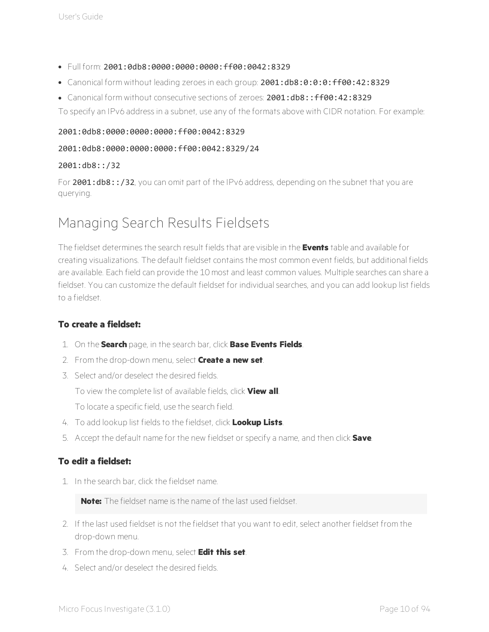- <sup>l</sup> Full form: 2001:0db8:0000:0000:0000:ff00:0042:8329
- <sup>l</sup> Canonical form without leading zeroes in each group: 2001:db8:0:0:0:ff00:42:8329
- Canonical form without consecutive sections of zeroes: 2001:db8::ff00:42:8329

To specify an IPv6 address in a subnet, use any of the formats above with CIDR notation. For example:

#### 2001:0db8:0000:0000:0000:ff00:0042:8329

#### 2001:0db8:0000:0000:0000:ff00:0042:8329/24

#### 2001:db8::/32

For 2001:db8::/32, you can omit part of the IPv6 address, depending on the subnet that you are querying.

# <span id="page-14-0"></span>Managing Search Results Fieldsets

The fieldset determines the search result fields that are visible in the **Events** table and available for creating visualizations. The default fieldset contains the most common event fields, but additional fields are available. Each field can provide the 10 most and least common values. Multiple searches can share a fieldset. You can customize the default fieldset for individual searches, and you can add lookup list fields to a fieldset.

### **To create a fieldset:**

- 1. On the **Search** page, in the search bar, click **Base Events Fields**.
- 2. From the drop-down menu, select **Create a new set**.
- 3. Select and/or deselect the desired fields.
	- To view the complete list of available fields, click **View all**.
	- To locate a specific field, use the search field.
- 4. To add lookup list fields to the fieldset, click **Lookup Lists**.
- 5. Accept the default name for the new fieldset or specify a name, and then click **Save**.

### **To edit a fieldset:**

1. In the search bar, click the fieldset name.

**Note:** The fieldset name is the name of the last used fieldset.

- 2. If the last used fieldset is not the fieldset that you want to edit, select another fieldset from the drop-down menu.
- 3. From the drop-down menu, select **Edit this set**.
- 4. Select and/or deselect the desired fields.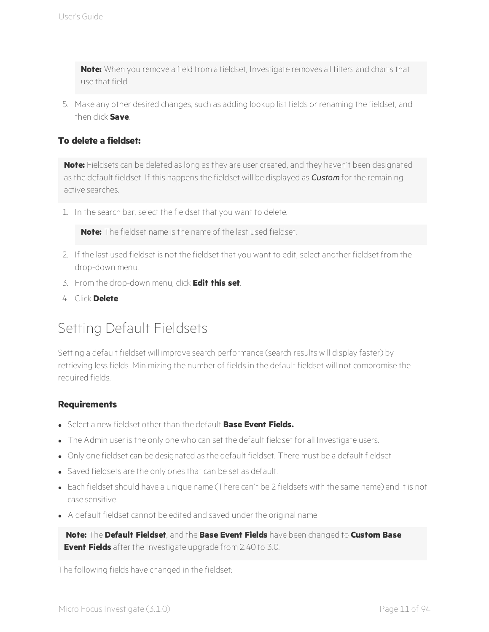**Note:** When you remove a field from a fieldset, Investigate removes all filters and charts that use that field.

5. Make any other desired changes, such as adding lookup list fields or renaming the fieldset, and then click **Save**.

### **To delete a fieldset:**

**Note:** Fieldsets can be deleted as long as they are user created, and they haven't been designated as the default fieldset. If this happens the fieldset will be displayed as *Custom* for the remaining active searches.

1. In the search bar, select the fieldset that you want to delete.

**Note:** The fieldset name is the name of the last used fieldset.

- 2. If the last used fieldset is not the fieldset that you want to edit, select another fieldset from the drop-down menu.
- 3. From the drop-down menu, click **Edit this set**.
- <span id="page-15-0"></span>4. Click **Delete**.

# Setting Default Fieldsets

Setting a default fieldset will improve search performance (search results will display faster) by retrieving less fields. Minimizing the number of fields in the default fieldset will not compromise the required fields.

#### **Requirements**

- <sup>l</sup> Select a new fieldset other than the default **Base Event Fields.**
- The Admin user is the only one who can set the default fieldset for all Investigate users.
- Only one fieldset can be designated as the default fieldset. There must be a default fieldset
- Saved fieldsets are the only ones that can be set as default.
- Each fieldset should have a unique name (There can't be 2 fieldsets with the same name) and it is not case sensitive.
- A default fieldset cannot be edited and saved under the original name

**Note:** The **Default Fieldset**, and the **Base Event Fields** have been changed to **Custom Base Event Fields** after the Investigate upgrade from 2.40 to 3.0.

The following fields have changed in the fieldset: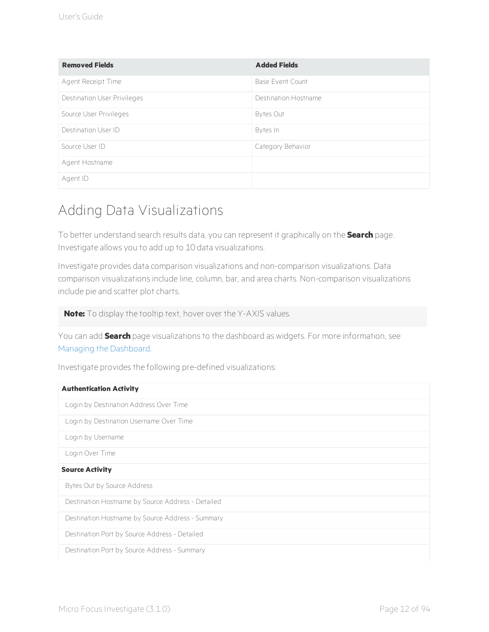| <b>Removed Fields</b>       | <b>Added Fields</b>     |
|-----------------------------|-------------------------|
| Agent Receipt Time          | <b>Base Event Count</b> |
| Destination User Privileges | Destination Hostname    |
| Source User Privileges      | Bytes Out               |
| Destination User ID         | Bytes In                |
| Source User ID              | Category Behavior       |
| Agent Hostname              |                         |
| Agent ID                    |                         |

# <span id="page-16-0"></span>Adding Data Visualizations

To better understand search results data, you can represent it graphically on the **Search** page. Investigate allows you to add up to 10 data visualizations.

Investigate provides data comparison visualizations and non-comparison visualizations. Data comparison visualizations include line, column, bar, and area charts. Non-comparison visualizations include pie and scatter plot charts.

**Note:** To display the tooltip text, hover over the Y-AXIS values.

You can add **Search** page visualizations to the dashboard as widgets. For more information, see Managing the [Dashboard](#page-48-0).

Investigate provides the following pre-defined visualizations:

| <b>Authentication Activity</b>                    |
|---------------------------------------------------|
| Login by Destination Address Over Time            |
| Login by Destination Username Over Time           |
| Login by Username                                 |
| Login Over Time                                   |
| <b>Source Activity</b>                            |
| Bytes Out by Source Address                       |
| Destination Hostname by Source Address - Detailed |
| Destination Hostname by Source Address - Summary  |
| Destination Port by Source Address - Detailed     |
| Destination Port by Source Address - Summary      |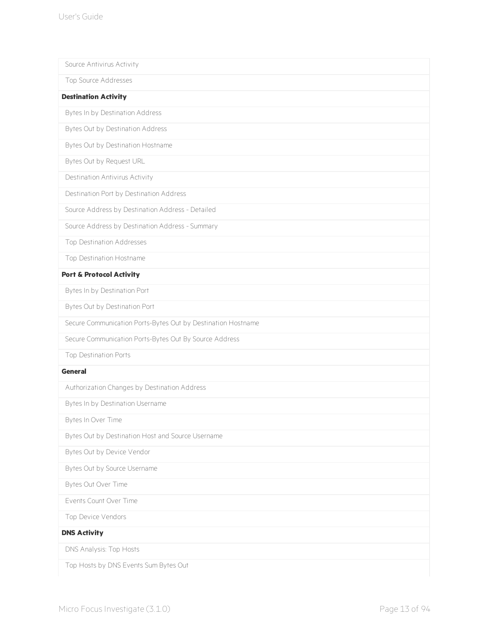| Source Antivirus Activity                                    |
|--------------------------------------------------------------|
| Top Source Addresses                                         |
| <b>Destination Activity</b>                                  |
| Bytes In by Destination Address                              |
| Bytes Out by Destination Address                             |
| Bytes Out by Destination Hostname                            |
| Bytes Out by Request URL                                     |
| Destination Antivirus Activity                               |
| Destination Port by Destination Address                      |
| Source Address by Destination Address - Detailed             |
| Source Address by Destination Address - Summary              |
| Top Destination Addresses                                    |
| Top Destination Hostname                                     |
| <b>Port &amp; Protocol Activity</b>                          |
| Bytes In by Destination Port                                 |
| Bytes Out by Destination Port                                |
| Secure Communication Ports-Bytes Out by Destination Hostname |
| Secure Communication Ports-Bytes Out By Source Address       |
| Top Destination Ports                                        |
| <b>General</b>                                               |
| Authorization Changes by Destination Address                 |
| Bytes In by Destination Username                             |
| Bytes In Over Time                                           |
| Bytes Out by Destination Host and Source Username            |
| Bytes Out by Device Vendor                                   |
| Bytes Out by Source Username                                 |
| Bytes Out Over Time                                          |
| Events Count Over Time                                       |
| Top Device Vendors                                           |
| <b>DNS Activity</b>                                          |
| DNS Analysis: Top Hosts                                      |
| Top Hosts by DNS Events Sum Bytes Out                        |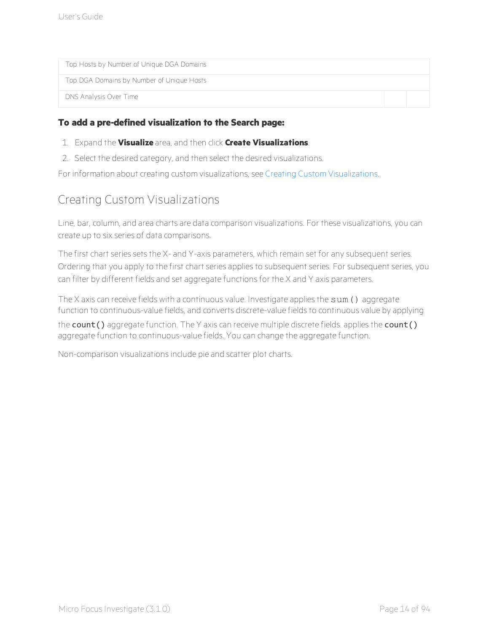Top Hosts by Number of Unique DGA Domains

Top DGA Domains by Number of Unique Hosts

DNS Analysis Over Time

#### **To add a pre-defined visualization to the Search page:**

- 1. Expand the **Visualize** area, and then click **Create Visualizations**.
- 2. Select the desired category, and then select the desired visualizations.

<span id="page-18-0"></span>For information about creating custom visualizations, see Creating Custom [Visualizations](#page-18-0).

## Creating Custom Visualizations

Line, bar, column, and area charts are data comparison visualizations. For these visualizations, you can create up to six series of data comparisons.

The first chart series sets the X- and Y-axis parameters, which remain set for any subsequent series. Ordering that you apply to the first chart series applies to subsequent series. For subsequent series, you can filter by different fields and set aggregate functions for the X and Y axis parameters.

The X axis can receive fields with a continuous value. Investigate applies the sum () aggregate function to continuous-value fields, and converts discrete-value fields to continuous value by applying

the count () aggregate function. The Y axis can receive multiple discrete fields. applies the count () aggregate function to continuous-value fields. You can change the aggregate function.

Non-comparison visualizations include pie and scatter plot charts.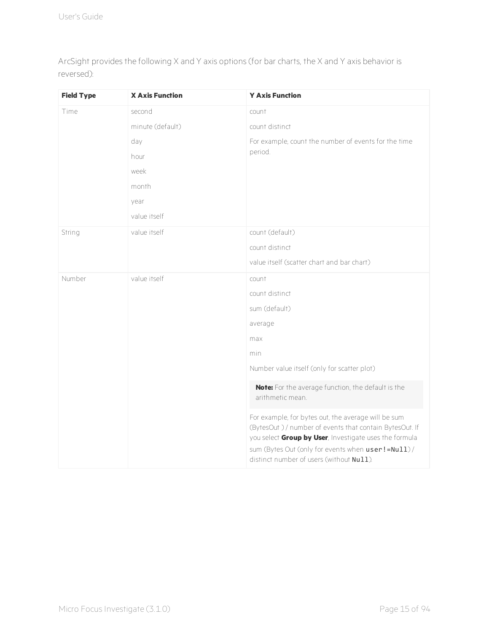ArcSight provides the following X and Y axis options (for bar charts, the X and Y axis behavior is reversed):

| <b>Field Type</b> | <b>X Axis Function</b> | <b>Y Axis Function</b>                                                                                                                                                                                                                                                     |
|-------------------|------------------------|----------------------------------------------------------------------------------------------------------------------------------------------------------------------------------------------------------------------------------------------------------------------------|
| Time              | second                 | count                                                                                                                                                                                                                                                                      |
|                   | minute (default)       | count distinct                                                                                                                                                                                                                                                             |
|                   | day                    | For example, count the number of events for the time                                                                                                                                                                                                                       |
|                   | hour                   | period.                                                                                                                                                                                                                                                                    |
|                   | week                   |                                                                                                                                                                                                                                                                            |
|                   | month                  |                                                                                                                                                                                                                                                                            |
|                   | year                   |                                                                                                                                                                                                                                                                            |
|                   | value itself           |                                                                                                                                                                                                                                                                            |
| String            | value itself           | count (default)                                                                                                                                                                                                                                                            |
|                   |                        | count distinct                                                                                                                                                                                                                                                             |
|                   |                        | value itself (scatter chart and bar chart)                                                                                                                                                                                                                                 |
| Number            | value itself           | count                                                                                                                                                                                                                                                                      |
|                   |                        | count distinct                                                                                                                                                                                                                                                             |
|                   |                        | sum (default)                                                                                                                                                                                                                                                              |
|                   |                        | average                                                                                                                                                                                                                                                                    |
|                   |                        | max                                                                                                                                                                                                                                                                        |
|                   |                        | min                                                                                                                                                                                                                                                                        |
|                   |                        | Number value itself (only for scatter plot)                                                                                                                                                                                                                                |
|                   |                        | Note: For the average function, the default is the<br>arithmetic mean.                                                                                                                                                                                                     |
|                   |                        | For example, for bytes out, the average will be sum<br>(BytesOut ) / number of events that contain BytesOut. If<br>you select Group by User, Investigate uses the formula<br>sum (Bytes Out (only for events when user!=Null)/<br>distinct number of users (without Null). |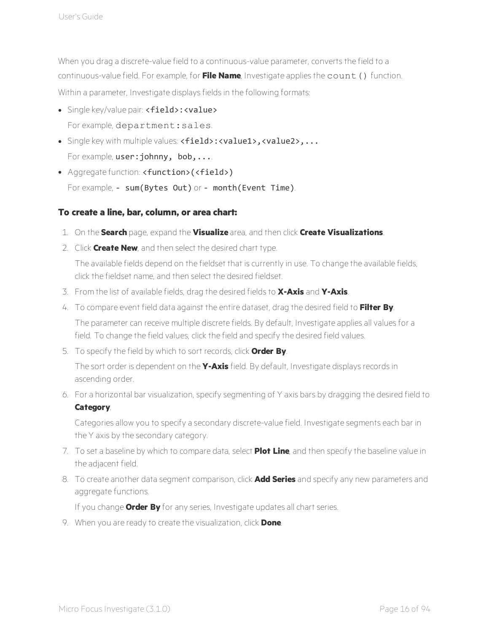When you drag a discrete-value field to a continuous-value parameter, converts the field to a continuous-value field. For example, for **File Name**, Investigate applies the count() function. Within a parameter, Investigate displays fields in the following formats:

- Single key/value pair: <field>: <value> For example, department: sales.
- Single key with multiple values: <field>:<value1>,<value2>,... For example, user: johnny, bob,...
- Aggregate function: <function>(<field>) For example, - sum (Bytes Out) or - month (Event Time).

### **To create a line, bar, column, or area chart:**

- 1. On the **Search** page, expand the **Visualize** area, and then click **Create Visualizations**.
- 2. Click **Create New**, and then select the desired chart type.

The available fields depend on the fieldset that is currently in use. To change the available fields, click the fieldset name, and then select the desired fieldset.

- 3. From the list of available fields, drag the desired fields to **X-Axis** and **Y-Axis**.
- 4. To compare event field data against the entire dataset, drag the desired field to **Filter By**. The parameter can receive multiple discrete fields. By default, Investigate applies all values for a field. To change the field values, click the field and specify the desired field values.
- 5. To specify the field by which to sort records, click **Order By**.

The sort order is dependent on the **Y-Axis** field. By default, Investigate displays records in ascending order.

6. For a horizontal bar visualization, specify segmenting of Y axis bars by dragging the desired field to **Category**.

Categories allow you to specify a secondary discrete-value field. Investigate segments each bar in the Y axis by the secondary category.

- 7. To set a baseline by which to compare data, select **Plot Line**, and then specify the baseline value in the adjacent field.
- 8. To create another data segment comparison, click **Add Series** and specify any new parameters and aggregate functions.

If you change **Order By** for any series, Investigate updates all chart series.

9. When you are ready to create the visualization, click **Done**.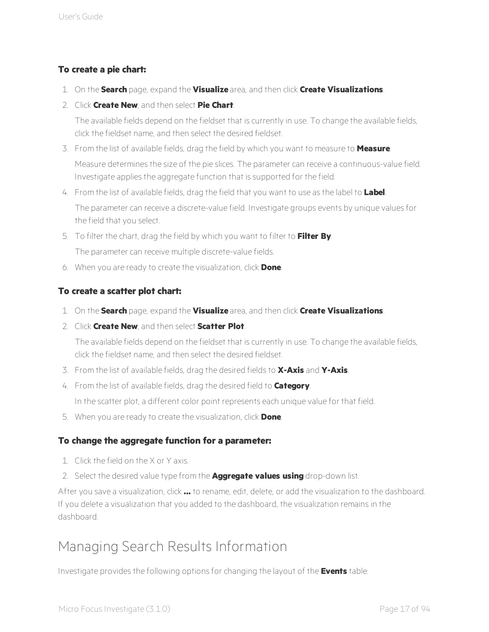### **To create a pie chart:**

- 1. On the **Search** page, expand the **Visualize** area, and then click **Create Visualizations**.
- 2. Click **Create New**, and then select **Pie Chart**.

The available fields depend on the fieldset that is currently in use. To change the available fields, click the fieldset name, and then select the desired fieldset.

- 3. From the list of available fields, drag the field by which you want to measure to **Measure**. Measure determines the size of the pie slices. The parameter can receive a continuous-value field. Investigate applies the aggregate function that is supported for the field.
- 4. From the list of available fields, drag the field that you want to use as the label to **Label**. The parameter can receive a discrete-value field. Investigate groups events by unique values for the field that you select.
- 5. To filter the chart, drag the field by which you want to filter to **Filter By**. The parameter can receive multiple discrete-value fields.
- 6. When you are ready to create the visualization, click **Done**.

### **To create a scatter plot chart:**

- 1. On the **Search** page, expand the **Visualize** area, and then click **Create Visualizations**.
- 2. Click **Create New**, and then select **Scatter Plot**.

The available fields depend on the fieldset that is currently in use. To change the available fields, click the fieldset name, and then select the desired fieldset.

- 3. From the list of available fields, drag the desired fields to **X-Axis** and **Y-Axis**.
- 4. From the list of available fields, drag the desired field to **Category**.

In the scatter plot, a different color point represents each unique value for that field.

5. When you are ready to create the visualization, click **Done**.

### **To change the aggregate function for a parameter:**

- 1. Click the field on the X or Y axis.
- 2. Select the desired value type from the **Aggregate values using** drop-down list.

After you save a visualization, click **...** to rename, edit, delete, or add the visualization to the dashboard. If you delete a visualization that you added to the dashboard, the visualization remains in the dashboard.

# <span id="page-21-0"></span>Managing Search Results Information

Investigate provides the following options for changing the layout of the **Events** table: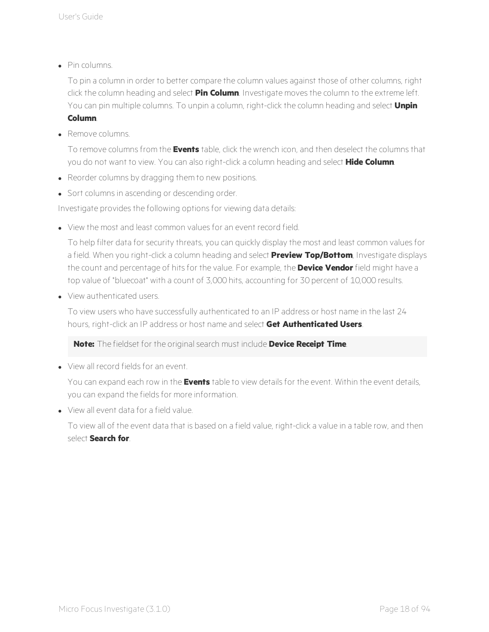$\bullet$  Pin columns.

To pin a column in order to better compare the column values against those of other columns, right click the column heading and select **Pin Column**. Investigate moves the column to the extreme left. You can pin multiple columns. To unpin a column, right-click the column heading and select **Unpin Column**.

**Remove columns** 

To remove columns from the **Events** table, click the wrench icon, and then deselect the columns that you do not want to view. You can also right-click a column heading and select **Hide Column**.

- Reorder columns by dragging them to new positions.
- Sort columns in ascending or descending order.

Investigate provides the following options for viewing data details:

• View the most and least common values for an event record field.

To help filter data for security threats, you can quickly display the most and least common values for a field. When you right-click a column heading and select **Preview Top/Bottom**, Investigate displays the count and percentage of hits for the value. For example, the **Device Vendor** field might have a top value of "bluecoat" with a count of 3,000 hits, accounting for 30 percent of 10,000 results.

• View authenticated users.

To view users who have successfully authenticated to an IP address or host name in the last 24 hours, right-click an IP address or host name and select **Get Authenticated Users**.

**Note:** The fieldset for the original search must include **Device Receipt Time**.

<sup>l</sup> View all record fields for an event.

You can expand each row in the **Events** table to view details for the event. Within the event details, you can expand the fields for more information.

• View all event data for a field value.

To view all of the event data that is based on a field value, right-click a value in a table row, and then select **Search for**.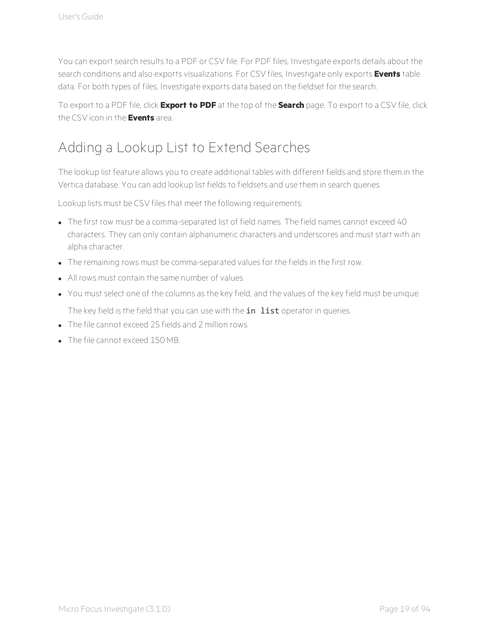You can export search results to a PDF or CSV file. For PDF files, Investigate exports details about the search conditions and also exports visualizations. For CSV files, Investigate only exports **Events** table data. For both types of files, Investigate exports data based on the fieldset for the search.

To export to a PDF file, click **Export to PDF** at the top of the **Search** page. To export to a CSV file, click the CSV icon in the **Events** area.

# <span id="page-23-0"></span>Adding a Lookup List to Extend Searches

The lookup list feature allows you to create additional tables with different fields and store them in the Vertica database. You can add lookup list fields to fieldsets and use them in search queries.

Lookup lists must be CSV files that meet the following requirements:

- The first row must be a comma-separated list of field names. The field names cannot exceed 40 characters. They can only contain alphanumeric characters and underscores and must start with an alpha character.
- The remaining rows must be comma-separated values for the fields in the first row.
- All rows must contain the same number of values.
- You must select one of the columns as the key field, and the values of the key field must be unique.

The key field is the field that you can use with the in list operator in queries.

- The file cannot exceed 25 fields and 2 million rows.
- The file cannot exceed 150 MB.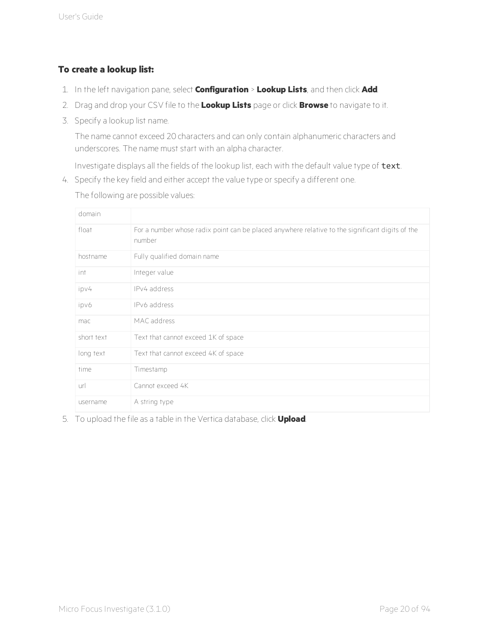### **To create a lookup list:**

- 1. In the left navigation pane, select **Configuration** > **Lookup Lists**, and then click **Add**.
- 2. Drag and drop your CSV file to the **Lookup Lists** page or click **Browse** to navigate to it.
- 3. Specify a lookup list name.

The name cannot exceed 20 characters and can only contain alphanumeric characters and underscores. The name must start with an alpha character.

Investigate displays all the fields of the lookup list, each with the default value type of text.

4. Specify the key field and either accept the value type or specify a different one.

domain float For a number whose radix point can be placed anywhere relative to the significant digits of the number hostname Fully qualified domain name int Integer value ipv4 IPv4 address ipv6 IPv6 address mac MAC address short text Text that cannot exceed 1K of space long text Text that cannot exceed 4K of space time Timestamp url Cannot exceed 4K username A string type

The following are possible values:

5. To upload the file as a table in the Vertica database, click **Upload**.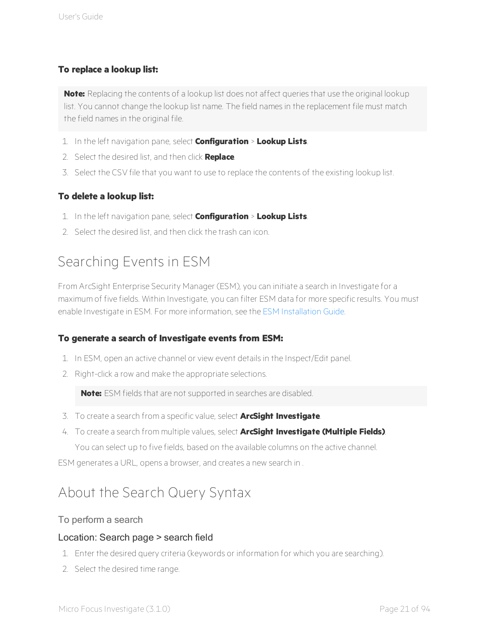### **To replace a lookup list:**

**Note:** Replacing the contents of a lookup list does not affect queries that use the original lookup list. You cannot change the lookup list name. The field names in the replacement file must match the field names in the original file.

- 1. In the left navigation pane, select **Configuration** > **Lookup Lists**.
- 2. Select the desired list, and then click **Replace**.
- 3. Select the CSV file that you want to use to replace the contents of the existing lookup list.

### **To delete a lookup list:**

- 1. In the left navigation pane, select **Configuration** > **Lookup Lists**.
- <span id="page-25-0"></span>2. Select the desired list, and then click the trash can icon.

# Searching Events in ESM

From ArcSight Enterprise Security Manager (ESM), you can initiate a search in Investigate for a maximum of five fields. Within Investigate, you can filter ESM data for more specific results. You must enable Investigate in ESM. For more information, see the ESM [Installation](https://community.microfocus.com/t5/ESM-and-ESM-Express/tkb-p/esm) Guide.

### **To generate a search of Investigate events from ESM:**

- 1. In ESM, open an active channel or view event details in the Inspect/Edit panel.
- 2. Right-click a row and make the appropriate selections.

**Note:** ESM fields that are not supported in searches are disabled.

- 3. To create a search from a specific value, select **ArcSight Investigate**.
- 4. To create a search from multiple values, select **ArcSight Investigate (Multiple Fields)**. You can select up to five fields, based on the available columns on the active channel.

<span id="page-25-1"></span>ESM generates a URL, opens a browser, and creates a new search in .

# About the Search Query Syntax

### To perform a search

### Location: Search page > search field

- 1. Enter the desired query criteria (keywords or information for which you are searching).
- 2. Select the desired time range.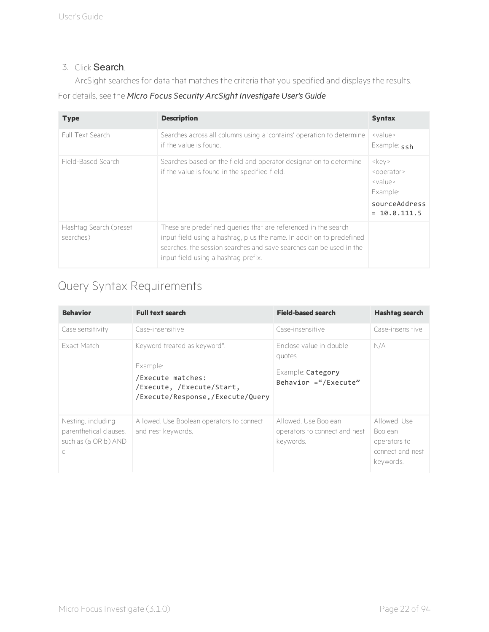### 3. Click Search.

ArcSight searches for data that matches the criteria that you specified and displays the results.

For details, see the *Micro Focus Security ArcSight Investigate User's Guide*

| <b>Type</b>                         | <b>Description</b>                                                                                                                                                                                                                                    | <b>Syntax</b>                                                                                                                                       |
|-------------------------------------|-------------------------------------------------------------------------------------------------------------------------------------------------------------------------------------------------------------------------------------------------------|-----------------------------------------------------------------------------------------------------------------------------------------------------|
| Full Text Search                    | Searches across all columns using a 'contains' operation to determine<br>if the value is found.                                                                                                                                                       | $\vee$ value ><br>Example: ssh                                                                                                                      |
| Field-Based Search                  | Searches based on the field and operator designation to determine<br>if the value is found in the specified field.                                                                                                                                    | $\langle \text{key} \rangle$<br><operator><br/><math>\vee</math> value &gt;<br/>Example:<br/>sourceAddress<br/><math>= 10.0.111.5</math></operator> |
| Hashtag Search (preset<br>searches) | These are predefined queries that are referenced in the search<br>input field using a hashtag, plus the name. In addition to predefined<br>searches, the session searches and save searches can be used in the<br>input field using a hashtag prefix. |                                                                                                                                                     |

# <span id="page-26-0"></span>Query Syntax Requirements

| <b>Behavior</b>                                                                      | <b>Full text search</b>                                                                                                        | <b>Field-based search</b>                                                       | <b>Hashtag search</b>                                                          |
|--------------------------------------------------------------------------------------|--------------------------------------------------------------------------------------------------------------------------------|---------------------------------------------------------------------------------|--------------------------------------------------------------------------------|
| Case sensitivity                                                                     | Case-insensitive                                                                                                               | Case-insensitive                                                                | Case-insensitive                                                               |
| <b>Fxact Match</b>                                                                   | Keyword treated as keyword*.<br>Example:<br>/Execute matches:<br>/Execute, /Execute/Start,<br>/Execute/Response,/Execute/Query | Enclose value in double<br>quotes.<br>Example: Category<br>Behavior ="/Execute" | N/A                                                                            |
| Nesting, including<br>parenthetical clauses,<br>such as (a OR b) AND<br>$\mathsf{C}$ | Allowed. Use Boolean operators to connect<br>and nest keywords.                                                                | Allowed, Use Boolean<br>operators to connect and nest<br>keywords.              | Allowed Use<br><b>Boolean</b><br>operators to<br>connect and nest<br>keywords. |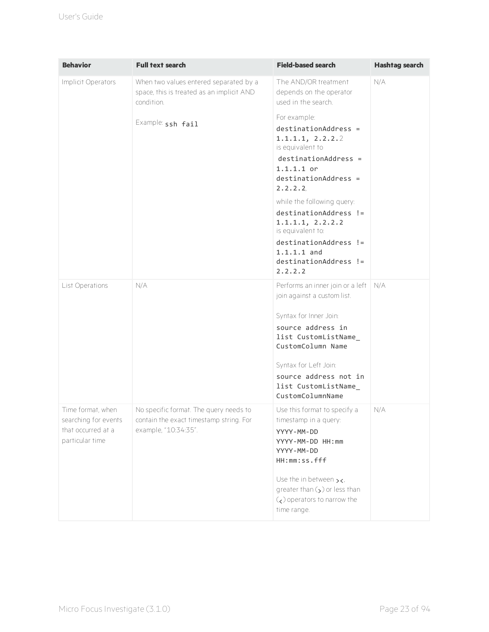| <b>Behavior</b>                                                                    | <b>Full text search</b>                                                                                   | <b>Field-based search</b>                                                                                                                                                                                                                                                                                                                      | <b>Hashtag search</b> |
|------------------------------------------------------------------------------------|-----------------------------------------------------------------------------------------------------------|------------------------------------------------------------------------------------------------------------------------------------------------------------------------------------------------------------------------------------------------------------------------------------------------------------------------------------------------|-----------------------|
| Implicit Operators                                                                 | When two values entered separated by a<br>space, this is treated as an implicit AND<br>condition.         | The AND/OR treatment<br>depends on the operator<br>used in the search.                                                                                                                                                                                                                                                                         | N/A                   |
|                                                                                    | Example: ssh fail                                                                                         | For example:<br>$destinationAddress =$<br>1.1.1.1, 2.2.2.2<br>is equivalent to<br>$destinationAddress =$<br>$1.1.1.1$ or<br>$destinationAddress =$<br>2.2.2.2<br>while the following query:<br>destinationAddress !=<br>1.1.1.1, 2.2.2.2<br>is equivalent to:<br>destinationAddress !=<br>$1.1.1.1$ and<br>$destinationAddress$ ! =<br>2.2.2.2 |                       |
| List Operations                                                                    | N/A                                                                                                       | Performs an inner join or a left<br>join against a custom list.<br>Syntax for Inner Join:<br>source address in<br>list CustomListName<br>CustomColumn Name<br>Syntax for Left Join:<br>source address not in<br>list CustomListName<br>CustomColumnName                                                                                        | N/A                   |
| Time format, when<br>searching for events<br>that occurred at a<br>particular time | No specific format. The query needs to<br>contain the exact timestamp string. For<br>example, "10:34:35". | Use this format to specify a<br>timestamp in a query:<br>YYYY-MM-DD<br>YYYY-MM-DD HH:mm<br>YYYY-MM-DD<br>HH:mm:ss.fff<br>Use the in between $\rightarrow$ <.<br>greater than $\zeta$ ) or less than<br>$\zeta$ ) operators to narrow the<br>time range.                                                                                        | N/A                   |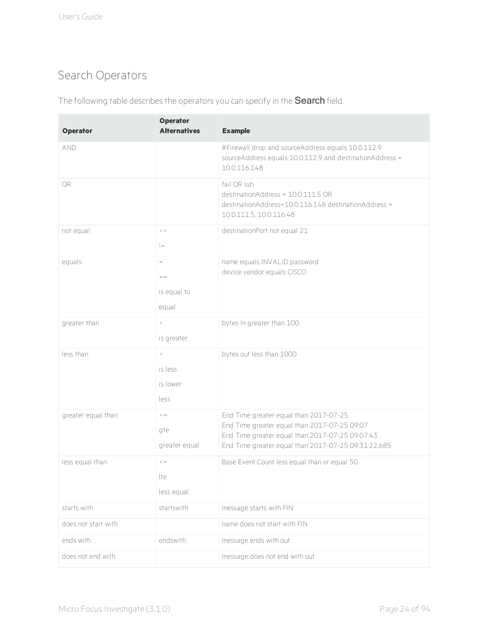# <span id="page-28-0"></span>Search Operators

| <b>Operator</b>     | <b>Operator</b><br><b>Alternatives</b> | <b>Example</b>                                                                                                                                                                                   |
|---------------------|----------------------------------------|--------------------------------------------------------------------------------------------------------------------------------------------------------------------------------------------------|
| <b>AND</b>          |                                        | #Firewall drop and sourceAddress equals 10.0.112.9<br>sourceAddress equals 10.0.112.9 and destinationAddress =<br>10.0.116.148                                                                   |
| OR.                 |                                        | fail OR ssh<br>destinationAddress = 10.0.111.5 OR<br>destinationAddress=10.0.116.148 destinationAddress =<br>10.0.111.5, 10.0.116.48                                                             |
| not equal           | $\,<$ $>$<br>$!=$                      | destinationPort not equal 21                                                                                                                                                                     |
| equals              | $\, =$<br>$=$<br>is equal to<br>equal  | name equals INVALID password<br>device vendor equals CISCO                                                                                                                                       |
| greater than        | $\, >$<br>is greater                   | bytes In greater than 100                                                                                                                                                                        |
| less than           | $\,<$<br>is less<br>is lower<br>less   | bytes out less than 1000                                                                                                                                                                         |
| greater equal than  | $>$ $=$<br>gte<br>greater equal        | End Time greater equal than 2017-07-25<br>End Time greater equal than 2017-07-25 09:07<br>End Time greater equal than 2017-07-25 09:07:43<br>End Time greater equal than 2017-07-25 09:31:22.685 |
| less equal than     | $\,<\,=\,$<br>lte<br>less equal        | Base Event Count less equal than or equal 50                                                                                                                                                     |
| starts with         | startswith                             | message starts with FIN                                                                                                                                                                          |
| does not start with |                                        | name does not start with FIN                                                                                                                                                                     |
| ends with           | endswith                               | message ends with out                                                                                                                                                                            |
| does not end with   |                                        | message does not end with out                                                                                                                                                                    |

The following table describes the operators you can specify in the Search field.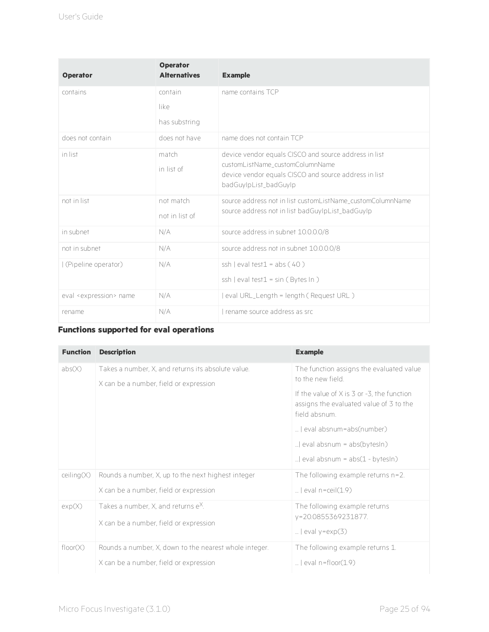| <b>Operator</b>                     | <b>Operator</b><br><b>Alternatives</b> | <b>Example</b>                                                                                                                                                             |
|-------------------------------------|----------------------------------------|----------------------------------------------------------------------------------------------------------------------------------------------------------------------------|
| contains                            | contain<br>like<br>has substring       | name contains TCP                                                                                                                                                          |
| does not contain                    | does not have                          | name does not contain TCP                                                                                                                                                  |
| in list                             | match<br>in list of                    | device vendor equals CISCO and source address in list<br>customListName_customColumnName<br>device vendor equals CISCO and source address in list<br>badGuyIpList_badGuyIp |
| not in list                         | not match<br>not in list of            | source address not in list customListName customColumnName<br>source address not in list badGuyIpList_badGuyIp                                                             |
| in subnet                           | N/A                                    | source address in subnet 10.0.0.0/8                                                                                                                                        |
| not in subnet                       | N/A                                    | source address not in subnet 10.0.0.0/8                                                                                                                                    |
| (Pipeline operator)                 | N/A                                    | ssh $ $ eval test $1 = abs(40)$<br>$\operatorname{cosh}$   eval test1 = sin (Bytes In)                                                                                     |
| eval <expression> name</expression> | N/A                                    | eval URL_Length = length (Request URL)                                                                                                                                     |
| rename                              | N/A                                    | I rename source address as src                                                                                                                                             |

### **Functions supported for eval operations**

| <b>Function</b> | <b>Description</b>                                                                           | <b>Example</b>                                                                                                |
|-----------------|----------------------------------------------------------------------------------------------|---------------------------------------------------------------------------------------------------------------|
| abs(X)          | Takes a number, X, and returns its absolute value.<br>X can be a number, field or expression | The function assigns the evaluated value<br>to the new field                                                  |
|                 |                                                                                              | If the value of $X$ is $3$ or $-3$ , the function<br>assigns the evaluated value of 3 to the<br>field absnum. |
|                 |                                                                                              | l eval absnum=abs(number)                                                                                     |
|                 |                                                                                              | $ $ eval absnum = abs(bytesIn)                                                                                |
|                 |                                                                                              | eval absnum = abs(1 - bytesIn)                                                                                |
| ceiling(X)      | Rounds a number, X, up to the next highest integer                                           | The following example returns $n=2$ .                                                                         |
|                 | X can be a number, field or expression                                                       | $ $ eval n=ceil(1.9)                                                                                          |
| exp(X)          | Takes a number, $X$ , and returns $e^X$ .                                                    | The following example returns                                                                                 |
|                 | X can be a number, field or expression                                                       | y=20.0855369231877.<br>$ $ eval y=exp $(3)$                                                                   |
| floor(X)        | Rounds a number, X, down to the nearest whole integer.                                       | The following example returns 1.                                                                              |
|                 | X can be a number, field or expression                                                       | $\ldots$ l eval n=floor $(1.9)$                                                                               |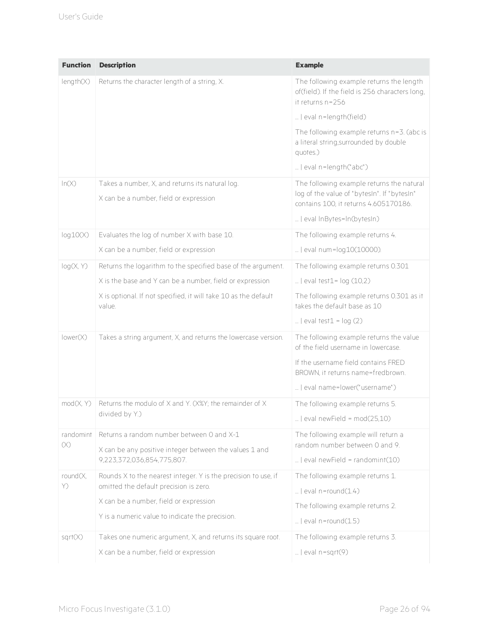| <b>Function</b> | <b>Description</b>                                                                        | <b>Example</b>                                                                                                                    |
|-----------------|-------------------------------------------------------------------------------------------|-----------------------------------------------------------------------------------------------------------------------------------|
| length(X)       | Returns the character length of a string, X.                                              | The following example returns the length<br>of(field). If the field is 256 characters long,<br>it returns n=256                   |
|                 |                                                                                           | eval n=length(field)                                                                                                              |
|                 |                                                                                           | The following example returns n=3. (abc is<br>a literal string, surrounded by double<br>quotes.)                                  |
|                 |                                                                                           | eval n=length("abc")                                                                                                              |
| ln(X)           | Takes a number, X, and returns its natural log.<br>X can be a number, field or expression | The following example returns the natural<br>log of the value of "bytesIn". If "bytesIn"<br>contains 100, it returns 4.605170186. |
|                 |                                                                                           | eval InBytes=In(bytesIn)                                                                                                          |
| log10(X)        | Evaluates the log of number X with base 10.                                               | The following example returns 4.                                                                                                  |
|                 | X can be a number, field or expression                                                    | eval num=log10(10000).                                                                                                            |
|                 |                                                                                           |                                                                                                                                   |
| log(X, Y)       | Returns the logarithm to the specified base of the argument.                              | The following example returns 0.301                                                                                               |
|                 | X is the base and Y can be a number, field or expression                                  | $ $ eval test1= $log(10,2)$                                                                                                       |
|                 | X is optional. If not specified, it will take 10 as the default<br>value.                 | The following example returns 0.301 as it<br>takes the default base as 10                                                         |
|                 |                                                                                           | $ $ eval test1 = $log(2)$                                                                                                         |
| lower(X)        | Takes a string argument, X, and returns the lowercase version.                            | The following example returns the value<br>of the field username in lowercase.                                                    |
|                 |                                                                                           | If the username field contains FRED<br>BROWN, it returns name=fredbrown.                                                          |
|                 |                                                                                           | eval name=lower("username")                                                                                                       |
| mod(X, Y)       | Returns the modulo of X and Y. (X%Y; the remainder of X                                   | The following example returns 5.                                                                                                  |
|                 | divided by Y.)                                                                            | $ $ eval newField = $mod(25,10)$                                                                                                  |
| randomint       | Returns a random number between 0 and X-1                                                 | The following example will return a                                                                                               |
| $(\times)$      | X can be any positive integer between the values 1 and                                    | random number between 0 and 9.                                                                                                    |
|                 | 9,223,372,036,854,775,807.                                                                | $ $ eval newField = randomint(10)                                                                                                 |
| round(X,        | Rounds X to the nearest integer. Y is the precision to use, if                            | The following example returns 1.                                                                                                  |
| Y)              | omitted the default precision is zero.                                                    | $ $ eval n=round $(1.4)$                                                                                                          |
|                 | X can be a number, field or expression                                                    | The following example returns 2.                                                                                                  |
|                 | Y is a numeric value to indicate the precision.                                           | $\ldots$ l eval n=round(1.5)                                                                                                      |
| sqrt(X)         | Takes one numeric argument, X, and returns its square root.                               | The following example returns 3.                                                                                                  |
|                 | X can be a number, field or expression                                                    | $ $ eval n=sqrt $(9)$                                                                                                             |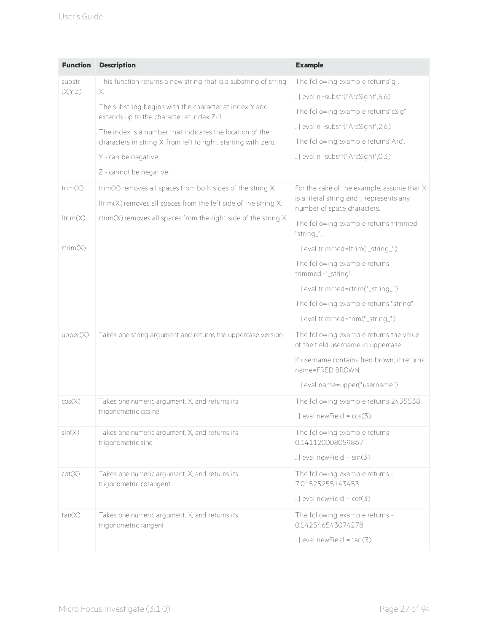| <b>Function</b> | <b>Description</b>                                                                                  | <b>Example</b>                                                                 |
|-----------------|-----------------------------------------------------------------------------------------------------|--------------------------------------------------------------------------------|
| substr          | This function returns a new string that is a substring of string                                    | The following example returns"g".                                              |
| (X, Y, Z)       | Х.                                                                                                  | eval n=substr("ArcSight",5,6)                                                  |
|                 | The substring begins with the character at index Y and<br>extends up to the character at index Z-1. | The following example returns" cSig".                                          |
|                 | The index is a number that indicates the location of the                                            | eval n=substr("ArcSight",2,6)                                                  |
|                 | characters in string X, from left to right, starting with zero.                                     | The following example returns" Arc".                                           |
|                 | Y - can be negative.                                                                                | eval n=substr("ArcSight",0,3)                                                  |
|                 | Z - cannot be negative.                                                                             |                                                                                |
| trim(X)         | trim(X) removes all spaces from both sides of the string X.                                         | For the sake of the example, assume that X                                     |
|                 | Itrim(X) removes all spaces from the left side of the string X.                                     | is a literal string and _ represents any<br>number of space characters.        |
| ltrim(X)        | rtrim(X) removes all spaces from the right side of the string X.                                    | The following example returns trimmed=<br>"string_".                           |
| rtrim(X)        |                                                                                                     | eval trimmed=ltrim("_string_")                                                 |
|                 |                                                                                                     | The following example returns<br>trimmed="_string".                            |
|                 |                                                                                                     | eval trimmed=rtrim("_string_")                                                 |
|                 |                                                                                                     | The following example returns "string".                                        |
|                 |                                                                                                     | eval trimmed=trim("_string_")                                                  |
| upper(X)        | Takes one string argument and returns the uppercase version.                                        | The following example returns the value<br>of the field username in uppercase. |
|                 |                                                                                                     | If username contains fred brown, it returns<br>name=FRED BROWN.                |
|                 |                                                                                                     | eval name=upper("username")                                                    |
| cos(X)          | Takes one numeric argument, X, and returns its                                                      | The following example returns 2435538                                          |
|                 | trigonometric cosine                                                                                | $ $ eval newField = $cos(3)$                                                   |
| sin(X)          | Takes one numeric argument, X, and returns its<br>trigonometric sine                                | The following example returns<br>0.141120008059867                             |
|                 |                                                                                                     | $ $ eval newField = sin(3)                                                     |
| cot(X)          | Takes one numeric argument, X, and returns its<br>trigonometric cotangent                           | The following example returns -<br>7.01525255143453                            |
|                 |                                                                                                     | $ $ eval newField = $cot(3)$                                                   |
| tan(X)          | Takes one numeric argument, X, and returns its<br>trigonometric tangent                             | The following example returns -<br>0.142546543074278                           |
|                 |                                                                                                     | $ $ eval newField = $tan(3)$                                                   |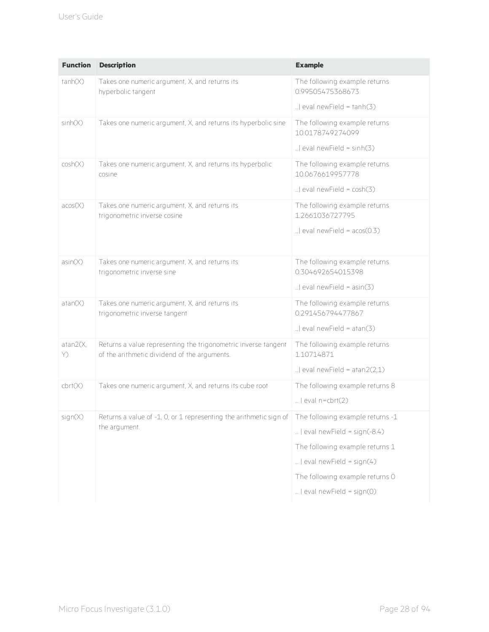| <b>Function</b> | <b>Description</b>                                                                                             | <b>Example</b>                                     |
|-----------------|----------------------------------------------------------------------------------------------------------------|----------------------------------------------------|
| tanh(X)         | Takes one numeric argument, X, and returns its<br>hyperbolic tangent                                           | The following example returns<br>0.99505475368673  |
|                 |                                                                                                                | $ $ eval newField = $tanh(3)$                      |
| sinh(X)         | Takes one numeric argument, X, and returns its hyperbolic sine                                                 | The following example returns<br>10.0178749274099  |
|                 |                                                                                                                | $ $ eval newField = sinh(3)                        |
| cosh(X)         | Takes one numeric argument, X, and returns its hyperbolic<br>cosine                                            | The following example returns<br>10.0676619957778  |
|                 |                                                                                                                | $ $ eval newField = $cosh(3)$                      |
| acos(X)         | Takes one numeric argument, X, and returns its<br>trigonometric inverse cosine                                 | The following example returns<br>1.2661036727795   |
|                 |                                                                                                                | $ $ eval new Field = $acos(0.3)$                   |
| asin(X)         | Takes one numeric argument, X, and returns its<br>trigonometric inverse sine                                   | The following example returns<br>0.304692654015398 |
|                 |                                                                                                                | $ $ eval newField = asin(3)                        |
| atan(X)         | Takes one numeric argument, X, and returns its<br>trigonometric inverse tangent                                | The following example returns<br>0.291456794477867 |
|                 |                                                                                                                | $ $ eval new Field = atan(3)                       |
| atan2(X,<br>Y)  | Returns a value representing the trigonometric inverse tangent<br>of the arithmetic dividend of the arguments. | The following example returns<br>1.10714871        |
|                 |                                                                                                                | $ $ eval newField = atan2(2,1)                     |
| chrt(X)         | Takes one numeric argument, X, and returns its cube root                                                       | The following example returns 8                    |
|                 |                                                                                                                | $\ldots$   eval n=cbrt(2)                          |
| sign(X)         | Returns a value of -1, 0, or 1 representing the arithmetic sign of<br>the argument.                            | The following example returns -1                   |
|                 |                                                                                                                | $ $ eval newField = sign(-8.4)                     |
|                 |                                                                                                                | The following example returns 1                    |
|                 |                                                                                                                | $ $ eval newField = sign(4)                        |
|                 |                                                                                                                | The following example returns O                    |
|                 |                                                                                                                | $ $ eval newField = sign(0)                        |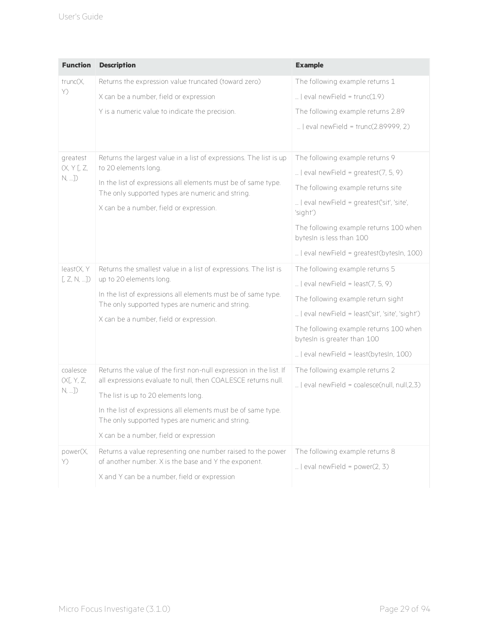| <b>Function</b>                          | <b>Description</b>                                                                                                                                                                                                                                                                                                                        | <b>Example</b>                                                                                                                                                                                                                                                                            |
|------------------------------------------|-------------------------------------------------------------------------------------------------------------------------------------------------------------------------------------------------------------------------------------------------------------------------------------------------------------------------------------------|-------------------------------------------------------------------------------------------------------------------------------------------------------------------------------------------------------------------------------------------------------------------------------------------|
| trunc(X,<br>Y)                           | Returns the expression value truncated (toward zero)                                                                                                                                                                                                                                                                                      | The following example returns 1                                                                                                                                                                                                                                                           |
|                                          | X can be a number, field or expression                                                                                                                                                                                                                                                                                                    | $ $ eval newField = trunc $(1.9)$                                                                                                                                                                                                                                                         |
|                                          | Y is a numeric value to indicate the precision.                                                                                                                                                                                                                                                                                           | The following example returns 2.89                                                                                                                                                                                                                                                        |
|                                          |                                                                                                                                                                                                                                                                                                                                           | $ $ eval newField = trunc(2.89999, 2)                                                                                                                                                                                                                                                     |
| greatest<br>(X, Y[, Z,<br>N,             | Returns the largest value in a list of expressions. The list is up<br>to 20 elements long.<br>In the list of expressions all elements must be of same type.<br>The only supported types are numeric and string.<br>X can be a number, field or expression.                                                                                | The following example returns 9<br>$ $ eval newField = greatest(7, 5, 9)<br>The following example returns site<br>  eval newField = greatest('sit', 'site',<br>'sight')<br>The following example returns 100 when<br>bytesIn is less than 100<br>  eval newField = greatest(bytesIn, 100) |
| least(X, Y)<br>[Z, N, ]                  | Returns the smallest value in a list of expressions. The list is<br>up to 20 elements long.<br>In the list of expressions all elements must be of same type.<br>The only supported types are numeric and string.<br>X can be a number, field or expression.                                                                               | The following example returns 5<br>$ $ eval newField = least(7, 5, 9)<br>The following example return sight<br>  eval newField = least('sit', 'site', 'sight')<br>The following example returns 100 when<br>bytesIn is greater than 100<br>  eval newField = least(bytesIn, 100)          |
| coalesce<br>(X[, Y, Z,<br>$N, \ldots$ ]) | Returns the value of the first non-null expression in the list. If<br>all expressions evaluate to null, then COALESCE returns null.<br>The list is up to 20 elements long.<br>In the list of expressions all elements must be of same type.<br>The only supported types are numeric and string.<br>X can be a number, field or expression | The following example returns 2<br>  eval newField = coalesce(null, null,2,3)                                                                                                                                                                                                             |
| power(X,<br>Y)                           | Returns a value representing one number raised to the power<br>of another number. X is the base and Y the exponent.<br>X and Y can be a number, field or expression                                                                                                                                                                       | The following example returns 8<br>$ $ eval newField = power(2, 3)                                                                                                                                                                                                                        |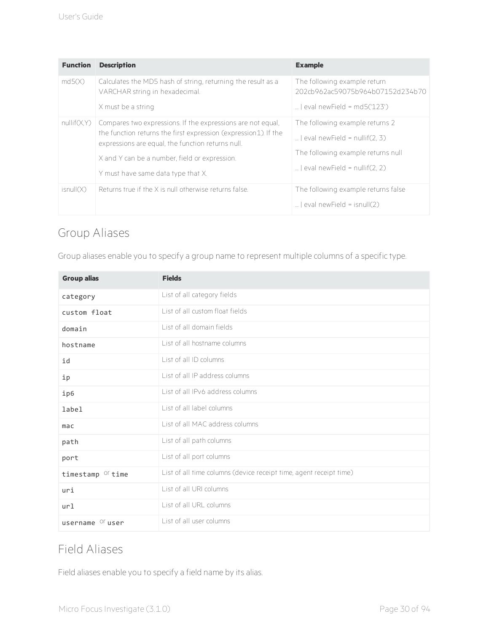| <b>Function</b> | <b>Description</b>                                                                                                                                                                                                                                                          | <b>Example</b>                                                                                                                                |
|-----------------|-----------------------------------------------------------------------------------------------------------------------------------------------------------------------------------------------------------------------------------------------------------------------------|-----------------------------------------------------------------------------------------------------------------------------------------------|
| md5(X)          | Calculates the MD5 hash of string, returning the result as a<br>VARCHAR string in hexadecimal.<br>X must be a string                                                                                                                                                        | The following example return<br>202cb962ac59075b964b07152d234b70<br>$ $ eval newField = md5('123')                                            |
| nullif(X,Y)     | Compares two expressions. If the expressions are not equal.<br>the function returns the first expression (expression 1). If the<br>expressions are equal, the function returns null.<br>X and Y can be a number, field or expression.<br>Y must have same data type that X. | The following example returns 2<br>$ $ eval newField = nullif(2, 3)<br>The following example returns null<br>$ $ eval newField = nullif(2, 2) |
| isnull(X)       | Returns true if the X is null otherwise returns false.                                                                                                                                                                                                                      | The following example returns false<br>$\ldots$ l eval newField = isnull(2)                                                                   |

# <span id="page-34-0"></span>Group Aliases

Group aliases enable you to specify a group name to represent multiple columns of a specific type.

| <b>Group alias</b>           | <b>Fields</b>                                                      |  |
|------------------------------|--------------------------------------------------------------------|--|
| category                     | List of all category fields                                        |  |
| custom float                 | List of all custom float fields                                    |  |
| domain                       | List of all domain fields                                          |  |
| hostname                     | List of all hostname columns                                       |  |
| id                           | List of all ID columns                                             |  |
| ip                           | List of all IP address columns                                     |  |
| ip6                          | List of all IPv6 address columns                                   |  |
| label                        | List of all label columns                                          |  |
| mac                          | List of all MAC address columns                                    |  |
| path                         | List of all path columns                                           |  |
| port                         | List of all port columns                                           |  |
| timestamp <sup>Or</sup> time | List of all time columns (device receipt time, agent receipt time) |  |
| uri                          | List of all URI columns                                            |  |
| url                          | List of all URL columns                                            |  |
| username <sup>Or</sup> user  | List of all user columns                                           |  |

## <span id="page-34-1"></span>Field Aliases

Field aliases enable you to specify a field name by its alias.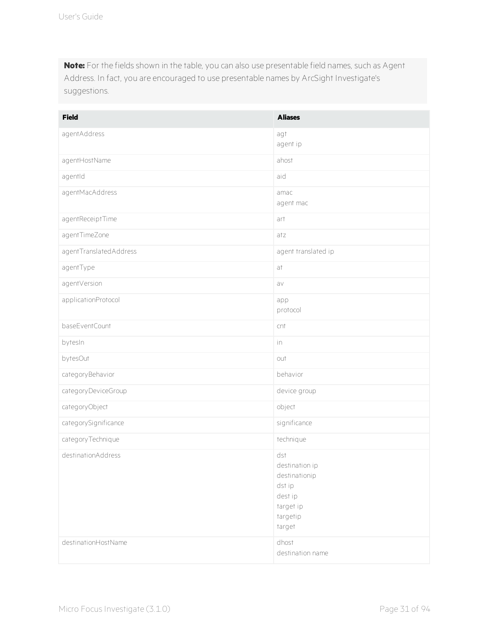**Note:** For the fields shown in the table, you can also use presentable field names, such as Agent Address. In fact, you are encouraged to use presentable names by ArcSight Investigate's suggestions.

| <b>Field</b>           | <b>Aliases</b>                                                                                 |
|------------------------|------------------------------------------------------------------------------------------------|
| agentAddress           | agt<br>agent ip                                                                                |
| agentHostName          | ahost                                                                                          |
| agentId                | aid                                                                                            |
| agentMacAddress        | amac<br>agent mac                                                                              |
| agentReceiptTime       | art                                                                                            |
| agentTimeZone          | atz                                                                                            |
| agentTranslatedAddress | agent translated ip                                                                            |
| agentType              | at                                                                                             |
| agentVersion           | av                                                                                             |
| applicationProtocol    | app<br>protocol                                                                                |
| baseEventCount         | cnt                                                                                            |
| bytesIn                | in                                                                                             |
| bytesOut               | out                                                                                            |
| categoryBehavior       | behavior                                                                                       |
| categoryDeviceGroup    | device group                                                                                   |
| categoryObject         | object                                                                                         |
| categorySignificance   | significance                                                                                   |
| categoryTechnique      | technique                                                                                      |
| destinationAddress     | dst<br>destination ip<br>destinationip<br>dst ip<br>dest ip<br>target ip<br>targetip<br>target |
| destinationHostName    | dhost<br>destination name                                                                      |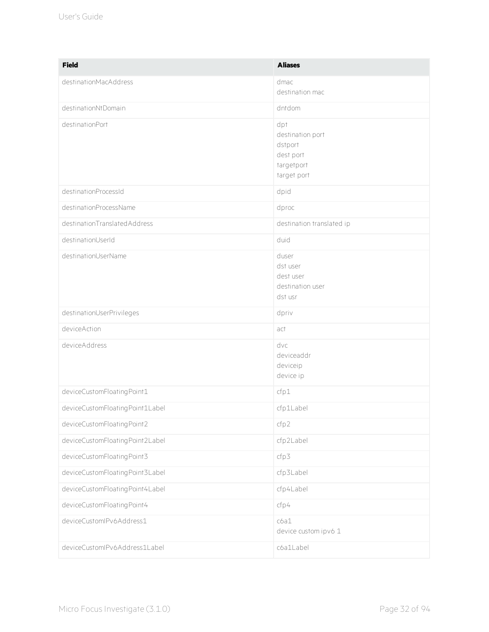| <b>Field</b>                    | <b>Aliases</b>                                                               |
|---------------------------------|------------------------------------------------------------------------------|
| destinationMacAddress           | dmac<br>destination mac                                                      |
| destinationNtDomain             | dntdom                                                                       |
| destinationPort                 | dpt<br>destination port<br>dstport<br>dest port<br>targetport<br>target port |
| destinationProcessId            | dpid                                                                         |
| destinationProcessName          | dproc                                                                        |
| destinationTranslatedAddress    | destination translated ip                                                    |
| destinationUserId               | duid                                                                         |
| destinationUserName             | duser<br>dst user<br>dest user<br>destination user<br>dst usr                |
| destinationUserPrivileges       | dpriv                                                                        |
| deviceAction                    | act                                                                          |
| deviceAddress                   | dvc<br>deviceaddr<br>deviceip<br>device ip                                   |
| deviceCustomFloatingPoint1      | cfp1                                                                         |
| deviceCustomFloatingPoint1Label | cfp1Label                                                                    |
| deviceCustomFloatingPoint2      | cfp2                                                                         |
| deviceCustomFloatingPoint2Label | cfp2Label                                                                    |
| deviceCustomFloatingPoint3      | cfp3                                                                         |
| deviceCustomFloatingPoint3Label | cfp3Label                                                                    |
| deviceCustomFloatingPoint4Label | cfp4Label                                                                    |
| deviceCustomFloatingPoint4      | cfp4                                                                         |
| deviceCustomlPv6Address1        | c6a1<br>device custom ipv6 1                                                 |
| deviceCustomlPv6Address1Label   | cóa1Label                                                                    |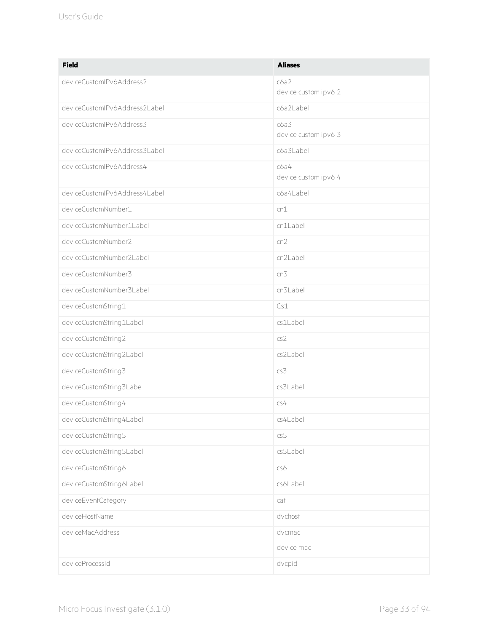| <b>Field</b>                  | <b>Aliases</b>               |
|-------------------------------|------------------------------|
| deviceCustomlPv6Address2      | c6a2<br>device custom ipv6 2 |
| deviceCustomIPv6Address2Label | cóa2Label                    |
| deviceCustomlPv6Address3      | c6a3<br>device custom ipv6 3 |
| deviceCustomIPv6Address3Label | cóa3Label                    |
| deviceCustomlPv6Address4      | c6a4<br>device custom ipv6 4 |
| deviceCustomIPv6Address4Label | cóa4Label                    |
| deviceCustomNumber1           | cn1                          |
| deviceCustomNumber1Label      | cn1Label                     |
| deviceCustomNumber2           | cn2                          |
| deviceCustomNumber2Label      | cn2Label                     |
| deviceCustomNumber3           | cn3                          |
| deviceCustomNumber3Label      | cn3Label                     |
| deviceCustomString1           | Cs1                          |
| deviceCustomString1Label      | cs1Label                     |
| deviceCustomString2           | cs2                          |
| deviceCustomString2Label      | cs2Label                     |
| deviceCustomString3           | cs3                          |
| deviceCustomString3Labe       | cs3Label                     |
| deviceCustomString4           | cs4                          |
| deviceCustomString4Label      | cs4Label                     |
| deviceCustomString5           | cs5                          |
| deviceCustomString5Label      | cs5Label                     |
| deviceCustomString6           | cs6                          |
| deviceCustomString6Label      | cs6Label                     |
| deviceEventCategory           | cat                          |
| deviceHostName                | dvchost                      |
| deviceMacAddress              | dvcmac                       |
|                               | device mac                   |
| deviceProcessId               | dvcpid                       |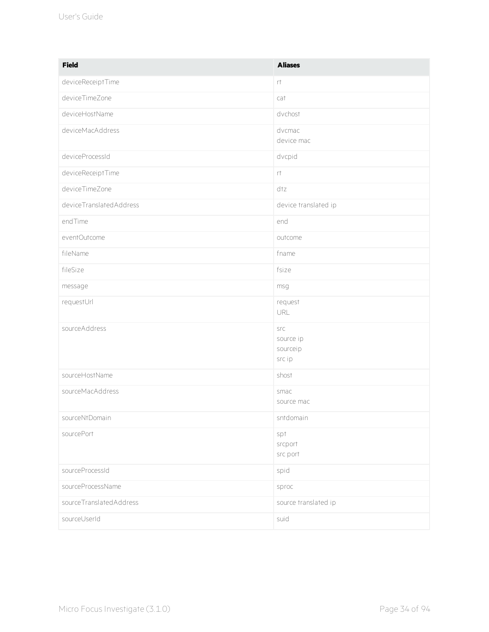| <b>Field</b>            | <b>Aliases</b>                         |
|-------------------------|----------------------------------------|
| deviceReceiptTime       | rt.                                    |
| deviceTimeZone          | cat                                    |
| deviceHostName          | dvchost                                |
| deviceMacAddress        | dvcmac<br>device mac                   |
| deviceProcessId         | dvcpid                                 |
| deviceReceiptTime       | $\uparrow\uparrow$                     |
| deviceTimeZone          | dtz                                    |
| deviceTranslatedAddress | device translated ip                   |
| endTime                 | end                                    |
| eventOutcome            | outcome                                |
| fileName                | fname                                  |
| fileSize                | fsize                                  |
| message                 | msg                                    |
| requestUrl              | request<br>URL                         |
| sourceAddress           | src<br>source ip<br>sourceip<br>src ip |
| sourceHostName          | shost                                  |
| sourceMacAddress        | smac<br>source mac                     |
| sourceNtDomain          | sntdomain                              |
| sourcePort              | spt<br>srcport<br>src port             |
| sourceProcessId         | spid                                   |
| sourceProcessName       | sproc                                  |
| sourceTranslatedAddress | source translated ip                   |
| sourceUserId            | suid                                   |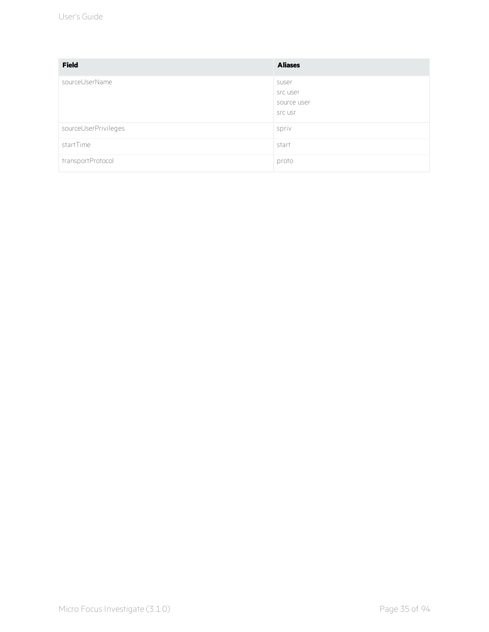| <b>Field</b>         | <b>Aliases</b>                              |
|----------------------|---------------------------------------------|
| sourceUserName       | suser<br>src user<br>source user<br>src usr |
| sourceUserPrivileges | spriv                                       |
| startTime            | start                                       |
| transportProtocol    | proto                                       |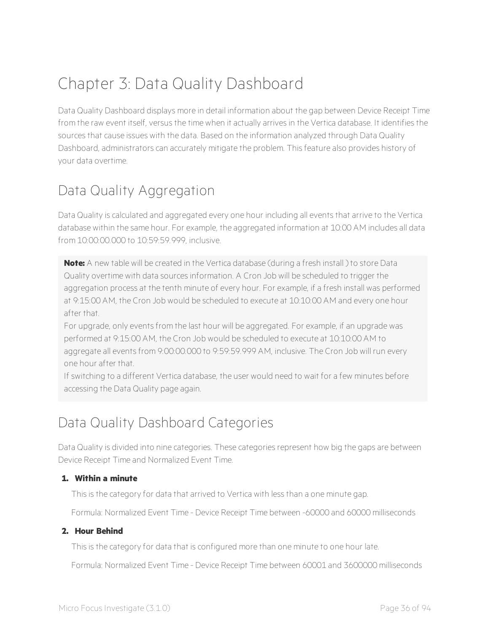# Chapter 3: Data Quality Dashboard

Data Quality Dashboard displays more in detail information about the gap between Device Receipt Time from the raw event itself, versus the time when it actually arrives in the Vertica database. It identifies the sources that cause issues with the data. Based on the information analyzed through Data Quality Dashboard, administrators can accurately mitigate the problem. This feature also provides history of your data overtime.

## Data Quality Aggregation

Data Quality is calculated and aggregated every one hour including all events that arrive to the Vertica database within the same hour. For example, the aggregated information at 10:00 AM includes all data from 10:00:00.000 to 10:59:59.999, inclusive.

**Note:** A new table will be created in the Vertica database (during a fresh install ) to store Data Quality overtime with data sources information. A Cron Job will be scheduled to trigger the aggregation process at the tenth minute of every hour. For example, if a fresh install was performed at 9:15:00 AM, the Cron Job would be scheduled to execute at 10:10:00 AM and every one hour after that.

For upgrade, only events from the last hour will be aggregated. For example, if an upgrade was performed at 9:15:00 AM, the Cron Job would be scheduled to execute at 10:10:00 AM to aggregate all events from 9:00:00.000 to 9:59:59.999 AM, inclusive. The Cron Job will run every one hour after that.

If switching to a different Vertica database, the user would need to wait for a few minutes before accessing the Data Quality page again.

## Data Quality Dashboard Categories

Data Quality is divided into nine categories. These categories represent how big the gaps are between Device Receipt Time and Normalized Event Time.

#### **1. Within a minute**

This is the category for data that arrived to Vertica with less than a one minute gap.

Formula: Normalized Event Time - Device Receipt Time between -60000 and 60000 milliseconds

#### **2. Hour Behind**

This is the category for data that is configured more than one minute to one hour late.

Formula: Normalized Event Time - Device Receipt Time between 60001 and 3600000 milliseconds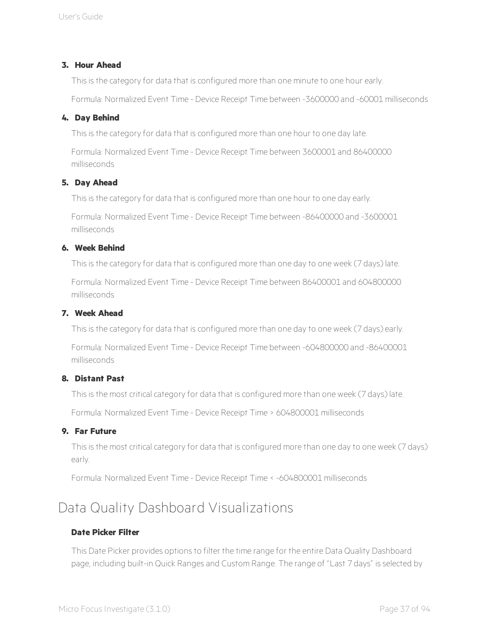#### **3. Hour Ahead**

This is the category for data that is configured more than one minute to one hour early.

Formula: Normalized Event Time - Device Receipt Time between -3600000 and -60001 milliseconds

#### **4. Day Behind**

This is the category for data that is configured more than one hour to one day late.

Formula: Normalized Event Time - Device Receipt Time between 3600001 and 86400000 milliseconds

#### **5. Day Ahead**

This is the category for data that is configured more than one hour to one day early.

Formula: Normalized Event Time - Device Receipt Time between -86400000 and -3600001 milliseconds

#### **6. Week Behind**

This is the category for data that is configured more than one day to one week (7 days) late.

Formula: Normalized Event Time - Device Receipt Time between 86400001 and 604800000 milliseconds

#### **7. Week Ahead**

This is the category for data that is configured more than one day to one week (7 days) early.

Formula: Normalized Event Time - Device Receipt Time between -604800000 and -86400001 milliseconds

#### **8. Distant Past**

This is the most critical category for data that is configured more than one week (7 days) late.

Formula: Normalized Event Time - Device Receipt Time > 604800001 milliseconds

#### **9. Far Future**

This is the most critical category for data that is configured more than one day to one week (7 days) early.

Formula: Normalized Event Time - Device Receipt Time < -604800001 milliseconds

### Data Quality Dashboard Visualizations

#### **Date Picker Filter**

This Date Picker provides options to filter the time range for the entire Data Quality Dashboard page, including built-in Quick Ranges and Custom Range. The range of "Last 7 days" is selected by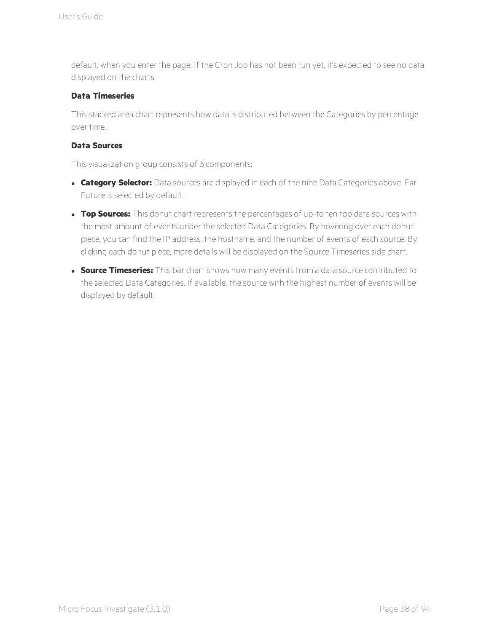default, when you enter the page. If the Cron Job has not been run yet, it's expected to see no data displayed on the charts.

#### **Data Timeseries**

This stacked area chart represents how data is distributed between the Categories by percentage over time.

#### **Data Sources**

This visualization group consists of 3 components:

- **.** Category Selector: Data sources are displayed in each of the nine Data Categories above. Far Future is selected by default.
- **Top Sources:** This donut chart represents the percentages of up-to ten top data sources with the most amount of events under the selected Data Categories. By hovering over each donut piece, you can find the IP address, the hostname, and the number of events of each source. By clicking each donut piece, more details will be displayed on the Source Timeseries side chart.
- **Source Timeseries:** This bar chart shows how many events from a data source contributed to the selected Data Categories. If available, the source with the highest number of events will be displayed by default.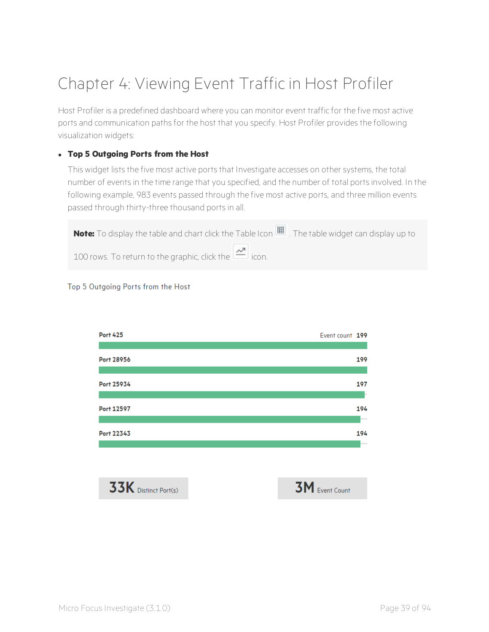# Chapter 4: Viewing Event Traffic in Host Profiler

Host Profiler is a predefined dashboard where you can monitor event traffic for the five most active ports and communication paths for the host that you specify. Host Profiler provides the following visualization widgets:

#### <sup>l</sup> **Top 5 Outgoing Ports from the Host**

This widget lists the five most active ports that Investigate accesses on other systems, the total number of events in the time range that you specified, and the number of total ports involved. In the following example, 983 events passed through the five most active ports, and three million events passed through thirty-three thousand ports in all.



#### Top 5 Outgoing Ports from the Host

| <b>Port 425</b> | Event count 199 |        |
|-----------------|-----------------|--------|
|                 |                 |        |
| Port 28956      |                 | 199    |
|                 |                 |        |
| Port 25934      |                 | 197    |
|                 |                 | b.     |
| Port 12597      |                 | 194    |
|                 |                 | $\sim$ |
| Port 22343      |                 | 194    |
|                 |                 | -      |

 $33K$  Distinct Port(s)

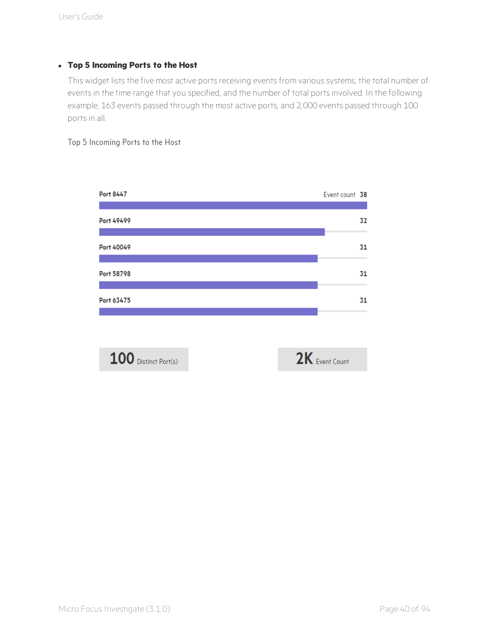#### <sup>l</sup> **Top 5 Incoming Ports to the Host**

This widget lists the five most active ports receiving events from various systems, the total number of events in the time range that you specified, and the number of total ports involved. In the following example, 163 events passed through the most active ports, and 2,000 events passed through 100 ports in all.

#### Top 5 Incoming Ports to the Host

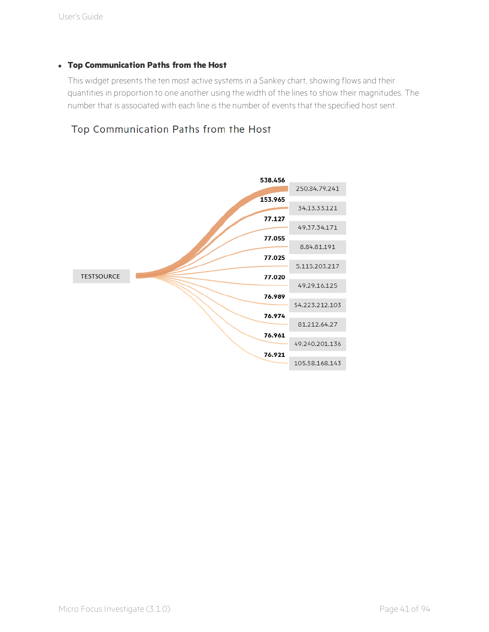#### <sup>l</sup> **Top Communication Paths from the Host**

This widget presents the ten most active systems in a Sankey chart, showing flows and their quantities in proportion to one another using the width of the lines to show their magnitudes. The number that is associated with each line is the number of events that the specified host sent.

#### Top Communication Paths from the Host

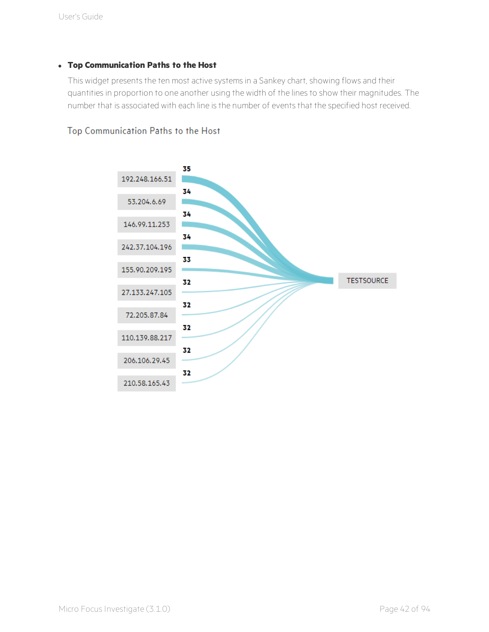#### <sup>l</sup> **Top Communication Paths to the Host**

This widget presents the ten most active systems in a Sankey chart, showing flows and their quantities in proportion to one another using the width of the lines to show their magnitudes. The number that is associated with each line is the number of events that the specified host received.

#### Top Communication Paths to the Host

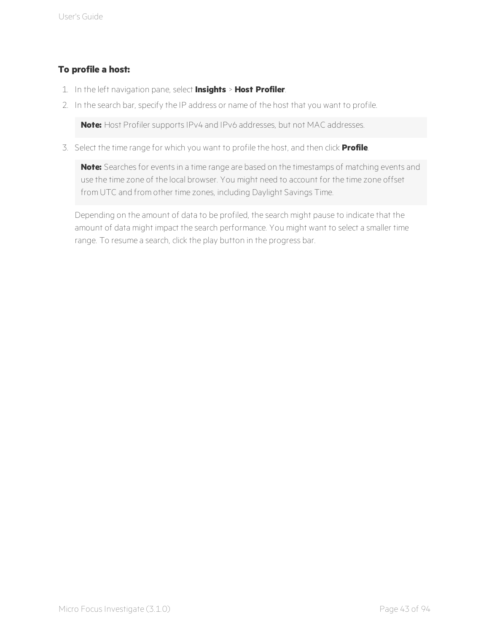#### **To profile a host:**

- 1. In the left navigation pane, select **Insights** > **Host Profiler**.
- 2. In the search bar, specify the IP address or name of the host that you want to profile.

**Note:** Host Profiler supports IPv4 and IPv6 addresses, but not MAC addresses.

3. Select the time range for which you want to profile the host, and then click **Profile**.

**Note:** Searches for events in a time range are based on the timestamps of matching events and use the time zone of the local browser. You might need to account for the time zone offset from UTC and from other time zones, including Daylight Savings Time.

Depending on the amount of data to be profiled, the search might pause to indicate that the amount of data might impact the search performance. You might want to select a smaller time range. To resume a search, click the play button in the progress bar.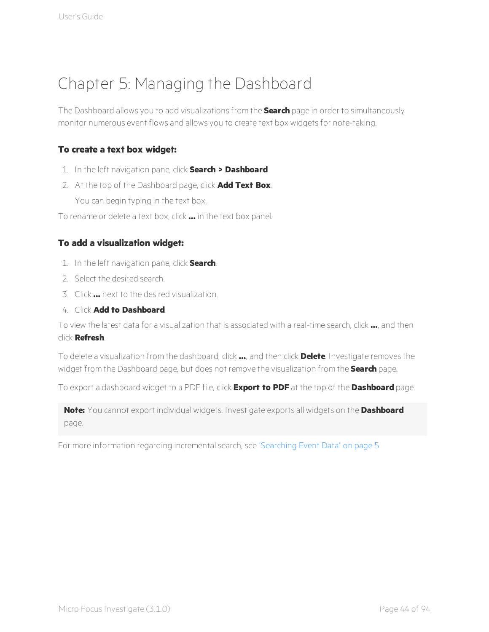# Chapter 5: Managing the Dashboard

The Dashboard allows you to add visualizations from the **Search** page in order to simultaneously monitor numerous event flows and allows you to create text box widgets for note-taking.

#### **To create a text box widget:**

- 1. In the left navigation pane, click **Search > Dashboard**.
- 2. At the top of the Dashboard page, click **Add Text Box**. You can begin typing in the text box.

To rename or delete a text box, click **...** in the text box panel.

#### **To add a visualization widget:**

- 1. In the left navigation pane, click **Search**.
- 2. Select the desired search.
- 3. Click **...** next to the desired visualization.
- 4. Click **Add to Dashboard**.

To view the latest data for a visualization that is associated with a real-time search, click **...**, and then click **Refresh**.

To delete a visualization from the dashboard, click **...**, and then click **Delete**. Investigate removes the widget from the Dashboard page, but does not remove the visualization from the **Search** page.

To export a dashboard widget to a PDF file, click **Export to PDF** at the top of the **Dashboard** page.

**Note:** You cannot export individual widgets. Investigate exports all widgets on the **Dashboard** page.

For more information regarding incremental search, see ["Searching](#page-9-0) Event Data" on page 5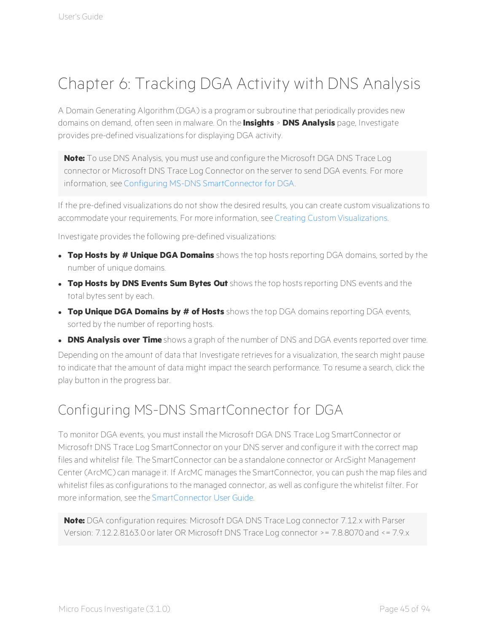# Chapter 6: Tracking DGA Activity with DNS Analysis

A Domain Generating Algorithm (DGA) is a program or subroutine that periodically provides new domains on demand, often seen in malware. On the **Insights** > **DNS Analysis** page, Investigate provides pre-defined visualizations for displaying DGA activity.

**Note:** To use DNS Analysis, you must use and configure the Microsoft DGA DNS Trace Log connector or Microsoft DNS Trace Log Connector on the server to send DGA events. For more information, see Configuring MS-DNS [SmartConnector](#page-49-0) for DGA.

If the pre-defined visualizations do not show the desired results, you can create custom visualizations to accommodate your requirements. For more information, see Creating Custom [Visualizations](#page-18-0).

Investigate provides the following pre-defined visualizations:

- <sup>l</sup> **Top Hosts by # Unique DGA Domains** shows the top hosts reporting DGA domains, sorted by the number of unique domains.
- <sup>l</sup> **Top Hosts by DNS Events Sum Bytes Out** shows the top hosts reporting DNS events and the total bytes sent by each.
- <sup>l</sup> **Top Unique DGA Domains by # of Hosts** shows the top DGA domains reporting DGA events, sorted by the number of reporting hosts.
- **.** DNS Analysis over Time shows a graph of the number of DNS and DGA events reported over time.

Depending on the amount of data that Investigate retrieves for a visualization, the search might pause to indicate that the amount of data might impact the search performance. To resume a search, click the play button in the progress bar.

## <span id="page-49-0"></span>Configuring MS-DNS SmartConnector for DGA

To monitor DGA events, you must install the Microsoft DGA DNS Trace Log SmartConnector or Microsoft DNS Trace Log SmartConnector on your DNS server and configure it with the correct map files and whitelist file. The SmartConnector can be a standalone connector or ArcSight Management Center (ArcMC) can manage it. If ArcMC manages the SmartConnector, you can push the map files and whitelist files as configurations to the managed connector, as well as configure the whitelist filter. For more information, see the [SmartConnector](https://community.microfocus.com/t5/ArcSight-Connectors/tkb-p/connector-documentation) User Guide.

**Note:** DGA configuration requires: Microsoft DGA DNS Trace Log connector 7.12.x with Parser Version: 7.12.2.8163.0 or later OR Microsoft DNS Trace Log connector >= 7.8.8070 and <= 7.9.x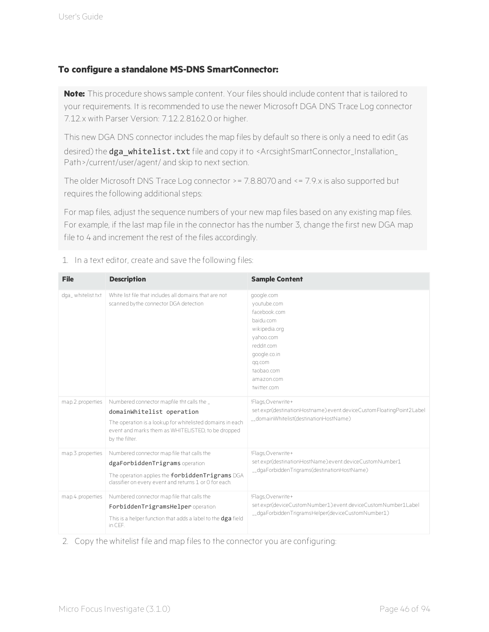#### **To configure a standalone MS-DNS SmartConnector:**

**Note:** This procedure shows sample content. Your files should include content that is tailored to your requirements. It is recommended to use the newer Microsoft DGA DNS Trace Log connector 7.12.x with Parser Version: 7.12.2.8162.0 or higher.

This new DGA DNS connector includes the map files by default so there is only a need to edit (as desired) the dga\_whitelist.txt file and copy it to <ArcsightSmartConnector\_Installation\_ Path>/current/user/agent/ and skip to next section.

The older Microsoft DNS Trace Log connector >= 7.8.8070 and <= 7.9.x is also supported but requires the following additional steps:

For map files, adjust the sequence numbers of your new map files based on any existing map files. For example, if the last map file in the connector has the number 3, change the first new DGA map file to 4 and increment the rest of the files accordingly.

| <b>File</b>       | <b>Description</b>                                                                                                                                                                                         | <b>Sample Content</b>                                                                                                                                                   |
|-------------------|------------------------------------------------------------------------------------------------------------------------------------------------------------------------------------------------------------|-------------------------------------------------------------------------------------------------------------------------------------------------------------------------|
| dga_whitelist.txt | White list file that includes all domains that are not<br>scanned by the connector DGA detection                                                                                                           | google.com<br>youtube.com<br>facebook com<br>baidu com<br>wikipedia.org<br>vahoo.com<br>reddit com<br>google.co.in<br>qq.com<br>taobao com<br>amazon.com<br>twitter com |
| map.2.properties  | Numbered connector mapfile tht calls the<br>domainWhitelist operation<br>The operation is a lookup for whitelisted domains in each<br>event and marks them as WHITELISTED, to be dropped<br>by the filter. | !Flags, Overwrite+<br>set.expr(destinationHostname).event.deviceCustomFloatingPoint2Label<br>__domainWhitelist(destinationHostName)                                     |
| map.3.properties  | Numbered connector map file that calls the<br>dgaForbiddenTrigrams operation<br>The operation applies the forbiddenTrigrams DGA<br>classifier on every event and returns 1 or 0 for each.                  | !Flags, Overwrite+<br>set.expr(destinationHostName).event.deviceCustomNumber1<br>__dgaForbiddenTrigrams(destinationHostName)                                            |
| map.4.properties  | Numbered connector map file that calls the<br>ForbiddenTrigramsHelper operation<br>This is a helper function that adds a label to the dga field<br>in CEF.                                                 | !Flags, Overwrite+<br>set.expr(deviceCustomNumber1).event.deviceCustomNumber1Label<br>__dgaForbiddenTrigramsHelper(deviceCustomNumber1)                                 |

#### 1. In a text editor, create and save the following files:

2. Copy the whitelist file and map files to the connector you are configuring: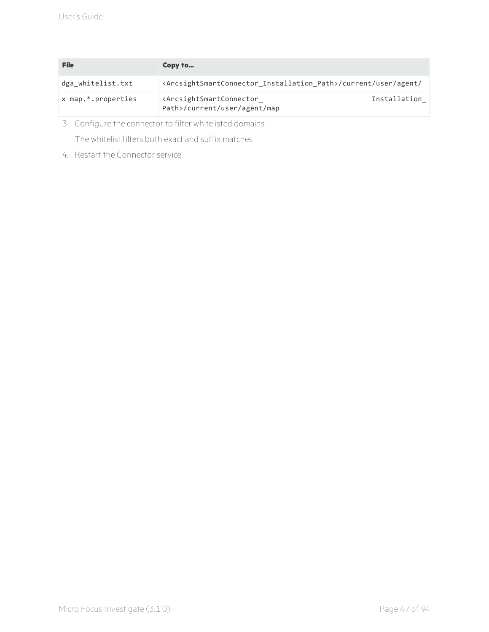| File                              | Copy to                                                                                                   |              |
|-----------------------------------|-----------------------------------------------------------------------------------------------------------|--------------|
| dga whitelist.txt                 | <arcsightsmartconnector_installation_path>/current/user/agent/</arcsightsmartconnector_installation_path> |              |
| $x$ map. <sup>*</sup> .properties | <arcsightsmartconnector<br>Path&gt;/current/user/agent/map</arcsightsmartconnector<br>                    | Installation |

3. Configure the connector to filter whitelisted domains. The whitelist filters both exact and suffix matches.

4. Restart the Connector service.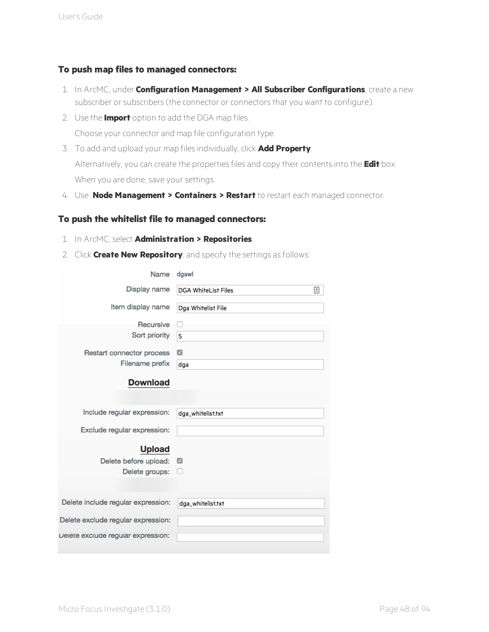#### **To push map files to managed connectors:**

- 1. In ArcMC, under **Configuration Management > All Subscriber Configurations**, create a new subscriber or subscribers (the connector or connectors that you want to configure).
- 2. Use the **Import** option to add the DGA map files. Choose your connector and map file configuration type.
- 3. To add and upload your map files individually, click **Add Property**. Alternatively, you can create the properties files and copy their contents into the **Edit** box. When you are done, save your settings.
- 4. Use **Node Management > Containers > Restart** to restart each managed connector.

#### **To push the whitelist file to managed connectors:**

- 1. In ArcMC, select **Administration > Repositories**.
- 2. Click **Create New Repository**, and specify the settings as follows:

| Name                                                     | dgawl                           |
|----------------------------------------------------------|---------------------------------|
| Display name                                             | 固<br><b>DGA WhiteList Files</b> |
| Item display name                                        | Dga Whitelist File              |
| Recursive                                                |                                 |
| Sort priority                                            | 5                               |
| Restart connector process                                | Ø                               |
| Filename prefix                                          | dga                             |
| <b>Download</b>                                          |                                 |
| Include regular expression:                              | dga_whitelist.txt               |
| Exclude regular expression:                              |                                 |
| <b>Upload</b><br>Delete before upload:<br>Delete groups: | ø                               |
| Delete include regular expression:                       | dga_whitelist.txt               |
| Delete exclude regular expression:                       |                                 |
| Delete exclude regular expression:                       |                                 |
|                                                          |                                 |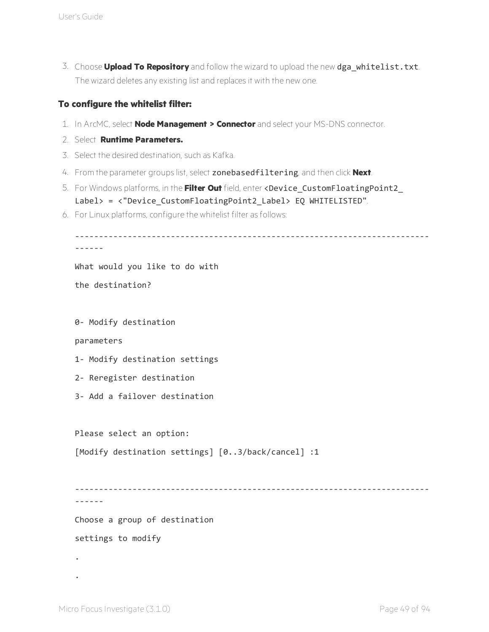3. Choose **Upload To Repository** and follow the wizard to upload the new dga\_whitelist.txt. The wizard deletes any existing list and replaces it with the new one.

#### **To configure the whitelist filter:**

- 1. In ArcMC, select **Node Management > Connector** and select your MS-DNS connector.
- 2. Select **Runtime Parameters.**
- 3. Select the desired destination, such as Kafka.
- 4. From the parameter groups list, select zonebasedfiltering, and then click **Next**.
- 5. For Windows platforms, in the **Filter Out** field, enter <Device\_CustomFloatingPoint2\_ Label> = <"Device\_CustomFloatingPoint2\_Label> EQ WHITELISTED".
- 6. For Linux platforms, configure the whitelist filter as follows:

```
--------------------------------------------------------------------------
------
What would you like to do with
the destination?
0- Modify destination
parameters
1- Modify destination settings
2- Reregister destination
3- Add a failover destination
Please select an option:
[Modify destination settings] [0..3/back/cancel] :1
--------------------------------------------------------------------------
------
Choose a group of destination
settings to modify
.
```
.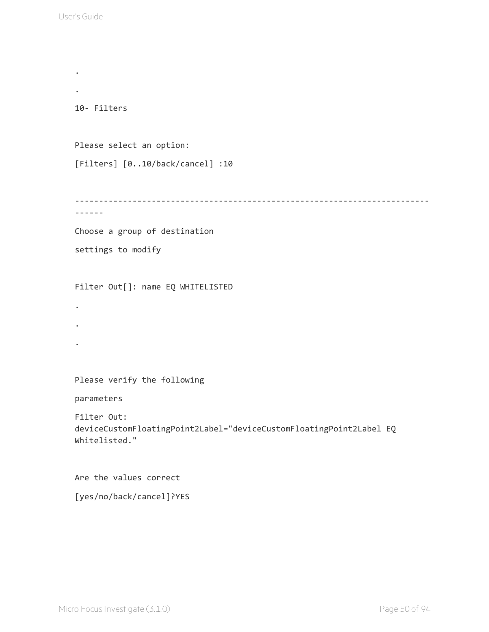.

```
.
10- Filters
Please select an option:
[Filters] [0..10/back/cancel] :10
--------------------------------------------------------------------------
------
Choose a group of destination
settings to modify
Filter Out[]: name EQ WHITELISTED
.
.
.
Please verify the following
parameters
Filter Out:
deviceCustomFloatingPoint2Label="deviceCustomFloatingPoint2Label EQ
Whitelisted."
Are the values correct
```
[yes/no/back/cancel]?YES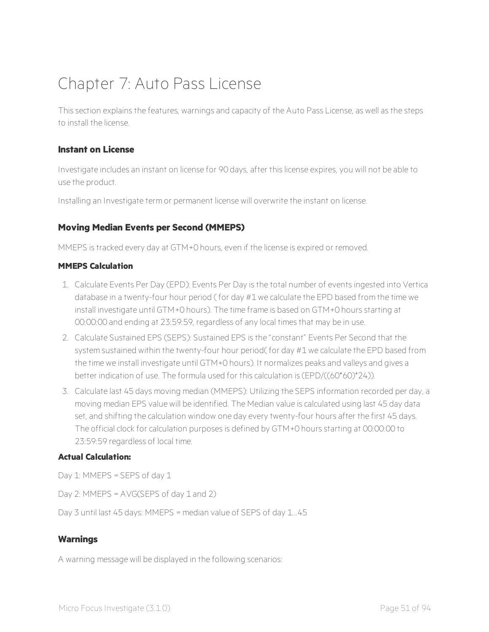# Chapter 7: Auto Pass License

This section explains the features, warnings and capacity of the Auto Pass License, as well as the steps to install the license.

#### **Instant on License**

Investigate includes an instant on license for 90 days, after this license expires, you will not be able to use the product.

Installing an Investigate term or permanent license will overwrite the instant on license.

#### **Moving Median Events per Second (MMEPS)**

MMEPS is tracked every day at GTM+0 hours, even if the license is expired or removed.

#### **MMEPS Calculation**

- 1. Calculate Events Per Day (EPD): Events Per Day is the total number of events ingested into Vertica database in a twenty-four hour period ( for day #1 we calculate the EPD based from the time we install investigate until GTM+0 hours). The time frame is based on GTM+0 hours starting at 00:00:00 and ending at 23:59:59, regardless of any local times that may be in use.
- 2. Calculate Sustained EPS (SEPS): Sustained EPS is the "constant" Events Per Second that the system sustained within the twenty-four hour period( for day #1 we calculate the EPD based from the time we install investigate until GTM+0 hours). It normalizes peaks and valleys and gives a better indication of use. The formula used for this calculation is (EPD/((60\*60)\*24)).
- 3. Calculate last 45 days moving median (MMEPS): Utilizing the SEPS information recorded per day, a moving median EPS value will be identified. The Median value is calculated using last 45 day data set, and shifting the calculation window one day every twenty-four hours after the first 45 days. The official clock for calculation purposes is defined by GTM+0 hours starting at 00:00:00 to 23:59:59 regardless of local time.

#### **Actual Calculation:**

Day 1: MMEPS = SEPS of day 1

Day 2: MMEPS = AVG(SEPS of day 1 and 2)

Day 3 until last 45 days: MMEPS = median value of SEPS of day 1...45

#### **Warnings**

A warning message will be displayed in the following scenarios: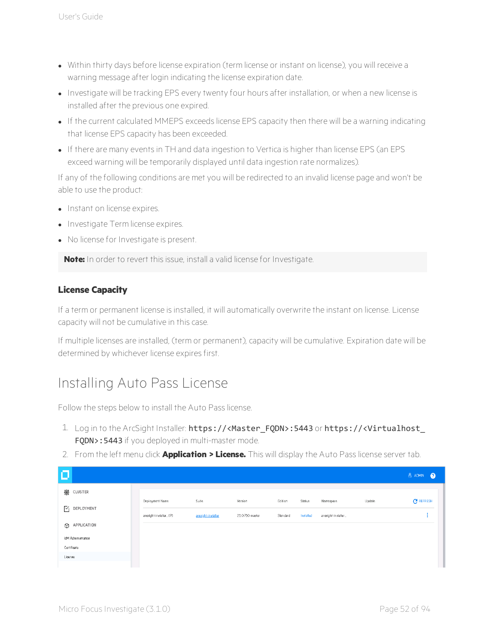- Within thirty days before license expiration (term license or instant on license), you will receive a warning message after login indicating the license expiration date.
- Investigate will be tracking EPS every twenty four hours after installation, or when a new license is installed after the previous one expired.
- If the current calculated MMEPS exceeds license EPS capacity then there will be a warning indicating that license EPS capacity has been exceeded.
- If there are many events in TH and data ingestion to Vertica is higher than license EPS (an EPS exceed warning will be temporarily displayed until data ingestion rate normalizes).

If any of the following conditions are met you will be redirected to an invalid license page and won't be able to use the product:

- Instant on license expires.
- Investigate Term license expires.
- No license for Investigate is present.

**Note:** In order to revert this issue, install a valid license for Investigate.

#### **License Capacity**

If a term or permanent license is installed, it will automatically overwrite the instant on license. License capacity will not be cumulative in this case.

If multiple licenses are installed, (term or permanent), capacity will be cumulative. Expiration date will be determined by whichever license expires first.

## Installing Auto Pass License

Follow the steps below to install the Auto Pass license.

- 1. Log in to the ArcSight Installer: https://<Master\_FQDN>:5443 or https://<Virtualhost\_ FQDN>: 5443 if you deployed in multi-master mode.
- 2. From the left menu click **Application > License.** This will display the Auto Pass license server tab.

| о           |                        |                       |                    |                  |          |           |                    |        | <b>A ADMIN</b><br>$\bullet$ |
|-------------|------------------------|-----------------------|--------------------|------------------|----------|-----------|--------------------|--------|-----------------------------|
|             | ▒ CLUSTER              |                       |                    |                  |          |           |                    |        |                             |
|             |                        | Deployment Name       | Suite              | Version          | Edition  | Status    | Namespace          | Update | $C$ REFRESH                 |
|             | $\boxed{V}$ DEPLOYMENT | arcsight-installer(P) | arcsight-installer | 2.1.0.710-master | Standard | Installed | arcsight-installer |        |                             |
|             | <b>O</b> APPLICATION   |                       |                    |                  |          |           |                    |        |                             |
|             | IdM Administration     |                       |                    |                  |          |           |                    |        |                             |
| Certificate |                        |                       |                    |                  |          |           |                    |        |                             |
| License     |                        |                       |                    |                  |          |           |                    |        |                             |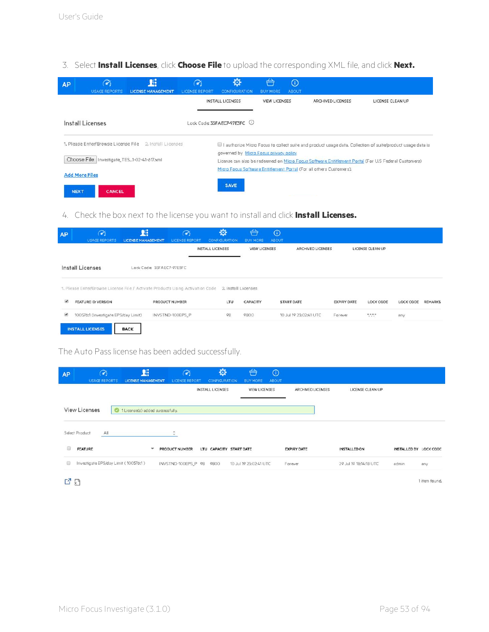3. Select **Install Licenses**, click **Choose File** to upload the corresponding XML file, and click **Next.**

| <b>AP</b>   | $\mathcal{A}_i$<br><b>USAGE REPORTS</b>    | Уŧ,<br><b>LICENSE MANAGEMENT</b> | 7<br><b>LICENSE REPORT</b> | ❖<br>CONFIGURATION.                    | ⇔<br><b>BUY MORE</b> | $\odot$<br><b>ABOUT</b> |                                                                     |                                                                                                             |
|-------------|--------------------------------------------|----------------------------------|----------------------------|----------------------------------------|----------------------|-------------------------|---------------------------------------------------------------------|-------------------------------------------------------------------------------------------------------------|
|             |                                            |                                  |                            | <b>INSTALL LICENSES</b>                | <b>VIEW LICENSES</b> |                         | ARCHIVED LICENSES                                                   | LICENSE CLEAN UP                                                                                            |
|             | Install Licenses                           |                                  |                            | Lock Code: 35FAEC7-97E3FC (i)          |                      |                         |                                                                     |                                                                                                             |
|             | 1. Please Enter/Browse License File        | 2. Install Licenses              |                            |                                        |                      |                         |                                                                     | Il authorize Micro Focus to collect suite and product usage data. Collection of suite/product usage data is |
|             | Choose File Investigate_TES1-02-41-617.xml |                                  |                            | governed by Micro Focus privacy policy |                      |                         |                                                                     | License can also be redeemed on Micro Focus Software Entitlement Portal (For U.S Federal Customers)         |
|             | <b>Add More Files</b>                      |                                  |                            |                                        |                      |                         | Micro Focus Software Entitlement Portal (For all others Customers). |                                                                                                             |
| <b>NEXT</b> | CANCEL                                     |                                  |                            | <b>SAVE</b>                            |                      |                         |                                                                     |                                                                                                             |

4. Check the box next to the license you want to install and click **Install Licenses.**

| <b>AP</b>             | $\widetilde{\bullet}$<br><b>USAGE REPORTS</b>                                 | <b>I</b><br><b>LICENSE MANAGEMENT</b> | $\curvearrowright$<br>LICENSE REPORT. | 臺<br>CONFIGURATION      | ⇔<br><b>BUY MORE</b> | $\odot$<br>ABOUT |                        |                    |                        |           |         |
|-----------------------|-------------------------------------------------------------------------------|---------------------------------------|---------------------------------------|-------------------------|----------------------|------------------|------------------------|--------------------|------------------------|-----------|---------|
|                       |                                                                               |                                       |                                       | <b>INSTALL LICENSES</b> | <b>VIEW LICENSES</b> |                  | ARCHIVED LICENSES      |                    | LICENSE CLEAN UP       |           |         |
|                       | Install Licenses                                                              | Lock Code: 35FAEC7-97E3FC             |                                       |                         |                      |                  |                        |                    |                        |           |         |
|                       | 1. Please Enfer/Browse License File / Activate Products Using Activation Code |                                       |                                       | 2. Install Licenses     |                      |                  |                        |                    |                        |           |         |
| $\bullet$             | FEATURE ID: VERSION                                                           |                                       | PRODUCT NUMBER                        | LTU                     | CAPACITY             |                  | <b>START DATE</b>      | <b>EXPIRY DATE</b> | <b>LOCK CODE</b>       | LOCK CODE | REMARKS |
| $\blacktriangleright$ | 100576:1 (Investigate EPS/day Limit)                                          |                                       | INVSTND-100EPS_P                      | 98                      | 9800                 |                  | 10 Jul 19 23:02:41 UTC | Forever            | $\mathcal{C}^{\mu\nu}$ | any       |         |
|                       | <b>INSTALL LICENSES</b>                                                       | <b>BACK</b>                           |                                       |                         |                      |                  |                        |                    |                        |           |         |

The Auto Pass license has been added successfully.

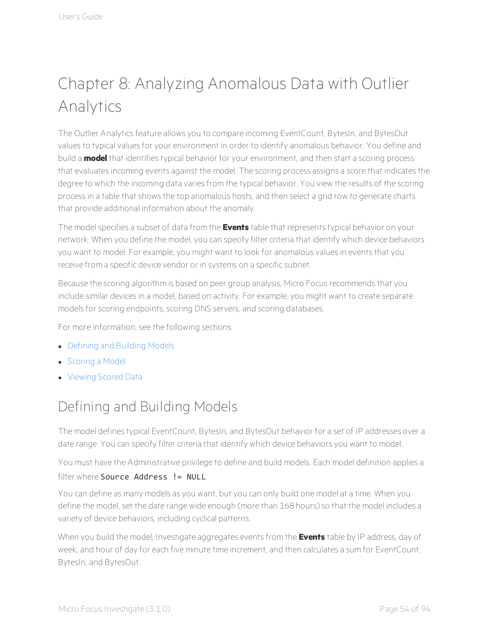# Chapter 8: Analyzing Anomalous Data with Outlier Analytics

The Outlier Analytics feature allows you to compare incoming EventCount, BytesIn, and BytesOut values to typical values for your environment in order to identify anomalous behavior. You define and build a **model** that identifies typical behavior for your environment, and then start a scoring process that evaluates incoming events against the model. The scoring process assigns a score that indicates the degree to which the incoming data varies from the typical behavior. You view the results of the scoring process in a table that shows the top anomalous hosts, and then select a grid row to generate charts that provide additional information about the anomaly.

The model specifies a subset of data from the **Events** table that represents typical behavior on your network. When you define the model, you can specify filter criteria that identify which device behaviors you want to model. For example, you might want to look for anomalous values in events that you receive from a specific device vendor or in systems on a specific subnet.

Because the scoring algorithm is based on peer group analysis, Micro Focus recommends that you include similar devices in a model, based on activity. For example, you might want to create separate models for scoring endpoints, scoring DNS servers, and scoring databases.

For more information, see the following sections:

- [Defining](#page-58-0) and Building Models
- [Scoring](#page-60-0) a Model
- <span id="page-58-0"></span>**.** [Viewing](#page-62-0) Scored Data

## Defining and Building Models

The model defines typical EventCount, BytesIn, and BytesOut behavior for a set of IP addresses over a date range. You can specify filter criteria that identify which device behaviors you want to model.

You must have the Administrative privilege to define and build models. Each model definition applies a filter where **Source** Address **!= NULL** 

You can define as many models as you want, but you can only build one model at a time. When you define the model, set the date range wide enough (more than 168 hours) so that the model includes a variety of device behaviors, including cyclical patterns.

When you build the model, Investigate aggregates events from the **Events** table by IP address, day of week, and hour of day for each five minute time increment, and then calculates a sum for EventCount, BytesIn, and BytesOut.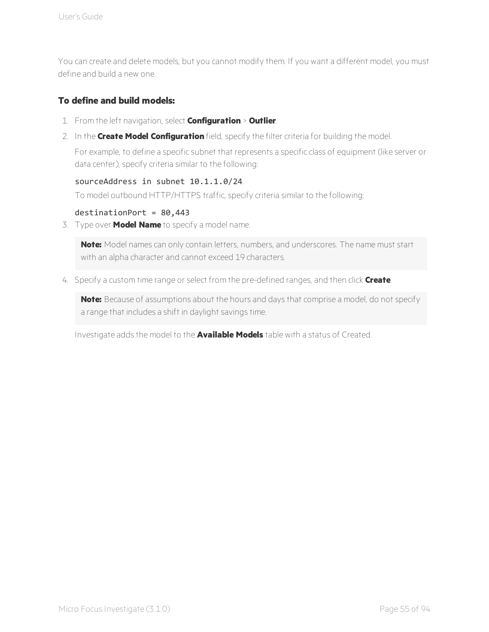You can create and delete models, but you cannot modify them. If you want a different model, you must define and build a new one.

#### **To define and build models:**

- 1. From the left navigation, select **Configuration** > **Outlier**.
- 2. In the **Create Model Configuration** field, specify the filter criteria for building the model.

For example, to define a specific subnet that represents a specific class of equipment (like server or data center), specify criteria similar to the following:

#### sourceAddress in subnet 10.1.1.0/24.

To model outbound HTTP/HTTPS traffic, specify criteria similar to the following:

#### $d$ estinationPort = 80,443

3. Type over **Model Name** to specify a model name.

**Note:** Model names can only contain letters, numbers, and underscores. The name must start with an alpha character and cannot exceed 19 characters.

4. Specify a custom time range or select from the pre-defined ranges, and then click **Create**.

**Note:** Because of assumptions about the hours and days that comprise a model, do not specify a range that includes a shift in daylight savings time.

Investigate adds the model to the **Available Models** table with a status of Created.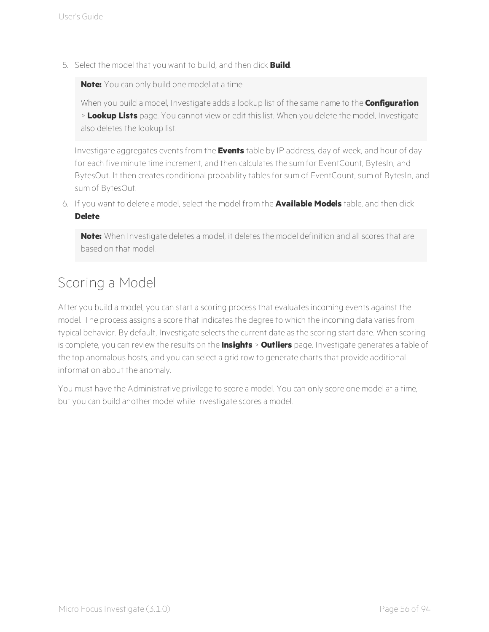5. Select the model that you want to build, and then click **Build**.

**Note:** You can only build one model at a time.

When you build a model, Investigate adds a lookup list of the same name to the **Configuration** > **Lookup Lists** page. You cannot view or edit this list. When you delete the model, Investigate also deletes the lookup list.

Investigate aggregates events from the **Events** table by IP address, day of week, and hour of day for each five minute time increment, and then calculates the sum for EventCount, BytesIn, and BytesOut. It then creates conditional probability tables for sum of EventCount, sum of BytesIn, and sum of BytesOut.

6. If you want to delete a model, select the model from the **Available Models** table, and then click **Delete**.

**Note:** When Investigate deletes a model, it deletes the model definition and all scores that are based on that model.

## <span id="page-60-0"></span>Scoring a Model

After you build a model, you can start a scoring process that evaluates incoming events against the model. The process assigns a score that indicates the degree to which the incoming data varies from typical behavior. By default, Investigate selects the current date as the scoring start date. When scoring is complete, you can review the results on the **Insights** > **Outliers** page. Investigate generates a table of the top anomalous hosts, and you can select a grid row to generate charts that provide additional information about the anomaly.

You must have the Administrative privilege to score a model. You can only score one model at a time, but you can build another model while Investigate scores a model.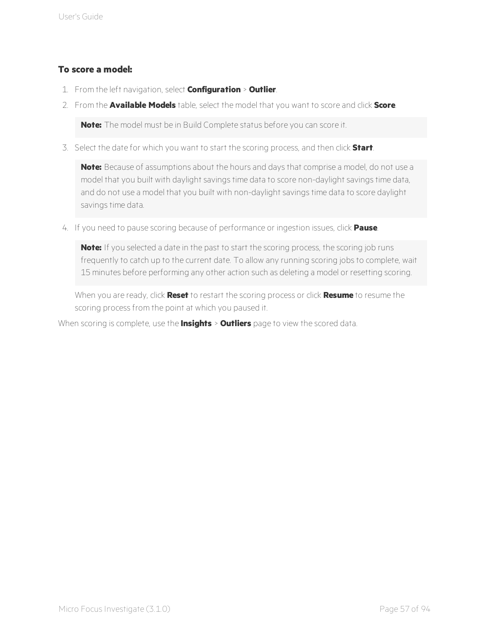#### **To score a model:**

- 1. From the left navigation, select **Configuration** > **Outlier**.
- 2. From the **Available Models** table, select the model that you want to score and click **Score**.

**Note:** The model must be in Build Complete status before you can score it.

3. Select the date for which you want to start the scoring process, and then click **Start**.

**Note:** Because of assumptions about the hours and days that comprise a model, do not use a model that you built with daylight savings time data to score non-daylight savings time data, and do not use a model that you built with non-daylight savings time data to score daylight savings time data.

4. If you need to pause scoring because of performance or ingestion issues, click **Pause**.

**Note:** If you selected a date in the past to start the scoring process, the scoring job runs frequently to catch up to the current date. To allow any running scoring jobs to complete, wait 15 minutes before performing any other action such as deleting a model or resetting scoring.

When you are ready, click **Reset** to restart the scoring process or click **Resume** to resume the scoring process from the point at which you paused it.

When scoring is complete, use the **Insights** > **Outliers** page to view the scored data.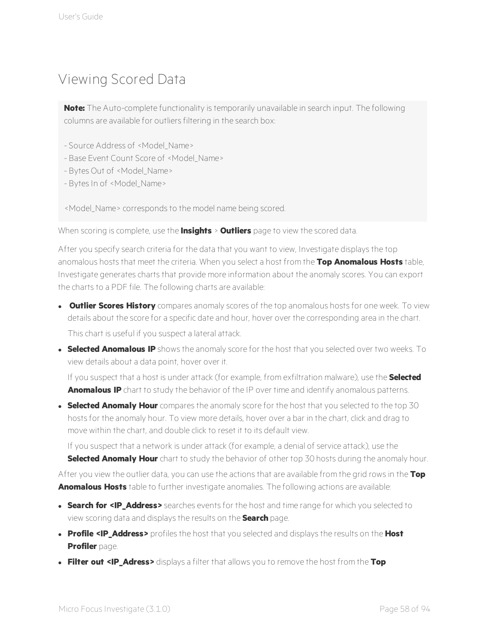## <span id="page-62-0"></span>Viewing Scored Data

**Note:** The Auto-complete functionality is temporarily unavailable in search input. The following columns are available for outliers filtering in the search box:

- Source Address of <Model\_Name>
- Base Event Count Score of <Model\_Name>
- Bytes Out of <Model Name>
- Bytes In of <Model Name>

<Model\_Name> corresponds to the model name being scored.

When scoring is complete, use the **Insights** > **Outliers** page to view the scored data.

After you specify search criteria for the data that you want to view, Investigate displays the top anomalous hosts that meet the criteria. When you select a host from the **Top Anomalous Hosts** table, Investigate generates charts that provide more information about the anomaly scores. You can export the charts to a PDF file. The following charts are available:

- **.** Outlier Scores History compares anomaly scores of the top anomalous hosts for one week. To view details about the score for a specific date and hour, hover over the corresponding area in the chart. This chart is useful if you suspect a lateral attack.
- **Selected Anomalous IP** shows the anomaly score for the host that you selected over two weeks. To view details about a data point, hover over it.

If you suspect that a host is under attack (for example, from exfiltration malware), use the **Selected Anomalous IP** chart to study the behavior of the IP over time and identify anomalous patterns.

**Selected Anomaly Hour** compares the anomaly score for the host that you selected to the top 30 hosts for the anomaly hour. To view more details, hover over a bar in the chart, click and drag to move within the chart, and double click to reset it to its default view.

If you suspect that a network is under attack (for example, a denial of service attack), use the **Selected Anomaly Hour** chart to study the behavior of other top 30 hosts during the anomaly hour.

After you view the outlier data, you can use the actions that are available from the grid rows in the **Top Anomalous Hosts** table to further investigate anomalies. The following actions are available:

- **Search for <IP Address>** searches events for the host and time range for which you selected to view scoring data and displays the results on the **Search** page.
- <sup>l</sup> **Profile <IP\_Address>** profiles the host that you selected and displays the results on the **Host Profiler** page.
- <sup>l</sup> **Filter out <IP\_Adress>** displays a filter that allows you to remove the host from the **Top**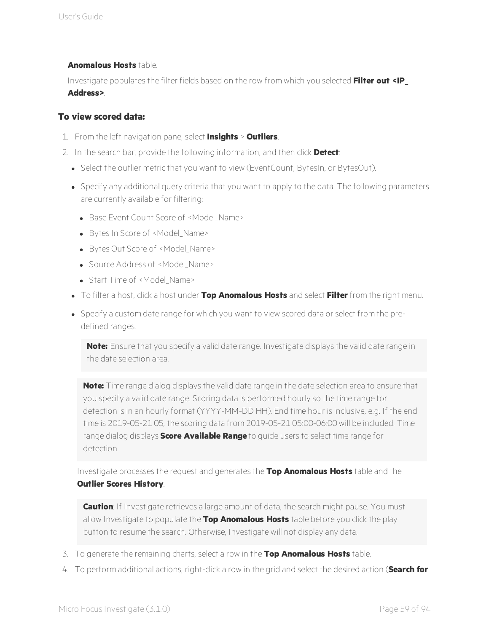#### **Anomalous Hosts** table.

Investigate populates the filter fields based on the row from which you selected **Filter out <IP\_ Address>**.

#### **To view scored data:**

- 1. From the left navigation pane, select **Insights** > **Outliers**.
- 2. In the search bar, provide the following information, and then click **Detect**:
	- Select the outlier metric that you want to view (EventCount, BytesIn, or BytesOut).
	- Specify any additional query criteria that you want to apply to the data. The following parameters are currently available for filtering:
		- Base Event Count Score of <Model Name>
		- Bytes In Score of <Model\_Name>
		- Bytes Out Score of <Model Name>
		- Source Address of <Model Name>
		- Start Time of <Model Name>
	- <sup>l</sup> To filter a host, click a host under **Top Anomalous Hosts** and select **Filter** from the right menu.
	- Specify a custom date range for which you want to view scored data or select from the predefined ranges.

**Note:** Ensure that you specify a valid date range. Investigate displays the valid date range in the date selection area.

**Note:** Time range dialog displays the valid date range in the date selection area to ensure that you specify a valid date range. Scoring data is performed hourly so the time range for detection is in an hourly format (YYYY-MM-DD HH). End time hour is inclusive, e.g. If the end time is 2019-05-21 05, the scoring data from 2019-05-21 05:00-06:00 will be included. Time range dialog displays **Score Available Range** to guide users to select time range for detection.

Investigate processes the request and generates the **Top Anomalous Hosts** table and the **Outlier Scores History**.

**Caution**: If Investigate retrieves a large amount of data, the search might pause. You must allow Investigate to populate the **Top Anomalous Hosts** table before you click the play button to resume the search. Otherwise, Investigate will not display any data.

- 3. To generate the remaining charts, select a row in the **Top Anomalous Hosts** table.
- 4. To perform additional actions, right-click a row in the grid and select the desired action (**Search for**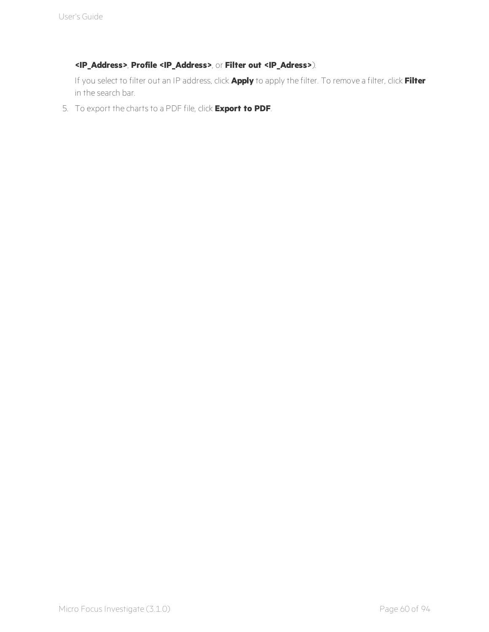#### **<IP\_Address>**, **Profile <IP\_Address>**, or **Filter out <IP\_Adress>**).

If you select to filter out an IP address, click **Apply** to apply the filter. To remove a filter, click **Filter** in the search bar.

5. To export the charts to a PDF file, click **Export to PDF**.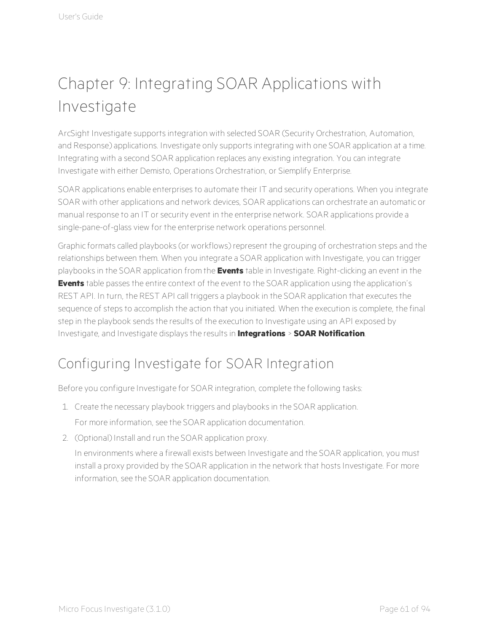# Chapter 9: Integrating SOAR Applications with Investigate

ArcSight Investigate supports integration with selected SOAR (Security Orchestration, Automation, and Response) applications. Investigate only supports integrating with one SOAR application at a time. Integrating with a second SOAR application replaces any existing integration. You can integrate Investigate with either Demisto, Operations Orchestration, or Siemplify Enterprise.

SOAR applications enable enterprises to automate their IT and security operations. When you integrate SOAR with other applications and network devices, SOAR applications can orchestrate an automatic or manual response to an IT or security event in the enterprise network. SOAR applications provide a single-pane-of-glass view for the enterprise network operations personnel.

Graphic formats called playbooks (or workflows) represent the grouping of orchestration steps and the relationships between them. When you integrate a SOAR application with Investigate, you can trigger playbooks in the SOAR application from the **Events** table in Investigate. Right-clicking an event in the **Events** table passes the entire context of the event to the SOAR application using the application's REST API. In turn, the REST API call triggers a playbook in the SOAR application that executes the sequence of steps to accomplish the action that you initiated. When the execution is complete, the final step in the playbook sends the results of the execution to Investigate using an API exposed by Investigate, and Investigate displays the results in **Integrations** > **SOAR Notification**.

## Configuring Investigate for SOAR Integration

Before you configure Investigate for SOAR integration, complete the following tasks:

- 1. Create the necessary playbook triggers and playbooks in the SOAR application. For more information, see the SOAR application documentation.
- 2. (Optional) Install and run the SOAR application proxy.

In environments where a firewall exists between Investigate and the SOAR application, you must install a proxy provided by the SOAR application in the network that hosts Investigate. For more information, see the SOAR application documentation.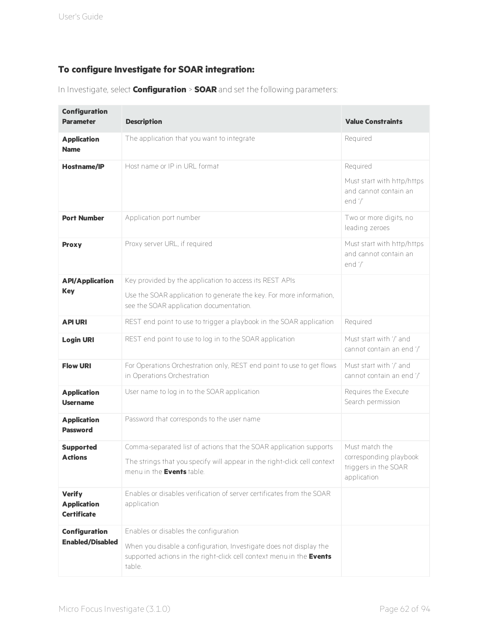#### **To configure Investigate for SOAR integration:**

|  | In Investigate, select <b>Configuration</b> > <b>SOAR</b> and set the following parameters: |  |  |  |
|--|---------------------------------------------------------------------------------------------|--|--|--|
|--|---------------------------------------------------------------------------------------------|--|--|--|

| <b>Configuration</b><br><b>Parameter</b>                  | <b>Description</b>                                                                                                                                   | <b>Value Constraints</b>                                       |
|-----------------------------------------------------------|------------------------------------------------------------------------------------------------------------------------------------------------------|----------------------------------------------------------------|
| <b>Application</b><br><b>Name</b>                         | The application that you want to integrate                                                                                                           | Required                                                       |
| <b>Hostname/IP</b>                                        | Host name or IP in URL format                                                                                                                        | Required                                                       |
|                                                           |                                                                                                                                                      | Must start with http/https<br>and cannot contain an<br>end $'$ |
| <b>Port Number</b>                                        | Application port number                                                                                                                              | Two or more digits, no<br>leading zeroes                       |
| <b>Proxy</b>                                              | Proxy server URL, if required                                                                                                                        | Must start with http/https<br>and cannot contain an<br>end '/' |
| <b>API/Application</b>                                    | Key provided by the application to access its REST APIs                                                                                              |                                                                |
| <b>Key</b>                                                | Use the SOAR application to generate the key. For more information,<br>see the SOAR application documentation.                                       |                                                                |
| <b>API URI</b>                                            | REST end point to use to trigger a playbook in the SOAR application                                                                                  | Required                                                       |
| <b>Login URI</b>                                          | REST end point to use to log in to the SOAR application                                                                                              | Must start with '/' and<br>cannot contain an end '/'           |
| <b>Flow URI</b>                                           | For Operations Orchestration only, REST end point to use to get flows<br>in Operations Orchestration                                                 | Must start with '/' and<br>cannot contain an end '/'           |
| <b>Application</b><br><b>Username</b>                     | User name to log in to the SOAR application                                                                                                          | Requires the Execute<br>Search permission                      |
| <b>Application</b><br><b>Password</b>                     | Password that corresponds to the user name                                                                                                           |                                                                |
| <b>Supported</b>                                          | Comma-separated list of actions that the SOAR application supports                                                                                   | Must match the                                                 |
| <b>Actions</b>                                            | The strings that you specify will appear in the right-click cell context<br>menu in the <b>Events</b> table.                                         | corresponding playbook<br>triggers in the SOAR<br>application  |
| <b>Verify</b><br><b>Application</b><br><b>Certificate</b> | Enables or disables verification of server certificates from the SOAR<br>application                                                                 |                                                                |
| <b>Configuration</b>                                      | Enables or disables the configuration                                                                                                                |                                                                |
| <b>Enabled/Disabled</b>                                   | When you disable a configuration, Investigate does not display the<br>supported actions in the right-click cell context menu in the Events<br>table. |                                                                |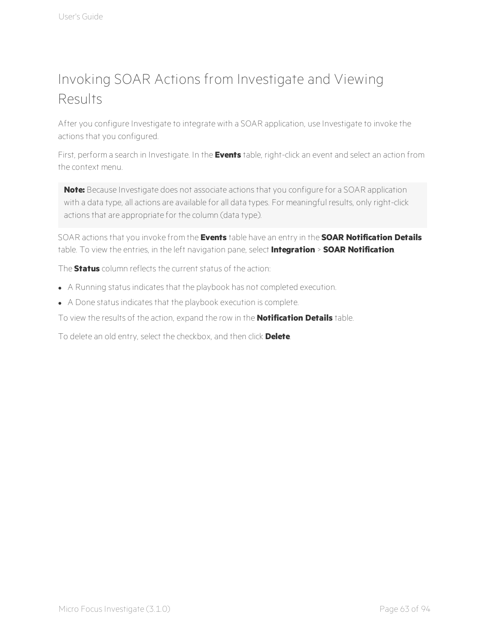## Invoking SOAR Actions from Investigate and Viewing Results

After you configure Investigate to integrate with a SOAR application, use Investigate to invoke the actions that you configured.

First, perform a search in Investigate. In the **Events** table, right-click an event and select an action from the context menu.

**Note:** Because Investigate does not associate actions that you configure for a SOAR application with a data type, all actions are available for all data types. For meaningful results, only right-click actions that are appropriate for the column (data type).

SOAR actions that you invoke from the **Events** table have an entry in the **SOAR Notification Details** table. To view the entries, in the left navigation pane, select **Integration** > **SOAR Notification**.

The **Status** column reflects the current status of the action:

- A Running status indicates that the playbook has not completed execution.
- A Done status indicates that the playbook execution is complete.
- To view the results of the action, expand the row in the **Notification Details** table.

To delete an old entry, select the checkbox, and then click **Delete**.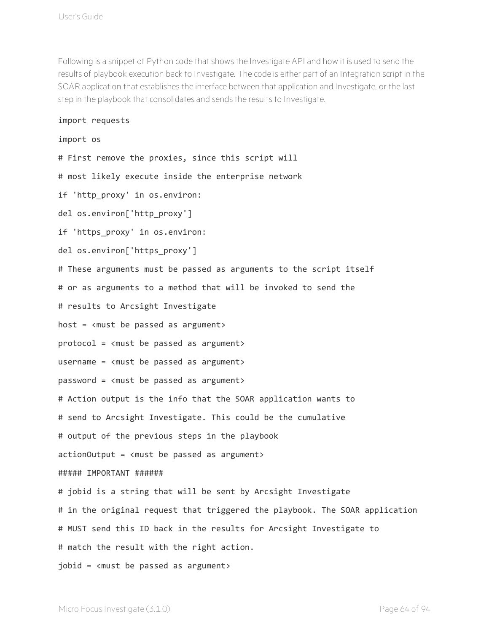Following is a snippet of Python code that shows the Investigate API and how it is used to send the results of playbook execution back to Investigate. The code is either part of an Integration script in the SOAR application that establishes the interface between that application and Investigate, or the last step in the playbook that consolidates and sends the results to Investigate.

#### import requests

#### import os

# First remove the proxies, since this script will # most likely execute inside the enterprise network if 'http\_proxy' in os.environ: del os.environ['http\_proxy'] if 'https\_proxy' in os.environ: del os.environ['https proxy'] # These arguments must be passed as arguments to the script itself # or as arguments to a method that will be invoked to send the # results to Arcsight Investigate host =  $\langle \text{must be passed as argument} \rangle$ protocol = <must be passed as argument> username =  $\langle \text{must be passed as argument} \rangle$ password = <must be passed as argument> # Action output is the info that the SOAR application wants to # send to Arcsight Investigate. This could be the cumulative # output of the previous steps in the playbook actionOutput = <must be passed as argument> ##### IMPORTANT ###### # jobid is a string that will be sent by Arcsight Investigate # in the original request that triggered the playbook. The SOAR application # MUST send this ID back in the results for Arcsight Investigate to # match the result with the right action. jobid = <must be passed as argument>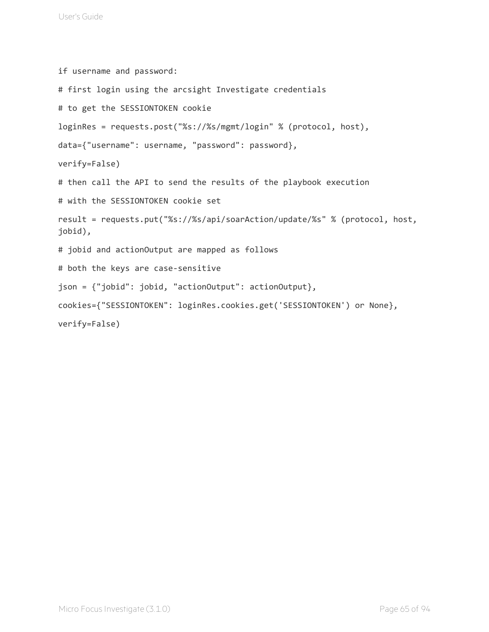```
if username and password:
# first login using the arcsight Investigate credentials
# to get the SESSIONTOKEN cookie
loginRes = requests.post("%s://%s/mgmt/login" % (protocol, host),
data={"username": username, "password": password},
verify=False)
# then call the API to send the results of the playbook execution
# with the SESSIONTOKEN cookie set
result = requests.put("%s://%s/api/soarAction/update/%s" % (protocol, host,
jobid),
# jobid and actionOutput are mapped as follows
# both the keys are case-sensitive
json = {"jobid": jobid, "actionOutput": actionOutput},
cookies={"SESSIONTOKEN": loginRes.cookies.get('SESSIONTOKEN') or None},
verify=False)
```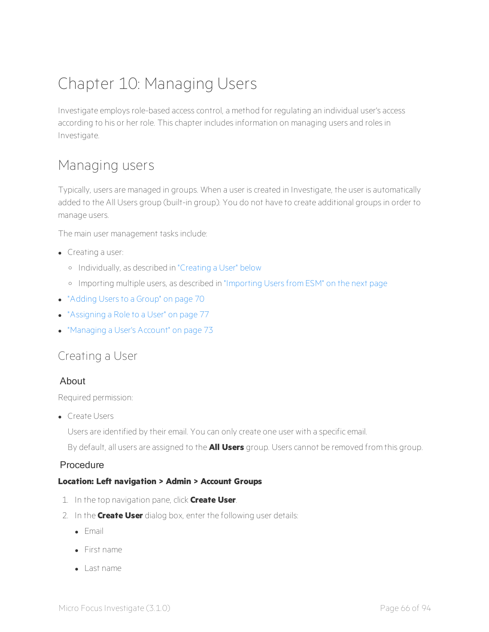# Chapter 10: Managing Users

Investigate employs role-based access control, a method for regulating an individual user's access according to his or her role. This chapter includes information on managing users and roles in Investigate.

### Managing users

Typically, users are managed in groups. When a user is created in Investigate, the user is automatically added to the All Users group (built-in group). You do not have to create additional groups in order to manage users.

The main user management tasks include:

- $\bullet$  Creating a user:
	- <sup>o</sup> Individually, as described in ["Creating](#page-70-0) a User" below
	- <sup>o</sup> Importing multiple users, as described in ["Importing](#page-71-0) Users from ESM" on the next page
- ["Adding](#page-74-0) Users to a Group" on page 70
- ["Assigning](#page-81-0) a Role to a User" on page 77
- <span id="page-70-0"></span> $\bullet$  ["Managing](#page-77-0) a User's Account" on page 73

#### Creating a User

#### About

Required permission:

• Create Users

Users are identified by their email. You can only create one user with a specific email.

By default, all users are assigned to the **All Users** group. Users cannot be removed from this group.

#### Procedure

#### **Location: Left navigation > Admin > Account Groups**

- 1. In the top navigation pane, click **Create User**.
- 2. In the **Create User** dialog box, enter the following user details:
	- $\blacksquare$  Email
	- $\bullet$  First name
	- $\bullet$  Last name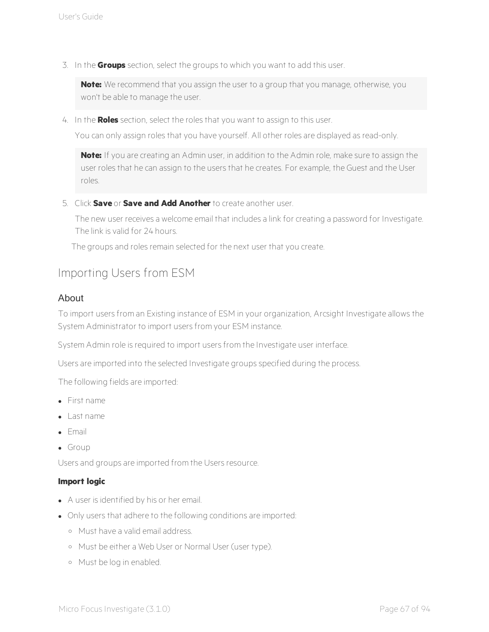3. In the **Groups** section, select the groups to which you want to add this user.

**Note:** We recommend that you assign the user to a group that you manage, otherwise, you won't be able to manage the user.

4. In the **Roles** section, select the roles that you want to assign to this user.

You can only assign roles that you have yourself. All other roles are displayed as read-only.

**Note:** If you are creating an Admin user, in addition to the Admin role, make sure to assign the user roles that he can assign to the users that he creates. For example, the Guest and the User roles.

5. Click **Save** or **Save and Add Another** to create another user.

The new user receives a welcome email that includes a link for creating a password for Investigate. The link is valid for 24 hours.

The groups and roles remain selected for the next user that you create.

#### <span id="page-71-0"></span>Importing Users from ESM

#### About

To import users from an Existing instance of ESM in your organization, Arcsight Investigate allows the System Administrator to import users from your ESM instance.

System Admin role is required to import users from the Investigate user interface.

Users are imported into the selected Investigate groups specified during the process.

The following fields are imported:

- $\bullet$  First name
- <sup>l</sup> Last name
- $\bullet$  Email
- $\bullet$  Group

Users and groups are imported from the Users resource.

#### **Import logic**

- A user is identified by his or her email.
- Only users that adhere to the following conditions are imported:
	- <sup>o</sup> Must have a valid email address.
	- <sup>o</sup> Must be either a Web User or Normal User (user type).
	- <sup>o</sup> Must be log in enabled.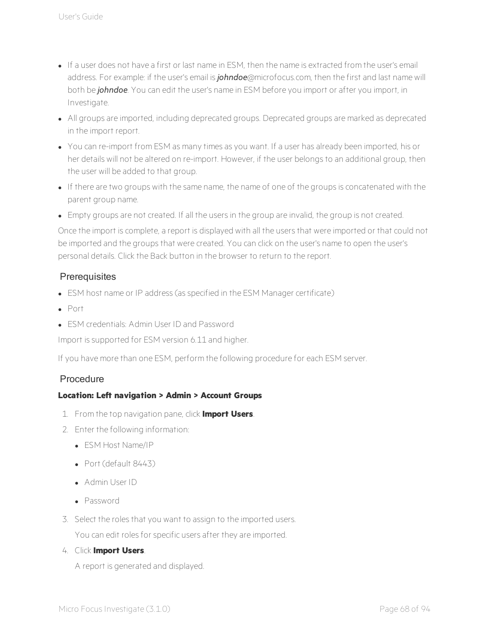- If a user does not have a first or last name in ESM, then the name is extracted from the user's email address. For example: if the user's email is *johndoe*@microfocus.com, then the first and last name will both be *johndoe*. You can edit the user's name in ESM before you import or after you import, in Investigate.
- All groups are imported, including deprecated groups. Deprecated groups are marked as deprecated in the import report.
- You can re-import from ESM as many times as you want. If a user has already been imported, his or her details will not be altered on re-import. However, if the user belongs to an additional group, then the user will be added to that group.
- If there are two groups with the same name, the name of one of the groups is concatenated with the parent group name.
- Empty groups are not created. If all the users in the group are invalid, the group is not created.

Once the import is complete, a report is displayed with all the users that were imported or that could not be imported and the groups that were created. You can click on the user's name to open the user's personal details. Click the Back button in the browser to return to the report.

## **Prerequisites**

- ESM host name or IP address (as specified in the ESM Manager certificate)
- $\bullet$  Port
- ESM credentials: Admin User ID and Password

Import is supported for ESM version 6.11 and higher.

If you have more than one ESM, perform the following procedure for each ESM server.

## Procedure

## **Location: Left navigation > Admin > Account Groups**

- 1. From the top navigation pane, click **Import Users**.
- 2. Enter the following information:
	- $\bullet$  FSM Host Name/IP
	- $\cdot$  Port (default 8443)
	- Admin User ID
	- <sup>l</sup> Password
- 3. Select the roles that you want to assign to the imported users.

You can edit roles for specific users after they are imported.

4. Click **Import Users**.

A report is generated and displayed.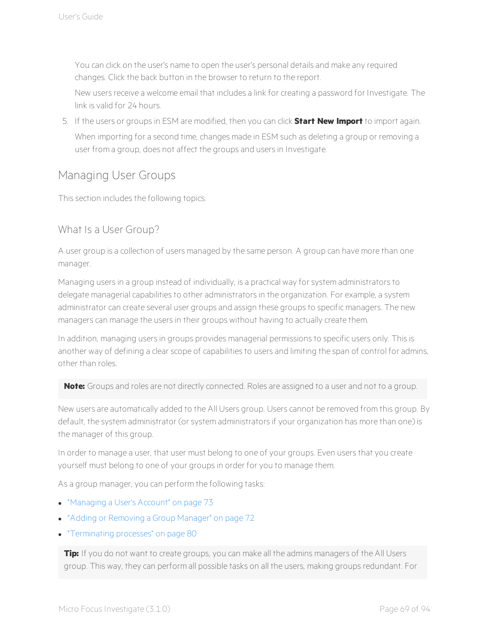You can click on the user's name to open the user's personal details and make any required changes. Click the back button in the browser to return to the report.

New users receive a welcome email that includes a link for creating a password for Investigate. The link is valid for 24 hours.

5. If the users or groups in ESM are modified, then you can click **Start New Import** to import again. When importing for a second time, changes made in ESM such as deleting a group or removing a user from a group, does not affect the groups and users in Investigate.

## Managing User Groups

This section includes the following topics:

## What Is a User Group?

A user group is a collection of users managed by the same person. A group can have more than one manager.

Managing users in a group instead of individually, is a practical way for system administrators to delegate managerial capabilities to other administrators in the organization. For example, a system administrator can create several user groups and assign these groups to specific managers. The new managers can manage the users in their groups without having to actually create them.

In addition, managing users in groups provides managerial permissions to specific users only. This is another way of defining a clear scope of capabilities to users and limiting the span of control for admins, other than roles.

**Note:** Groups and roles are not directly connected. Roles are assigned to a user and not to a group.

New users are automatically added to the All Users group. Users cannot be removed from this group. By default, the system administrator (or system administrators if your organization has more than one) is the manager of this group.

In order to manage a user, that user must belong to one of your groups. Even users that you create yourself must belong to one of your groups in order for you to manage them.

As a group manager, you can perform the following tasks:

- ["Managing](#page-77-0) a User's Account" on page 73
- "Adding or [Removing](#page-76-0) a Group Manager" on page 72
- **.** ["Terminating](#page-84-0) processes" on page 80

**Tip:** If you do not want to create groups, you can make all the admins managers of the All Users group. This way, they can perform all possible tasks on all the users, making groups redundant. For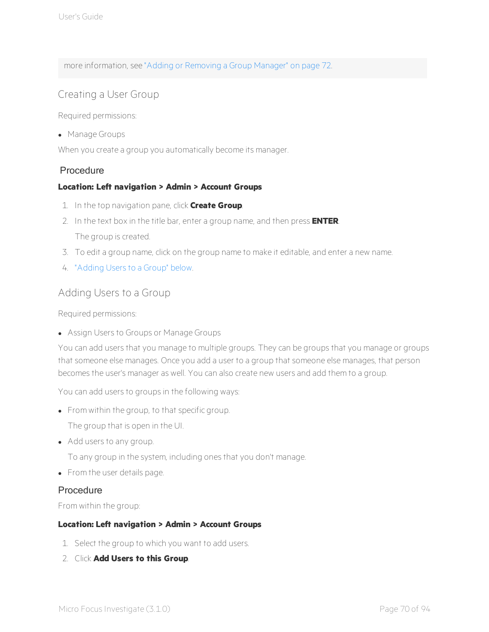more information, see "Adding or [Removing](#page-76-0) a Group Manager" on page 72.

## Creating a User Group

Required permissions:

• Manage Groups

When you create a group you automatically become its manager.

## Procedure

## **Location: Left navigation > Admin > Account Groups**

- 1. In the top navigation pane, click **Create Group**.
- 2. In the text box in the title bar, enter a group name, and then press **ENTER**. The group is created.
- 3. To edit a group name, click on the group name to make it editable, and enter a new name.
- <span id="page-74-0"></span>4. ["Adding](#page-74-0) Users to a Group" below.

## Adding Users to a Group

Required permissions:

• Assign Users to Groups or Manage Groups

You can add users that you manage to multiple groups. They can be groups that you manage or groups that someone else manages. Once you add a user to a group that someone else manages, that person becomes the user's manager as well. You can also create new users and add them to a group.

You can add users to groups in the following ways:

• From within the group, to that specific group.

The group that is open in the UI.

• Add users to any group.

To any group in the system, including ones that you don't manage.

• From the user details page.

## Procedure

From within the group:

## **Location: Left navigation > Admin > Account Groups**

- 1. Select the group to which you want to add users.
- 2. Click **Add Users to this Group**.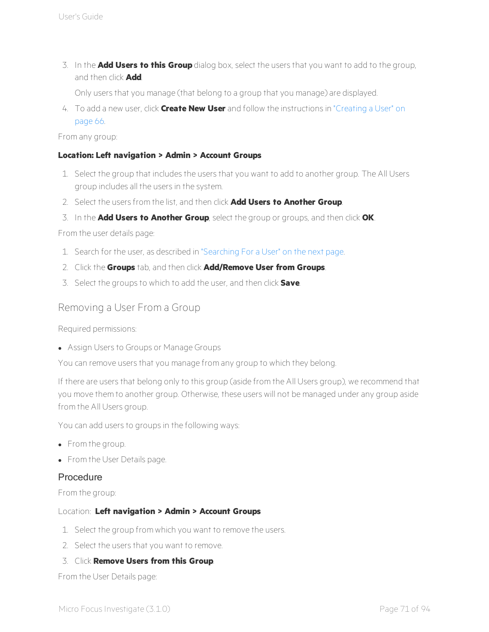3. In the **Add Users to this Group** dialog box, select the users that you want to add to the group, and then click **Add**.

Only users that you manage (that belong to a group that you manage) are displayed.

4. To add a new user, click **Create New User** and follow the instructions in ["Creating](#page-70-0) a User" on [page](#page-70-0) 66.

## From any group:

## **Location: Left navigation > Admin > Account Groups**

- 1. Select the group that includes the users that you want to add to another group. The All Users group includes all the users in the system.
- 2. Select the users from the list, and then click **Add Users to Another Group**.
- 3. In the **Add Users to Another Group**, select the group or groups, and then click **OK**.

From the user details page:

- 1. Search for the user, as described in ["Searching](#page-76-1) For a User" on the next page.
- 2. Click the **Groups** tab, and then click **Add/Remove User from Groups**.
- 3. Select the groups to which to add the user, and then click **Save**.

## Removing a User From a Group

Required permissions:

• Assign Users to Groups or Manage Groups

You can remove users that you manage from any group to which they belong.

If there are users that belong only to this group (aside from the All Users group), we recommend that you move them to another group. Otherwise, these users will not be managed under any group aside from the All Users group.

You can add users to groups in the following ways:

- From the group.
- From the User Details page.

## Procedure

From the group:

## Location: **Left navigation > Admin > Account Groups**

- 1. Select the group from which you want to remove the users.
- 2. Select the users that you want to remove.
- 3. Click **Remove Users from this Group**.

From the User Details page: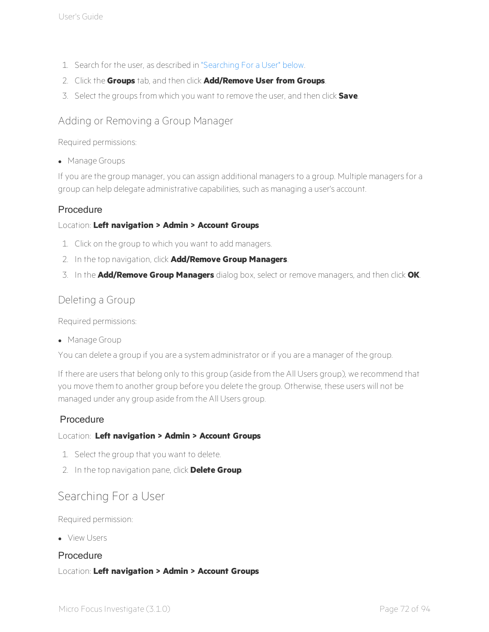- 1. Search for the user, as described in ["Searching](#page-76-1) For a User" below.
- 2. Click the **Groups** tab, and then click **Add/Remove User from Groups**.
- <span id="page-76-0"></span>3. Select the groups from which you want to remove the user, and then click **Save**.

## Adding or Removing a Group Manager

Required permissions:

• Manage Groups

If you are the group manager, you can assign additional managers to a group. Multiple managers for a group can help delegate administrative capabilities, such as managing a user's account.

## Procedure

## Location: **Left navigation > Admin > Account Groups**

- 1. Click on the group to which you want to add managers.
- 2. In the top navigation, click **Add/Remove Group Managers**.
- 3. In the **Add/Remove Group Managers** dialog box, select or remove managers, and then click **OK**.

## Deleting a Group

Required permissions:

• Manage Group

You can delete a group if you are a system administrator or if you are a manager of the group.

If there are users that belong only to this group (aside from the All Users group), we recommend that you move them to another group before you delete the group. Otherwise, these users will not be managed under any group aside from the All Users group.

## **Procedure**

## Location: **Left navigation > Admin > Account Groups**

- 1. Select the group that you want to delete.
- <span id="page-76-1"></span>2. In the top navigation pane, click **Delete Group**.

## Searching For a User

Required permission:

**.** View Users

## Procedure

## Location: **Left navigation > Admin > Account Groups**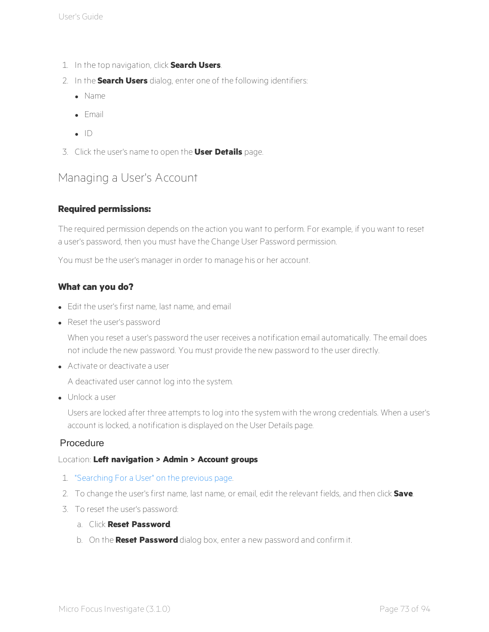- 1. In the top navigation, click **Search Users**.
- 2. In the **Search Users** dialog, enter one of the following identifiers:
	- $\bullet$  Name
	- $\blacksquare$  Email
	- $\bullet$  ID
- <span id="page-77-0"></span>3. Click the user's name to open the **User Details** page.

# Managing a User's Account

## **Required permissions:**

The required permission depends on the action you want to perform. For example, if you want to reset a user's password, then you must have the Change User Password permission.

You must be the user's manager in order to manage his or her account.

## **What can you do?**

- Edit the user's first name, last name, and email
- Reset the user's password

When you reset a user's password the user receives a notification email automatically. The email does not include the new password. You must provide the new password to the user directly.

**Activate or deactivate a user** 

A deactivated user cannot log into the system.

 $\bullet$  Unlock a user

Users are locked after three attempts to log into the system with the wrong credentials. When a user's account is locked, a notification is displayed on the User Details page.

## Procedure

## Location: **Left navigation > Admin > Account groups**

- 1. ["Searching](#page-76-1) For a User" on the previous page.
- 2. To change the user's first name, last name, or email, edit the relevant fields, and then click **Save**.
- 3. To reset the user's password:
	- a. Click **Reset Password**.
	- b. On the **Reset Password** dialog box, enter a new password and confirm it.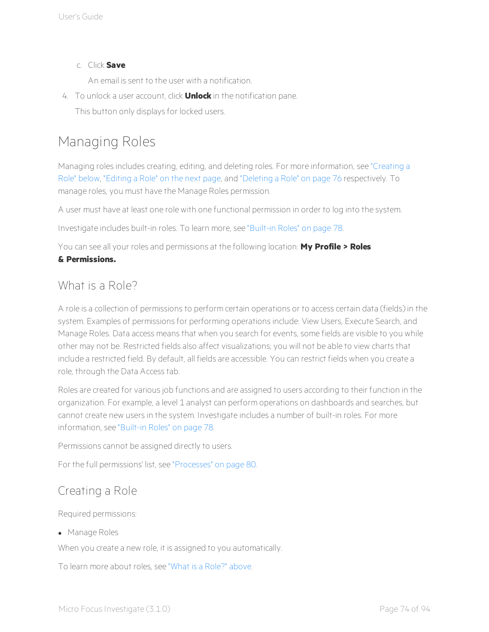## c. Click **Save**.

An email is sent to the user with a notification.

4. To unlock a user account, click **Unlock** in the notification pane. This button only displays for locked users.

# Managing Roles

Managing roles includes creating, editing, and deleting roles. For more information, see ["Creating](#page-78-0) a Role" [below](#page-78-0), ["Editing](#page-79-0) a Role" on the next page, and ["Deleting](#page-80-0) a Role" on page 76 respectively. To manage roles, you must have the Manage Roles permission.

A user must have at least one role with one functional permission in order to log into the system.

Investigate includes built-in roles. To learn more, see ["Built-in](#page-82-0) Roles" on page 78.

You can see all your roles and permissions at the following location: **My Profile > Roles**

## <span id="page-78-1"></span>**& Permissions.**

## What is a Role?

A role is a collection of permissions to perform certain operations or to access certain data (fields) in the system. Examples of permissions for performing operations include: View Users, Execute Search, and Manage Roles. Data access means that when you search for events, some fields are visible to you while other may not be. Restricted fields also affect visualizations; you will not be able to view charts that include a restricted field. By default, all fields are accessible. You can restrict fields when you create a role, through the Data Access tab.

Roles are created for various job functions and are assigned to users according to their function in the organization. For example, a level 1 analyst can perform operations on dashboards and searches, but cannot create new users in the system. Investigate includes a number of built-in roles. For more information, see ["Built-in](#page-82-0) Roles" on page 78.

Permissions cannot be assigned directly to users.

<span id="page-78-0"></span>For the full permissions' list, see ["Processes"](#page-84-1) on page 80.

# Creating a Role

Required permissions:

• Manage Roles

When you create a new role, it is assigned to you automatically.

To learn more about roles, see "What is a [Role?"](#page-78-1) above.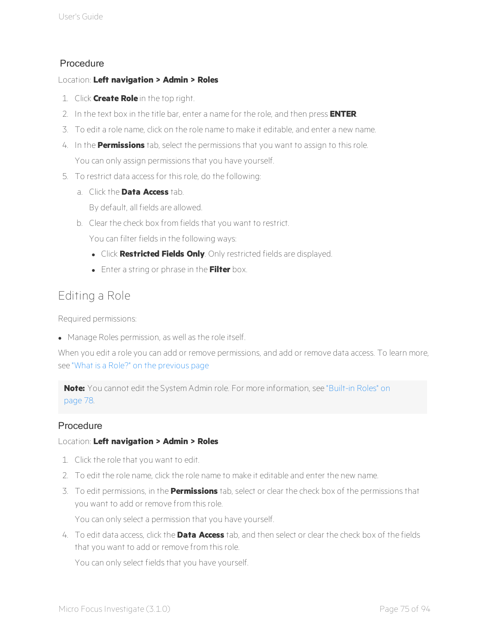## Procedure

## Location: **Left navigation > Admin > Roles**

- 1. Click **Create Role** in the top right.
- 2. In the text box in the title bar, enter a name for the role, and then press **ENTER**.
- 3. To edit a role name, click on the role name to make it editable, and enter a new name.
- 4. In the **Permissions** tab, select the permissions that you want to assign to this role. You can only assign permissions that you have yourself.
- 5. To restrict data access for this role, do the following:
	- a. Click the **Data Access** tab.

By default, all fields are allowed.

b. Clear the check box from fields that you want to restrict.

You can filter fields in the following ways:

- **.** Click **Restricted Fields Only**. Only restricted fields are displayed.
- **.** Enter a string or phrase in the Filter box.

# <span id="page-79-0"></span>Editing a Role

Required permissions:

• Manage Roles permission, as well as the role itself.

When you edit a role you can add or remove permissions, and add or remove data access. To learn more, see "What is a Role?" on the [previous](#page-78-1) page

**Note:** You cannot edit the System Admin role. For more information, see ["Built-in](#page-82-0) Roles" on [page](#page-82-0) 78.

## Procedure

## Location: **Left navigation > Admin > Roles**

- 1. Click the role that you want to edit.
- 2. To edit the role name, click the role name to make it editable and enter the new name.
- 3. To edit permissions, in the **Permissions** tab, select or clear the check box of the permissions that you want to add or remove from this role.

You can only select a permission that you have yourself.

4. To edit data access, click the **Data Access** tab, and then select or clear the check box of the fields that you want to add or remove from this role.

You can only select fields that you have yourself.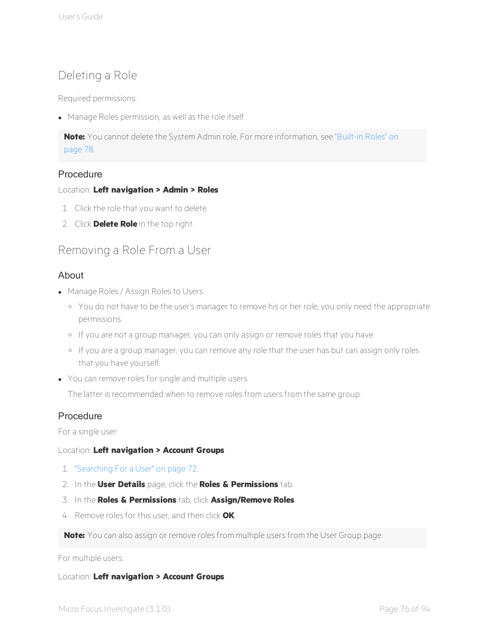# <span id="page-80-0"></span>Deleting a Role

Required permissions:

• Manage Roles permission, as well as the role itself.

**Note:** You cannot delete the System Admin role. For more information, see ["Built-in](#page-82-0) Roles" on [page](#page-82-0) 78.

## Procedure

## Location: **Left navigation > Admin > Roles**

- 1. Click the role that you want to delete.
- 2. Click **Delete Role** in the top right.

# Removing a Role From a User

## About

- Manage Roles / Assign Roles to Users
	- <sup>o</sup> You do not have to be the user's manager to remove his or her role; you only need the appropriate permissions.
	- <sup>o</sup> If you are not a group manager, you can only assign or remove roles that you have.
	- <sup>o</sup> If you are a group manager, you can remove any role that the user has but can assign only roles that you have yourself.
- You can remove roles for single and multiple users.

The latter is recommended when to remove roles from users from the same group.

## Procedure

For a single user:

## Location: **Left navigation > Account Groups**

- 1. ["Searching](#page-76-1) For a User" on page 72.
- 2. In the **User Details** page, click the **Roles & Permissions** tab.
- 3. In the **Roles & Permissions** tab, click **Assign/Remove Roles**.
- 4. Remove roles for this user, and then click **OK**.

**Note:** You can also assign or remove roles from multiple users from the User Group page.

## For multiple users:

## Location: **Left navigation > Account Groups**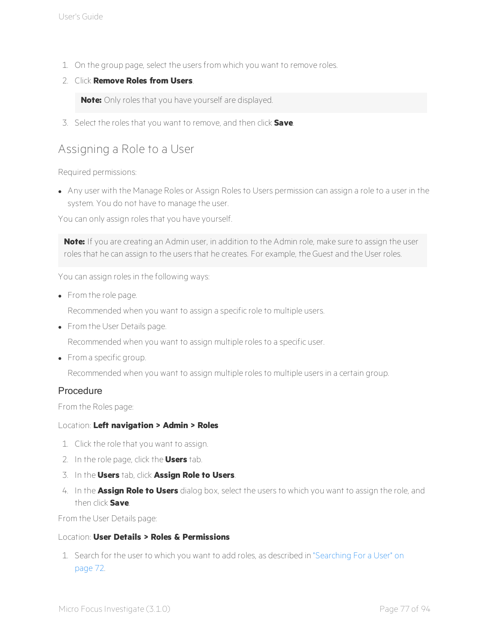- 1. On the group page, select the users from which you want to remove roles.
- 2. Click **Remove Roles from Users**.

**Note:** Only roles that you have yourself are displayed.

3. Select the roles that you want to remove, and then click **Save**.

# Assigning a Role to a User

Required permissions:

• Any user with the Manage Roles or Assign Roles to Users permission can assign a role to a user in the system. You do not have to manage the user.

You can only assign roles that you have yourself.

**Note:** If you are creating an Admin user, in addition to the Admin role, make sure to assign the user roles that he can assign to the users that he creates. For example, the Guest and the User roles.

You can assign roles in the following ways:

• From the role page.

Recommended when you want to assign a specific role to multiple users.

• From the User Details page.

Recommended when you want to assign multiple roles to a specific user.

• From a specific group.

Recommended when you want to assign multiple roles to multiple users in a certain group.

## Procedure

From the Roles page:

## Location: **Left navigation > Admin > Roles**

- 1. Click the role that you want to assign.
- 2. In the role page, click the **Users** tab.
- 3. In the **Users** tab, click **Assign Role to Users**.
- 4. In the **Assign Role to Users** dialog box, select the users to which you want to assign the role, and then click **Save**.

From the User Details page:

## Location: **User Details > Roles & Permissions**

1. Search for the user to which you want to add roles, as described in ["Searching](#page-76-1) For a User" on [page](#page-76-1) 72.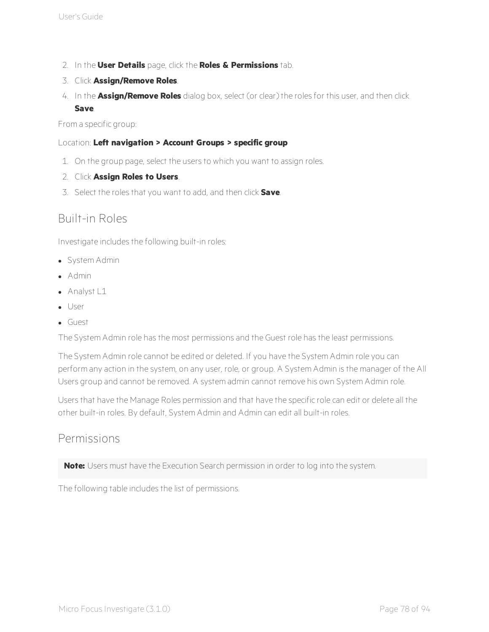- 2. In the **User Details** page, click the **Roles & Permissions** tab.
- 3. Click **Assign/Remove Roles**.
- 4. In the **Assign/Remove Roles** dialog box, select (or clear) the roles for this user, and then click **Save**.

From a specific group:

## Location: **Left navigation > Account Groups > specific group**

- 1. On the group page, select the users to which you want to assign roles.
- 2. Click **Assign Roles to Users**.
- <span id="page-82-0"></span>3. Select the roles that you want to add, and then click **Save**.

# Built-in Roles

Investigate includes the following built-in roles:

- System Admin
- $\bullet$  Admin
- $\bullet$  Analyst L1
- User
- <sup>l</sup> Guest

The System Admin role has the most permissions and the Guest role has the least permissions.

The System Admin role cannot be edited or deleted. If you have the System Admin role you can perform any action in the system, on any user, role, or group. A System Admin is the manager of the All Users group and cannot be removed. A system admin cannot remove his own System Admin role.

Users that have the Manage Roles permission and that have the specific role can edit or delete all the other built-in roles. By default, System Admin and Admin can edit all built-in roles.

## Permissions

**Note:** Users must have the Execution Search permission in order to log into the system.

The following table includes the list of permissions.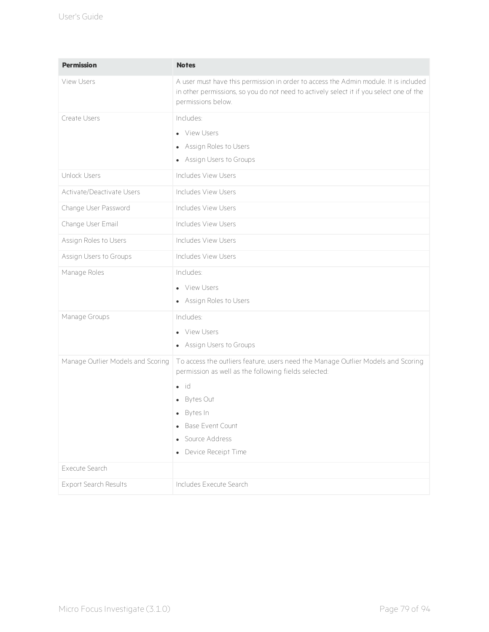| <b>Permission</b>                 | <b>Notes</b>                                                                                                                                                                                                                                         |
|-----------------------------------|------------------------------------------------------------------------------------------------------------------------------------------------------------------------------------------------------------------------------------------------------|
| <b>View Users</b>                 | A user must have this permission in order to access the Admin module. It is included<br>in other permissions, so you do not need to actively select it if you select one of the<br>permissions below.                                                |
| Create Users                      | Includes:<br>• View Users<br>• Assign Roles to Users<br>• Assign Users to Groups                                                                                                                                                                     |
| Unlock Users                      | Includes View Users                                                                                                                                                                                                                                  |
| Activate/Deactivate Users         | Includes View Users                                                                                                                                                                                                                                  |
| Change User Password              | Includes View Users                                                                                                                                                                                                                                  |
| Change User Email                 | Includes View Users                                                                                                                                                                                                                                  |
| Assign Roles to Users             | Includes View Users                                                                                                                                                                                                                                  |
| Assign Users to Groups            | Includes View Users                                                                                                                                                                                                                                  |
| Manage Roles                      | Includes:<br>• View Users<br>• Assign Roles to Users                                                                                                                                                                                                 |
| Manage Groups                     | Includes:<br>• View Users<br>• Assign Users to Groups                                                                                                                                                                                                |
| Manage Outlier Models and Scoring | To access the outliers feature, users need the Manage Outlier Models and Scoring<br>permission as well as the following fields selected:<br>$\bullet$ id<br>• Bytes Out<br>· Bytes In<br>Base Event Count<br>• Source Address<br>Device Receipt Time |
| Execute Search                    |                                                                                                                                                                                                                                                      |
| Export Search Results             | Includes Execute Search                                                                                                                                                                                                                              |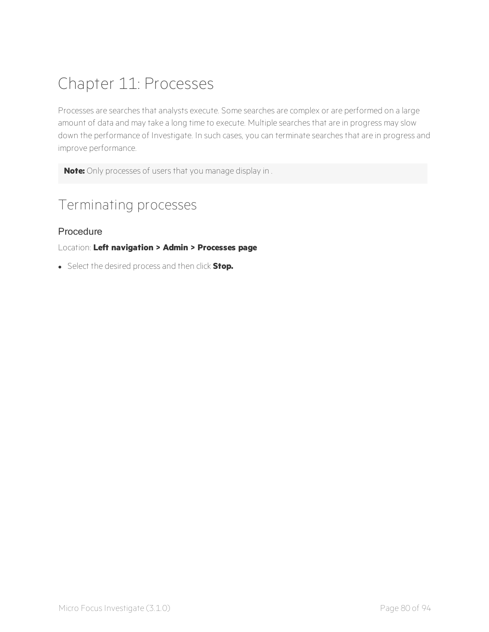# <span id="page-84-1"></span>Chapter 11: Processes

Processes are searches that analysts execute. Some searches are complex or are performed on a large amount of data and may take a long time to execute. Multiple searches that are in progress may slow down the performance of Investigate. In such cases, you can terminate searches that are in progress and improve performance.

<span id="page-84-0"></span>**Note:** Only processes of users that you manage display in .

# Terminating processes

## Procedure

## Location: **Left navigation > Admin > Processes page**

**.** Select the desired process and then click **Stop.**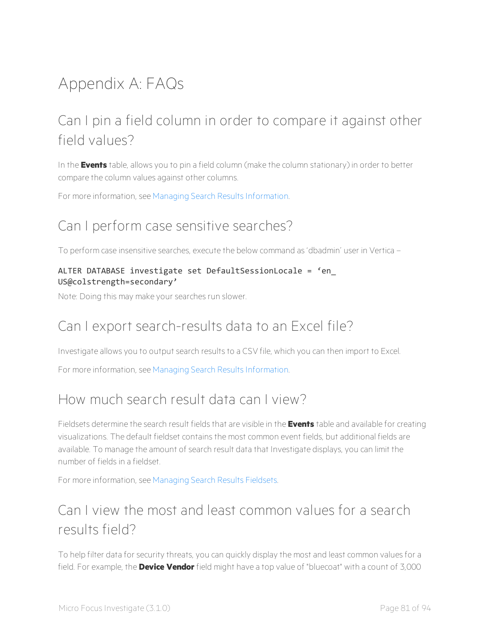# Appendix A: FAQs

# Can I pin a field column in order to compare it against other field values?

In the **Events** table, allows you to pin a field column (make the column stationary) in order to better compare the column values against other columns.

For more information, see Managing Search Results [Information.](#page-21-0)

# Can I perform case sensitive searches?

To perform case insensitive searches, execute the below command as 'dbadmin' user in Vertica –

## ALTER DATABASE investigate set DefaultSessionLocale = 'en\_ US@colstrength=secondary'

Note: Doing this may make your searches run slower.

# Can I export search-results data to an Excel file?

Investigate allows you to output search results to a CSV file, which you can then import to Excel.

For more information, see Managing Search Results [Information.](#page-21-0)

# How much search result data can I view?

Fieldsets determine the search result fields that are visible in the **Events** table and available for creating visualizations. The default fieldset contains the most common event fields, but additional fields are available. To manage the amount of search result data that Investigate displays, you can limit the number of fields in a fieldset.

For more information, see [Managing](#page-14-0) Search Results Fieldsets.

# Can I view the most and least common values for a search results field?

To help filter data for security threats, you can quickly display the most and least common values for a field. For example, the **Device Vendor** field might have a top value of "bluecoat" with a count of 3,000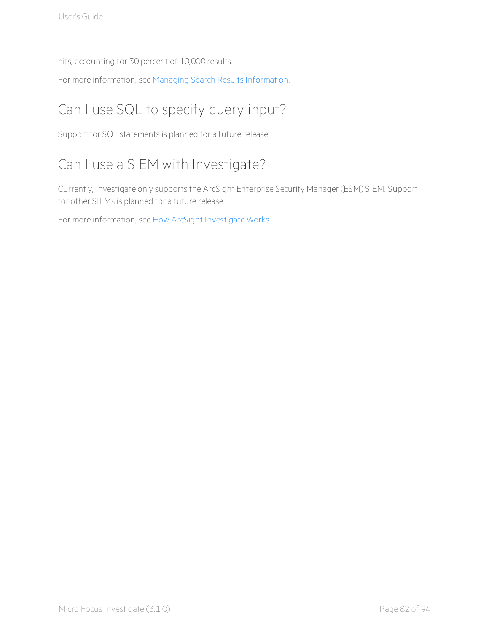hits, accounting for 30 percent of 10,000 results.

For more information, see Managing Search Results [Information.](#page-21-0)

# Can I use SQL to specify query input?

Support for SQL statements is planned for a future release.

# Can I use a SIEM with Investigate?

Currently, Investigate only supports the ArcSight Enterprise Security Manager (ESM) SIEM. Support for other SIEMs is planned for a future release.

For more information, see How ArcSight [Investigate](#page-5-0) Works.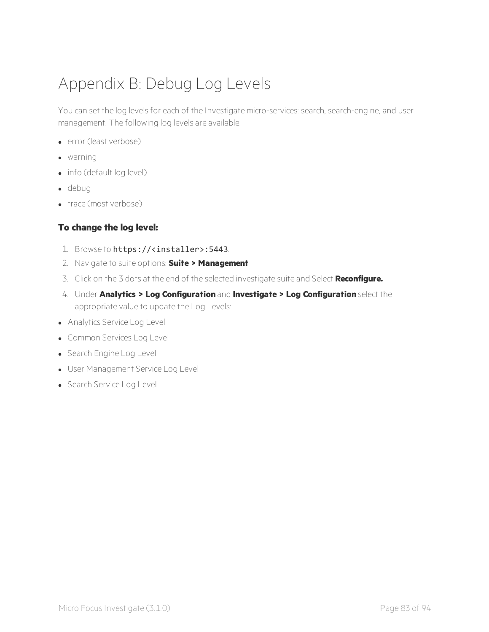# Appendix B: Debug Log Levels

You can set the log levels for each of the Investigate micro-services: search, search-engine, and user management. The following log levels are available:

- error (least verbose)
- $\bullet$  warning
- $\bullet$  info (default log level)
- $\bullet$  debug
- $\bullet$  trace (most verbose)

## **To change the log level:**

- 1. Browse to https://<installer>:5443.
- 2. Navigate to suite options: **Suite > Management**
- 3. Click on the 3 dots at the end of the selected investigate suite and Select **Reconfigure.**
- 4. Under **Analytics > Log Configuration** and **Investigate > Log Configuration** select the appropriate value to update the Log Levels:
- Analytics Service Log Level
- **.** Common Services Log Level
- Search Engine Log Level
- User Management Service Log Level
- Search Service Log Level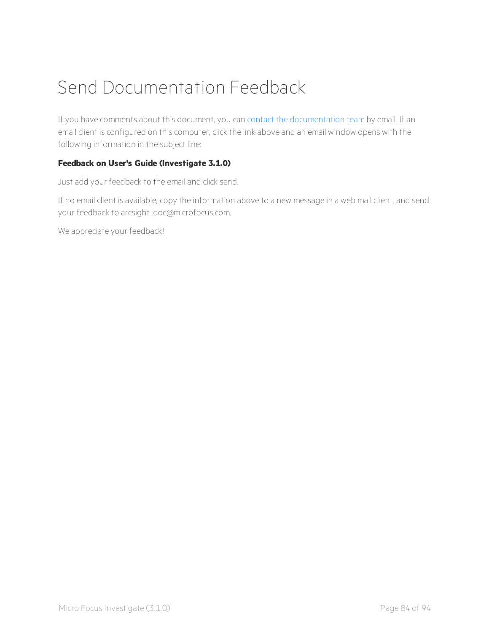# Send Documentation Feedback

If you have comments about this document, you can contact the [documentation](mailto:arcsight_doc@microfocus.com?subject=Feedback on Investigate User) team by email. If an email client is configured on this computer, click the link above and an email window opens with the following information in the subject line:

## **Feedback on User's Guide (Investigate 3.1.0)**

Just add your feedback to the email and click send.

If no email client is available, copy the information above to a new message in a web mail client, and send your feedback to arcsight\_doc@microfocus.com.

We appreciate your feedback!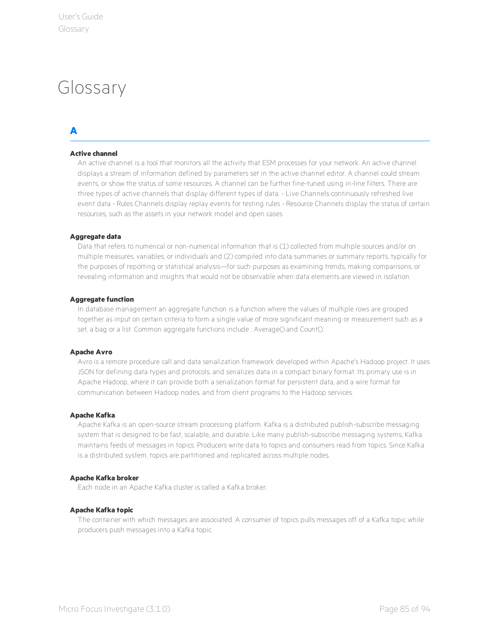# Glossary

## **A**

### **Active channel**

An active channel is a tool that monitors all the activity that ESM processes for your network. An active channel displays a stream of information defined by parameters set in the active channel editor. A channel could stream events, or show the status of some resources. A channel can be further fine-tuned using in-line filters. There are three types of active channels that display different types of data: - Live Channels continuously refreshed live event data - Rules Channels display replay events for testing rules - Resource Channels display the status of certain resources, such as the assets in your network model and open cases

### **Aggregate data**

Data that refers to numerical or non-numerical information that is (1) collected from multiple sources and/or on multiple measures, variables, or individuals and (2) compiled into data summaries or summary reports, typically for the purposes of reporting or statistical analysis—for such purposes as examining trends, making comparisons, or revealing information and insights that would not be observable when data elements are viewed in isolation.

## **Aggregate function**

In database management an aggregate function is a function where the values of multiple rows are grouped together as input on certain criteria to form a single value of more significant meaning or measurement such as a set, a bag or a list. Common aggregate functions include : Average() and Count().

### **Apache Avro**

Avro is a remote procedure call and data serialization framework developed within Apache's Hadoop project. It uses JSON for defining data types and protocols, and serializes data in a compact binary format. Its primary use is in Apache Hadoop, where it can provide both a serialization format for persistent data, and a wire format for communication between Hadoop nodes, and from client programs to the Hadoop services.

### **Apache Kafka**

Apache Kafka is an open-source stream processing platform. Kafka is a distributed publish-subscribe messaging system that is designed to be fast, scalable, and durable. Like many publish-subscribe messaging systems, Kafka maintains feeds of messages in topics. Producers write data to topics and consumers read from topics. Since Kafka is a distributed system, topics are partitioned and replicated across multiple nodes.

### **Apache Kafka broker**

Each node in an Apache Kafka cluster is called a Kafka broker.

### **Apache Kafka topic**

The container with which messages are associated. A consumer of topics pulls messages off of a Kafka topic while producers push messages into a Kafka topic.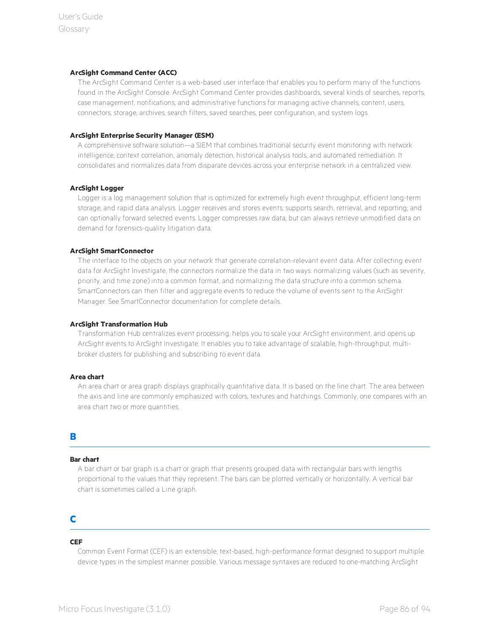#### **ArcSight Command Center (ACC)**

The ArcSight Command Center is a web-based user interface that enables you to perform many of the functions found in the ArcSight Console. ArcSight Command Center provides dashboards, several kinds of searches, reports, case management, notifications, and administrative functions for managing active channels, content, users, connectors, storage, archives, search filters, saved searches, peer configuration, and system logs.

#### **ArcSight Enterprise Security Manager (ESM)**

A comprehensive software solution—a SIEM that combines traditional security event monitoring with network intelligence, context correlation, anomaly detection, historical analysis tools, and automated remediation. It consolidates and normalizes data from disparate devices across your enterprise network in a centralized view.

### **ArcSight Logger**

Logger is a log management solution that is optimized for extremely high event throughput, efficient long-term storage, and rapid data analysis. Logger receives and stores events; supports search, retrieval, and reporting; and can optionally forward selected events. Logger compresses raw data, but can always retrieve unmodified data on demand for forensics-quality litigation data.

## **ArcSight SmartConnector**

The interface to the objects on your network that generate correlation-relevant event data. After collecting event data for ArcSight Investigate, the connectors normalize the data in two ways: normalizing values (such as severity, priority, and time zone) into a common format, and normalizing the data structure into a common schema. SmartConnectors can then filter and aggregate events to reduce the volume of events sent to the ArcSight Manager. See SmartConnector documentation for complete details.

#### **ArcSight Transformation Hub**

Transformation Hub centralizes event processing, helps you to scale your ArcSight environment, and opens up ArcSight events to ArcSight Investigate. It enables you to take advantage of scalable, high-throughput, multibroker clusters for publishing and subscribing to event data.

#### **Area chart**

An area chart or area graph displays graphically quantitative data. It is based on the line chart. The area between the axis and line are commonly emphasized with colors, textures and hatchings. Commonly, one compares with an area chart two or more quantities.

## **B**

### **Bar chart**

A bar chart or bar graph is a chart or graph that presents grouped data with rectangular bars with lengths proportional to the values that they represent. The bars can be plotted vertically or horizontally. A vertical bar chart is sometimes called a Line graph.

## **C**

### **CEF**

Common Event Format (CEF) is an extensible, text-based, high-performance format designed to support multiple device types in the simplest manner possible. Various message syntaxes are reduced to one-matching ArcSight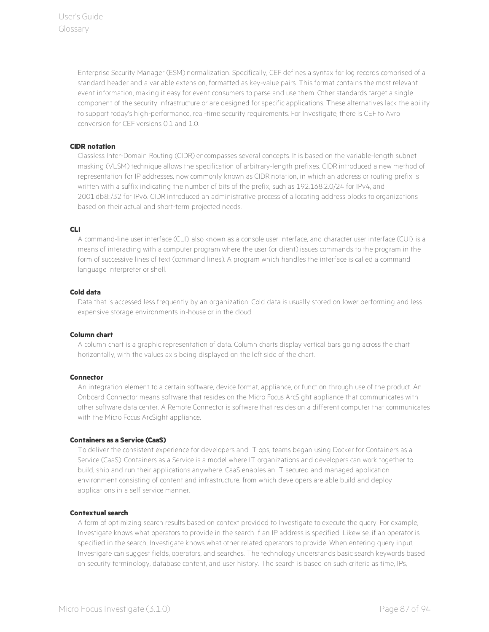Enterprise Security Manager (ESM) normalization. Specifically, CEF defines a syntax for log records comprised of a standard header and a variable extension, formatted as key-value pairs. This format contains the most relevant event information, making it easy for event consumers to parse and use them. Other standards target a single component of the security infrastructure or are designed for specific applications. These alternatives lack the ability to support today's high-performance, real-time security requirements. For Investigate, there is CEF to Avro conversion for CEF versions 0.1 and 1.0.

## **CIDR notation**

Classless Inter-Domain Routing (CIDR) encompasses several concepts. It is based on the variable-length subnet masking (VLSM) technique allows the specification of arbitrary-length prefixes. CIDR introduced a new method of representation for IP addresses, now commonly known as CIDR notation, in which an address or routing prefix is written with a suffix indicating the number of bits of the prefix, such as 192.168.2.0/24 for IPv4, and 2001:db8::/32 for IPv6. CIDR introduced an administrative process of allocating address blocks to organizations based on their actual and short-term projected needs.

### **CLI**

A command-line user interface (CLI), also known as a console user interface, and character user interface (CUI), is a means of interacting with a computer program where the user (or client) issues commands to the program in the form of successive lines of text (command lines). A program which handles the interface is called a command language interpreter or shell.

### **Cold data**

Data that is accessed less frequently by an organization. Cold data is usually stored on lower performing and less expensive storage environments in-house or in the cloud.

### **Column chart**

A column chart is a graphic representation of data. Column charts display vertical bars going across the chart horizontally, with the values axis being displayed on the left side of the chart.

### **Connector**

An integration element to a certain software, device format, appliance, or function through use of the product. An Onboard Connector means software that resides on the Micro Focus ArcSight appliance that communicates with other software data center. A Remote Connector is software that resides on a different computer that communicates with the Micro Focus ArcSight appliance.

### **Containers as a Service (CaaS)**

To deliver the consistent experience for developers and IT ops, teams began using Docker for Containers as a Service (CaaS). Containers as a Service is a model where IT organizations and developers can work together to build, ship and run their applications anywhere. CaaS enables an IT secured and managed application environment consisting of content and infrastructure, from which developers are able build and deploy applications in a self service manner.

### **Contextual search**

A form of optimizing search results based on context provided to Investigate to execute the query. For example, Investigate knows what operators to provide in the search if an IP address is specified. Likewise, if an operator is specified in the search, Investigate knows what other related operators to provide. When entering query input, Investigate can suggest fields, operators, and searches. The technology understands basic search keywords based on security terminology, database content, and user history. The search is based on such criteria as time, IPs,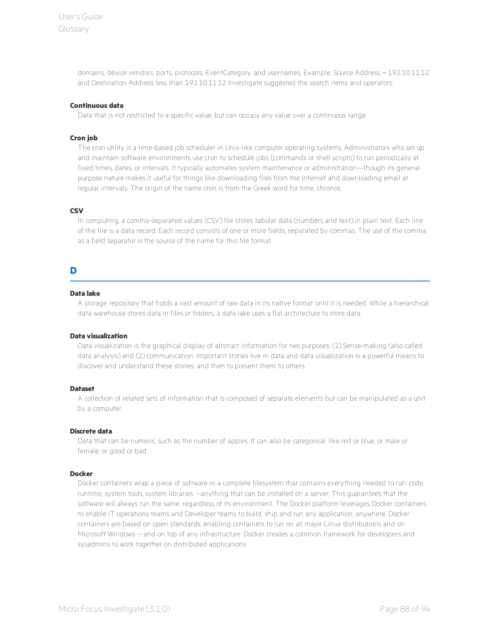domains, device vendors, ports, protocols, EventCategory, and usernames. Example: Source Address = 192.10.11.12 and Destination Address less than 192.10.11.12 Investigate suggested the search items and operators.

#### **Continuous data**

Data that is not restricted to a specific value, but can occupy any value over a continuous range.

#### **Cron job**

The cron utility is a time-based job scheduler in Unix-like computer operating systems. Administrators who set up and maintain software environments use cron to schedule jobs (commands or shell scripts) to run periodically at fixed times, dates, or intervals. It typically automates system maintenance or administration—though its generalpurpose nature makes it useful for things like downloading files from the Internet and downloading email at regular intervals. The origin of the name cron is from the Greek word for time, chronos.

#### **CSV**

In computing, a comma-separated values (CSV) file stores tabular data (numbers and text) in plain text. Each line of the file is a data record. Each record consists of one or more fields, separated by commas. The use of the comma as a field separator is the source of the name for this file format.

## **D**

### **Data lake**

A storage repository that holds a vast amount of raw data in its native format until it is needed. While a hierarchical data warehouse stores data in files or folders, a data lake uses a flat architecture to store data.

#### **Data visualization**

Data visualization is the graphical display of abstract information for two purposes: (1) Sense-making (also called data analysis) and (2) communication. Important stories live in data and data visualization is a powerful means to discover and understand these stories, and then to present them to others.

#### **Dataset**

A collection of related sets of information that is composed of separate elements but can be manipulated as a unit by a computer.

#### **Discrete data**

Data that can be numeric, such as the number of apples. It can also be categorical, like red or blue, or male or female, or good or bad.

#### **Docker**

Docker containers wrap a piece of software in a complete filesystem that contains everything needed to run: code, runtime, system tools, system libraries – anything that can be installed on a server. This guarantees that the software will always run the same, regardless of its environment. The Docker platform leverages Docker containers to enable IT operations teams and Developer teams to build, ship and run any application, anywhere. Docker containers are based on open standards, enabling containers to run on all major Linux distributions and on Microsoft Windows -- and on top of any infrastructure. Docker creates a common framework for developers and sysadmins to work together on distributed applications.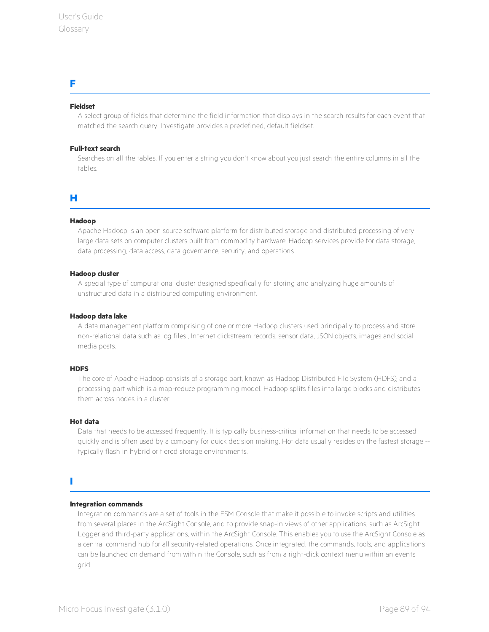## **F**

### **Fieldset**

A select group of fields that determine the field information that displays in the search results for each event that matched the search query. Investigate provides a predefined, default fieldset.

### **Full-text search**

Searches on all the tables. If you enter a string you don't know about you just search the entire columns in all the tables.

## **H**

### **Hadoop**

Apache Hadoop is an open source software platform for distributed storage and distributed processing of very large data sets on computer clusters built from commodity hardware. Hadoop services provide for data storage, data processing, data access, data governance, security, and operations.

### **Hadoop cluster**

A special type of computational cluster designed specifically for storing and analyzing huge amounts of unstructured data in a distributed computing environment.

### **Hadoop data lake**

A data management platform comprising of one or more Hadoop clusters used principally to process and store non-relational data such as log files , Internet clickstream records, sensor data, JSON objects, images and social media posts.

### **HDFS**

The core of Apache Hadoop consists of a storage part, known as Hadoop Distributed File System (HDFS), and a processing part which is a map-reduce programming model. Hadoop splits files into large blocks and distributes them across nodes in a cluster.

### **Hot data**

Data that needs to be accessed frequently. It is typically business-critical information that needs to be accessed quickly and is often used by a company for quick decision making. Hot data usually resides on the fastest storage - typically flash in hybrid or tiered storage environments.

## **I**

### **Integration commands**

Integration commands are a set of tools in the ESM Console that make it possible to invoke scripts and utilities from several places in the ArcSight Console, and to provide snap-in views of other applications, such as ArcSight Logger and third-party applications, within the ArcSight Console. This enables you to use the ArcSight Console as a central command hub for all security-related operations. Once integrated, the commands, tools, and applications can be launched on demand from within the Console, such as from a right-click context menu within an events grid.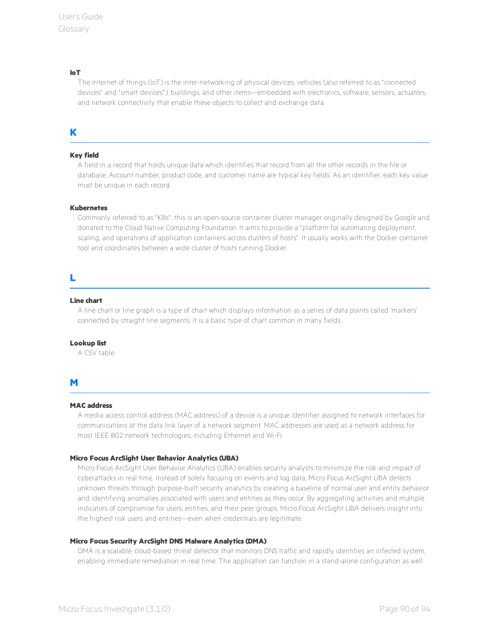#### **IoT**

The Internet of things (IoT) is the inter-networking of physical devices, vehicles (also referred to as " connected devices" and "smart devices"), buildings, and other items—embedded with electronics, software, sensors, actuators, and network connectivity that enable these objects to collect and exchange data.

## **K**

### **Key field**

A field in a record that holds unique data which identifies that record from all the other records in the file or database. Account number, product code, and customer name are typical key fields. As an identifier, each key value must be unique in each record.

#### **Kubernetes**

Commonly referred to as "K8s", this is an open-source container cluster manager originally designed by Google and donated to the Cloud Native Computing Foundation. It aims to provide a " platform for automating deployment, scaling, and operations of application containers across clusters of hosts" . It usually works with the Docker container tool and coordinates between a wide cluster of hosts running Docker.

## **L**

#### **Line chart**

A line chart or line graph is a type of chart which displays information as a series of data points called 'markers' connected by straight line segments. It is a basic type of chart common in many fields.

### **Lookup list**

A CSV table.

## **M**

#### **MAC address**

A media access control address (MAC address) of a device is a unique identifier assigned to network interfaces for communications at the data link layer of a network segment. MAC addresses are used as a network address for most IEEE 802 network technologies, including Ethernet and Wi-Fi.

### **Micro Focus ArcSight User Behavior Analytics (UBA)**

Micro Focus ArcSight User Behavior Analytics (UBA) enables security analysts to minimize the risk and impact of cyberattacks in real time. Instead of solely focusing on events and log data, Micro Focus ArcSight UBA detects unknown threats through purpose-built security analytics by creating a baseline of normal user and entity behavior and identifying anomalies associated with users and entities as they occur. By aggregating activities and multiple indicators of compromise for users, entities, and their peer groups, Micro Focus ArcSight UBA delivers insight into the highest risk users and entities—even when credentials are legitimate.

#### **Micro Focus Security ArcSight DNS Malware Analytics (DMA)**

DMA is a scalable, cloud-based threat detector that monitors DNS traffic and rapidly identifies an infected system, enabling immediate remediation in real time. The application can function in a stand-alone configuration as well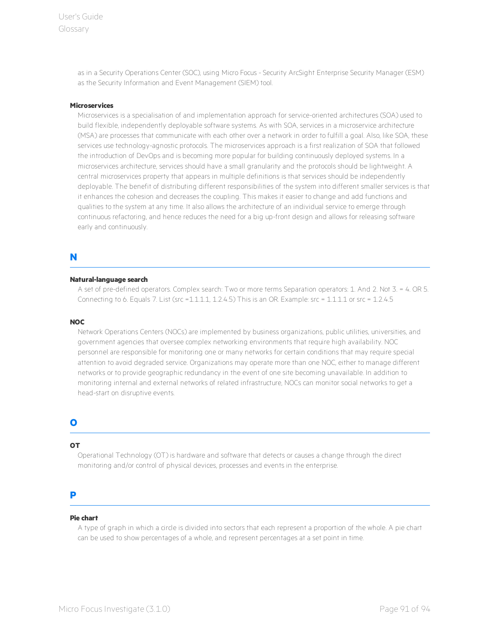User's Guide Glossary

> as in a Security Operations Center (SOC), using Micro Focus - Security ArcSight Enterprise Security Manager (ESM) as the Security Information and Event Management (SIEM) tool.

### **Microservices**

Microservices is a specialisation of and implementation approach for service-oriented architectures (SOA) used to build flexible, independently deployable software systems. As with SOA, services in a microservice architecture (MSA) are processes that communicate with each other over a network in order to fulfill a goal. Also, like SOA, these services use technology-agnostic protocols. The microservices approach is a first realization of SOA that followed the introduction of DevOps and is becoming more popular for building continuously deployed systems. In a microservices architecture, services should have a small granularity and the protocols should be lightweight. A central microservices property that appears in multiple definitions is that services should be independently deployable. The benefit of distributing different responsibilities of the system into different smaller services is that it enhances the cohesion and decreases the coupling. This makes it easier to change and add functions and qualities to the system at any time. It also allows the architecture of an individual service to emerge through continuous refactoring, and hence reduces the need for a big up-front design and allows for releasing software early and continuously.

## **N**

#### **Natural-language search**

A set of pre-defined operators. Complex search: Two or more terms Separation operators: 1. And 2. Not 3. = 4. OR 5. Connecting to 6. Equals 7. List (src =1.1.1.1, 1.2.4.5) This is an OR. Example: src = 1.1.1.1 or src = 1.2.4.5

#### **NOC**

Network Operations Centers (NOCs) are implemented by business organizations, public utilities, universities, and government agencies that oversee complex networking environments that require high availability. NOC personnel are responsible for monitoring one or many networks for certain conditions that may require special attention to avoid degraded service. Organizations may operate more than one NOC, either to manage different networks or to provide geographic redundancy in the event of one site becoming unavailable. In addition to monitoring internal and external networks of related infrastructure, NOCs can monitor social networks to get a head-start on disruptive events.

## **O**

### **OT**

Operational Technology (OT) is hardware and software that detects or causes a change through the direct monitoring and/or control of physical devices, processes and events in the enterprise.

## **P**

#### **Pie chart**

A type of graph in which a circle is divided into sectors that each represent a proportion of the whole. A pie chart can be used to show percentages of a whole, and represent percentages at a set point in time.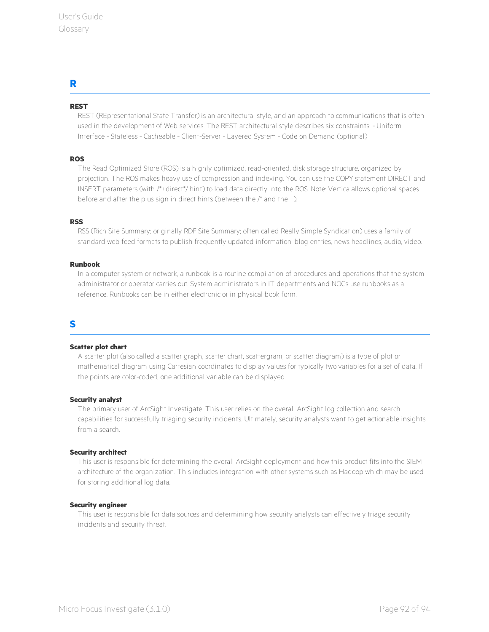## **R**

## **REST**

REST (REpresentational State Transfer) is an architectural style, and an approach to communications that is often used in the development of Web services. The REST architectural style describes six constraints: - Uniform Interface - Stateless - Cacheable - Client-Server - Layered System - Code on Demand (optional)

## **ROS**

The Read Optimized Store (ROS) is a highly optimized, read-oriented, disk storage structure, organized by projection. The ROS makes heavy use of compression and indexing. You can use the COPY statement DIRECT and INSERT parameters (with /\*+direct\*/ hint) to load data directly into the ROS. Note: Vertica allows optional spaces before and after the plus sign in direct hints (between the /\* and the +).

### **RSS**

RSS (Rich Site Summary; originally RDF Site Summary; often called Really Simple Syndication) uses a family of standard web feed formats to publish frequently updated information: blog entries, news headlines, audio, video.

### **Runbook**

In a computer system or network, a runbook is a routine compilation of procedures and operations that the system administrator or operator carries out. System administrators in IT departments and NOCs use runbooks as a reference. Runbooks can be in either electronic or in physical book form.

## **S**

### **Scatter plot chart**

A scatter plot (also called a scatter graph, scatter chart, scattergram, or scatter diagram) is a type of plot or mathematical diagram using Cartesian coordinates to display values for typically two variables for a set of data. If the points are color-coded, one additional variable can be displayed.

### **Security analyst**

The primary user of ArcSight Investigate. This user relies on the overall ArcSight log collection and search capabilities for successfully triaging security incidents. Ultimately, security analysts want to get actionable insights from a search.

### **Security architect**

This user is responsible for determining the overall ArcSight deployment and how this product fits into the SIEM architecture of the organization. This includes integration with other systems such as Hadoop which may be used for storing additional log data.

#### **Security engineer**

This user is responsible for data sources and determining how security analysts can effectively triage security incidents and security threat.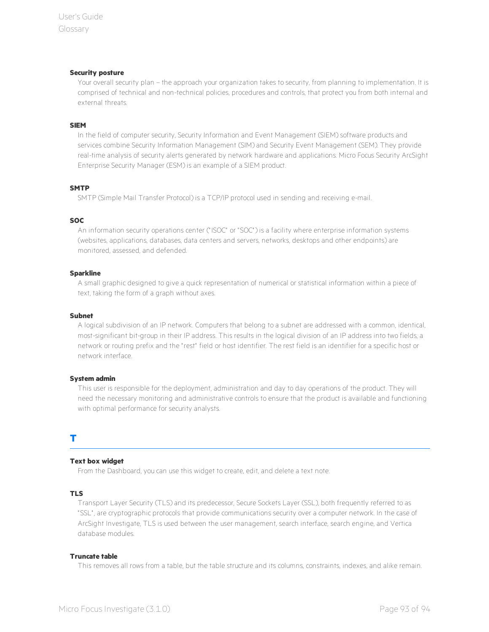#### **Security posture**

Your overall security plan – the approach your organization takes to security, from planning to implementation. It is comprised of technical and non-technical policies, procedures and controls, that protect you from both internal and external threats.

#### **SIEM**

In the field of computer security, Security Information and Event Management (SIEM) software products and services combine Security Information Management (SIM) and Security Event Management (SEM). They provide real-time analysis of security alerts generated by network hardware and applications. Micro Focus Security ArcSight Enterprise Security Manager (ESM) is an example of a SIEM product.

### **SMTP**

SMTP (Simple Mail Transfer Protocol) is a TCP/IP protocol used in sending and receiving e-mail.

#### **SOC**

An information security operations center (" ISOC" or " SOC" ) is a facility where enterprise information systems (websites, applications, databases, data centers and servers, networks, desktops and other endpoints) are monitored, assessed, and defended.

#### **Sparkline**

A small graphic designed to give a quick representation of numerical or statistical information within a piece of text, taking the form of a graph without axes.

#### **Subnet**

A logical subdivision of an IP network. Computers that belong to a subnet are addressed with a common, identical, most-significant bit-group in their IP address. This results in the logical division of an IP address into two fields, a network or routing prefix and the " rest" field or host identifier. The rest field is an identifier for a specific host or network interface.

#### **System admin**

This user is responsible for the deployment, administration and day to day operations of the product. They will need the necessary monitoring and administrative controls to ensure that the product is available and functioning with optimal performance for security analysts.

## **T**

### **Text box widget**

From the Dashboard, you can use this widget to create, edit, and delete a text note.

### **TLS**

Transport Layer Security (TLS) and its predecessor, Secure Sockets Layer (SSL), both frequently referred to as " SSL" , are cryptographic protocols that provide communications security over a computer network. In the case of ArcSight Investigate, TLS is used between the user management, search interface, search engine, and Vertica database modules.

#### **Truncate table**

This removes all rows from a table, but the table structure and its columns, constraints, indexes, and alike remain.